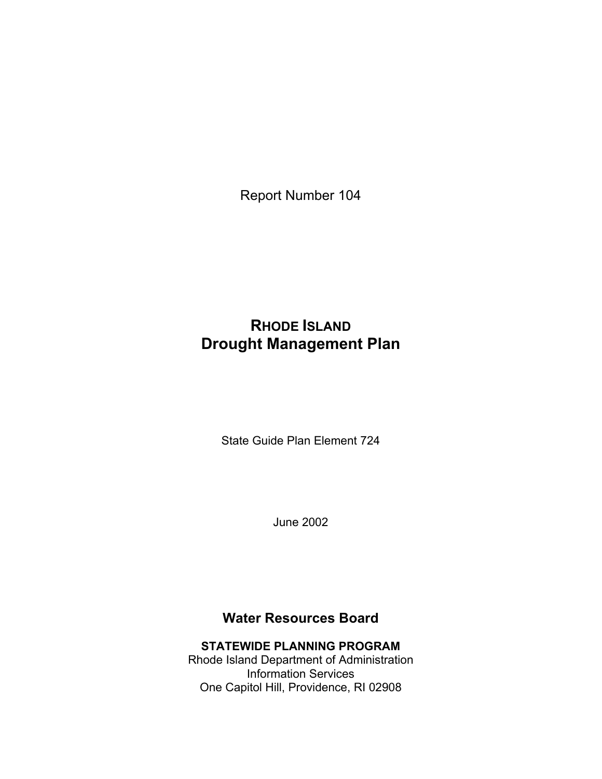Report Number 104

# **RHODE ISLAND Drought Management Plan**

State Guide Plan Element 724

June 2002

# **Water Resources Board**

#### **STATEWIDE PLANNING PROGRAM**  Rhode Island Department of Administration

Information Services One Capitol Hill, Providence, RI 02908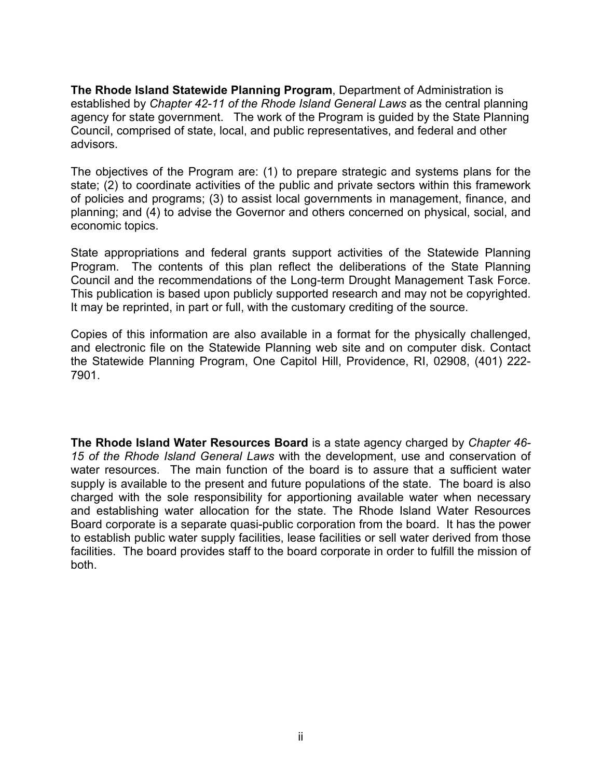**The Rhode Island Statewide Planning Program**, Department of Administration is established by *Chapter 42-11 of the Rhode Island General Laws* as the central planning agency for state government. The work of the Program is guided by the State Planning Council, comprised of state, local, and public representatives, and federal and other advisors.

The objectives of the Program are: (1) to prepare strategic and systems plans for the state; (2) to coordinate activities of the public and private sectors within this framework of policies and programs; (3) to assist local governments in management, finance, and planning; and (4) to advise the Governor and others concerned on physical, social, and economic topics.

State appropriations and federal grants support activities of the Statewide Planning Program. The contents of this plan reflect the deliberations of the State Planning Council and the recommendations of the Long-term Drought Management Task Force. This publication is based upon publicly supported research and may not be copyrighted. It may be reprinted, in part or full, with the customary crediting of the source.

Copies of this information are also available in a format for the physically challenged, and electronic file on the Statewide Planning web site and on computer disk. Contact the Statewide Planning Program, One Capitol Hill, Providence, RI, 02908, (401) 222- 7901.

**The Rhode Island Water Resources Board** is a state agency charged by *Chapter 46- 15 of the Rhode Island General Laws* with the development, use and conservation of water resources. The main function of the board is to assure that a sufficient water supply is available to the present and future populations of the state. The board is also charged with the sole responsibility for apportioning available water when necessary and establishing water allocation for the state. The Rhode Island Water Resources Board corporate is a separate quasi-public corporation from the board. It has the power to establish public water supply facilities, lease facilities or sell water derived from those facilities. The board provides staff to the board corporate in order to fulfill the mission of both.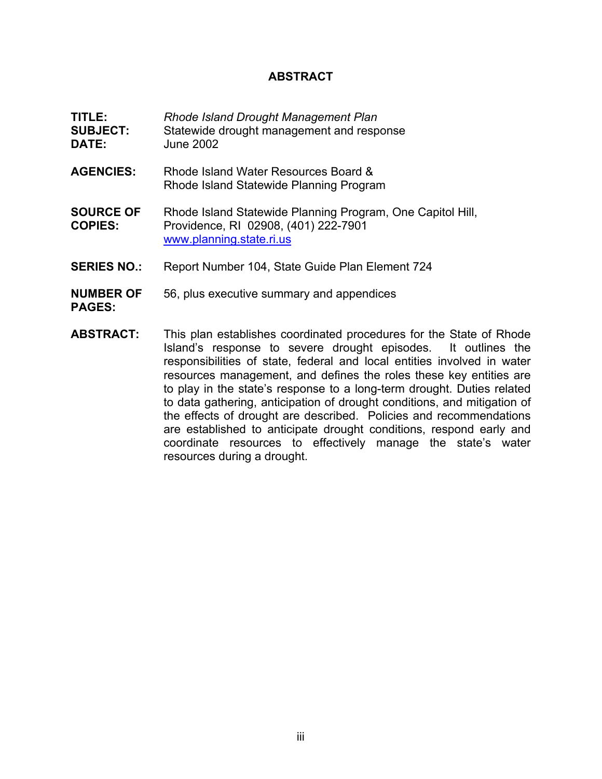### **ABSTRACT**

| TITLE:<br><b>SUBJECT:</b><br>DATE: | Rhode Island Drought Management Plan<br>Statewide drought management and response<br><b>June 2002</b>                                                                                                                                                                                                                                                                                                                                                                                                                                                                                    |
|------------------------------------|------------------------------------------------------------------------------------------------------------------------------------------------------------------------------------------------------------------------------------------------------------------------------------------------------------------------------------------------------------------------------------------------------------------------------------------------------------------------------------------------------------------------------------------------------------------------------------------|
| <b>AGENCIES:</b>                   | Rhode Island Water Resources Board &<br>Rhode Island Statewide Planning Program                                                                                                                                                                                                                                                                                                                                                                                                                                                                                                          |
| <b>SOURCE OF</b><br><b>COPIES:</b> | Rhode Island Statewide Planning Program, One Capitol Hill,<br>Providence, RI 02908, (401) 222-7901<br>www.planning.state.ri.us                                                                                                                                                                                                                                                                                                                                                                                                                                                           |
| <b>SERIES NO.:</b>                 | Report Number 104, State Guide Plan Element 724                                                                                                                                                                                                                                                                                                                                                                                                                                                                                                                                          |
| <b>NUMBER OF</b><br><b>PAGES:</b>  | 56, plus executive summary and appendices                                                                                                                                                                                                                                                                                                                                                                                                                                                                                                                                                |
| <b>ABSTRACT:</b>                   | This plan establishes coordinated procedures for the State of Rhode<br>Island's response to severe drought episodes. It outlines the<br>responsibilities of state, federal and local entities involved in water<br>resources management, and defines the roles these key entities are<br>to play in the state's response to a long-term drought. Duties related<br>to data gathering, anticipation of drought conditions, and mitigation of<br>the effects of drought are described. Policies and recommendations<br>are established to anticipate drought conditions, respond early and |

resources during a drought.

coordinate resources to effectively manage the state's water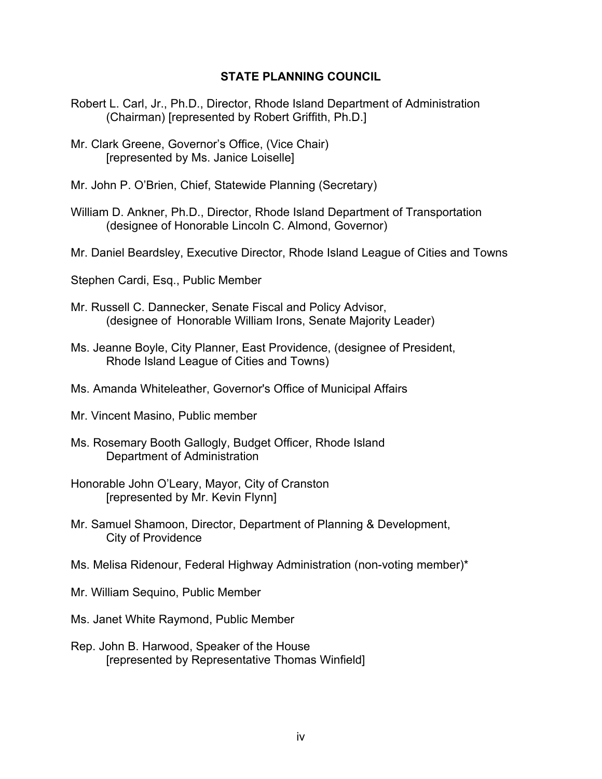#### **STATE PLANNING COUNCIL**

- Robert L. Carl, Jr., Ph.D., Director, Rhode Island Department of Administration (Chairman) [represented by Robert Griffith, Ph.D.]
- Mr. Clark Greene, Governor's Office, (Vice Chair) [represented by Ms. Janice Loiselle]
- Mr. John P. O'Brien, Chief, Statewide Planning (Secretary)
- William D. Ankner, Ph.D., Director, Rhode Island Department of Transportation (designee of Honorable Lincoln C. Almond, Governor)
- Mr. Daniel Beardsley, Executive Director, Rhode Island League of Cities and Towns
- Stephen Cardi, Esq., Public Member
- Mr. Russell C. Dannecker, Senate Fiscal and Policy Advisor, (designee of Honorable William Irons, Senate Majority Leader)
- Ms. Jeanne Boyle, City Planner, East Providence, (designee of President, Rhode Island League of Cities and Towns)
- Ms. Amanda Whiteleather, Governor's Office of Municipal Affairs
- Mr. Vincent Masino, Public member
- Ms. Rosemary Booth Gallogly, Budget Officer, Rhode Island Department of Administration
- Honorable John O'Leary, Mayor, City of Cranston [represented by Mr. Kevin Flynn]
- Mr. Samuel Shamoon, Director, Department of Planning & Development, City of Providence
- Ms. Melisa Ridenour, Federal Highway Administration (non-voting member)\*
- Mr. William Sequino, Public Member
- Ms. Janet White Raymond, Public Member
- Rep. John B. Harwood, Speaker of the House [represented by Representative Thomas Winfield]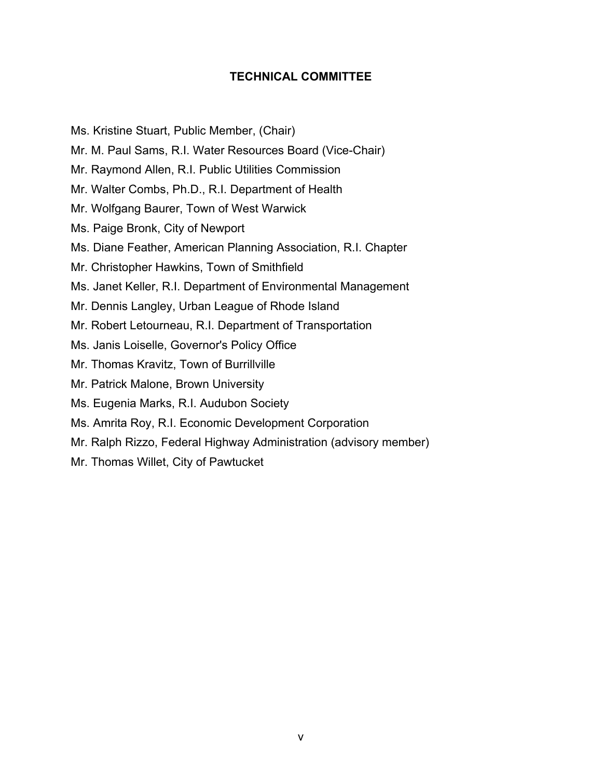### **TECHNICAL COMMITTEE**

Ms. Kristine Stuart, Public Member, (Chair)

- Mr. M. Paul Sams, R.I. Water Resources Board (Vice-Chair)
- Mr. Raymond Allen, R.I. Public Utilities Commission
- Mr. Walter Combs, Ph.D., R.I. Department of Health
- Mr. Wolfgang Baurer, Town of West Warwick
- Ms. Paige Bronk, City of Newport
- Ms. Diane Feather, American Planning Association, R.I. Chapter
- Mr. Christopher Hawkins, Town of Smithfield
- Ms. Janet Keller, R.I. Department of Environmental Management
- Mr. Dennis Langley, Urban League of Rhode Island
- Mr. Robert Letourneau, R.I. Department of Transportation
- Ms. Janis Loiselle, Governor's Policy Office
- Mr. Thomas Kravitz, Town of Burrillville
- Mr. Patrick Malone, Brown University
- Ms. Eugenia Marks, R.I. Audubon Society
- Ms. Amrita Roy, R.I. Economic Development Corporation
- Mr. Ralph Rizzo, Federal Highway Administration (advisory member)
- Mr. Thomas Willet, City of Pawtucket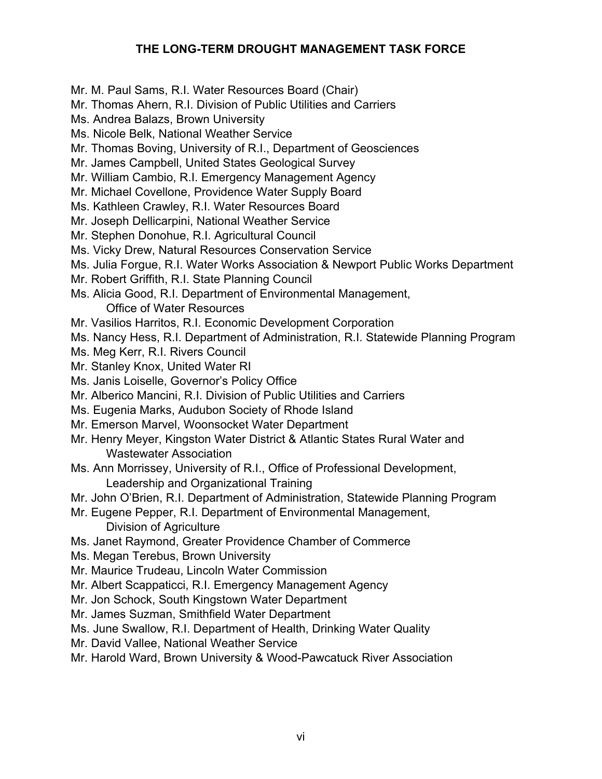### **THE LONG-TERM DROUGHT MANAGEMENT TASK FORCE**

Mr. M. Paul Sams, R.I. Water Resources Board (Chair)

Mr. Thomas Ahern, R.I. Division of Public Utilities and Carriers

Ms. Andrea Balazs, Brown University

- Ms. Nicole Belk, National Weather Service
- Mr. Thomas Boving, University of R.I., Department of Geosciences
- Mr. James Campbell, United States Geological Survey
- Mr. William Cambio, R.I. Emergency Management Agency
- Mr. Michael Covellone, Providence Water Supply Board
- Ms. Kathleen Crawley, R.I. Water Resources Board
- Mr. Joseph Dellicarpini, National Weather Service
- Mr. Stephen Donohue, R.I. Agricultural Council
- Ms. Vicky Drew, Natural Resources Conservation Service
- Ms. Julia Forgue, R.I. Water Works Association & Newport Public Works Department
- Mr. Robert Griffith, R.I. State Planning Council
- Ms. Alicia Good, R.I. Department of Environmental Management,

Office of Water Resources

- Mr. Vasilios Harritos, R.I. Economic Development Corporation
- Ms. Nancy Hess, R.I. Department of Administration, R.I. Statewide Planning Program
- Ms. Meg Kerr, R.I. Rivers Council
- Mr. Stanley Knox, United Water RI
- Ms. Janis Loiselle, Governor's Policy Office
- Mr. Alberico Mancini, R.I. Division of Public Utilities and Carriers
- Ms. Eugenia Marks, Audubon Society of Rhode Island
- Mr. Emerson Marvel, Woonsocket Water Department
- Mr. Henry Meyer, Kingston Water District & Atlantic States Rural Water and Wastewater Association
- Ms. Ann Morrissey, University of R.I., Office of Professional Development, Leadership and Organizational Training
- Mr. John O'Brien, R.I. Department of Administration, Statewide Planning Program
- Mr. Eugene Pepper, R.I. Department of Environmental Management,
	- Division of Agriculture
- Ms. Janet Raymond, Greater Providence Chamber of Commerce
- Ms. Megan Terebus, Brown University
- Mr. Maurice Trudeau, Lincoln Water Commission
- Mr. Albert Scappaticci, R.I. Emergency Management Agency
- Mr. Jon Schock, South Kingstown Water Department
- Mr. James Suzman, Smithfield Water Department
- Ms. June Swallow, R.I. Department of Health, Drinking Water Quality
- Mr. David Vallee, National Weather Service
- Mr. Harold Ward, Brown University & Wood-Pawcatuck River Association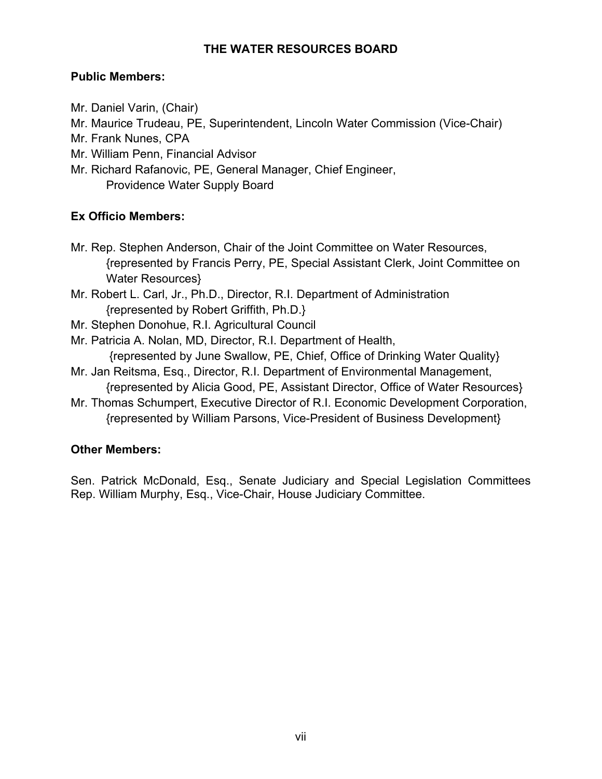### **THE WATER RESOURCES BOARD**

### **Public Members:**

- Mr. Daniel Varin, (Chair)
- Mr. Maurice Trudeau, PE, Superintendent, Lincoln Water Commission (Vice-Chair)
- Mr. Frank Nunes, CPA
- Mr. William Penn, Financial Advisor
- Mr. Richard Rafanovic, PE, General Manager, Chief Engineer, Providence Water Supply Board

### **Ex Officio Members:**

- Mr. Rep. Stephen Anderson, Chair of the Joint Committee on Water Resources, {represented by Francis Perry, PE, Special Assistant Clerk, Joint Committee on Water Resources}
- Mr. Robert L. Carl, Jr., Ph.D., Director, R.I. Department of Administration {represented by Robert Griffith, Ph.D.}
- Mr. Stephen Donohue, R.I. Agricultural Council
- Mr. Patricia A. Nolan, MD, Director, R.I. Department of Health, {represented by June Swallow, PE, Chief, Office of Drinking Water Quality}
- Mr. Jan Reitsma, Esq., Director, R.I. Department of Environmental Management, {represented by Alicia Good, PE, Assistant Director, Office of Water Resources}
- Mr. Thomas Schumpert, Executive Director of R.I. Economic Development Corporation, {represented by William Parsons, Vice-President of Business Development}

### **Other Members:**

Sen. Patrick McDonald, Esq., Senate Judiciary and Special Legislation Committees Rep. William Murphy, Esq., Vice-Chair, House Judiciary Committee.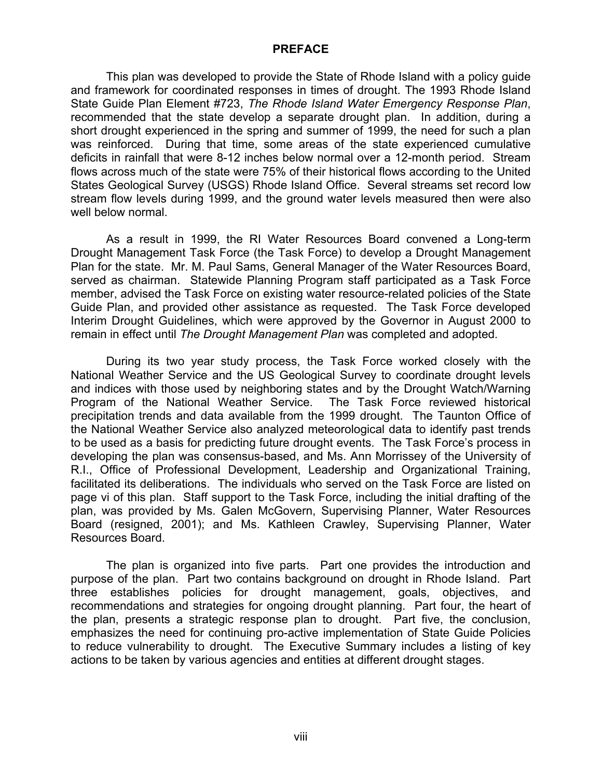#### **PREFACE**

This plan was developed to provide the State of Rhode Island with a policy guide and framework for coordinated responses in times of drought. The 1993 Rhode Island State Guide Plan Element #723, *The Rhode Island Water Emergency Response Plan*, recommended that the state develop a separate drought plan. In addition, during a short drought experienced in the spring and summer of 1999, the need for such a plan was reinforced. During that time, some areas of the state experienced cumulative deficits in rainfall that were 8-12 inches below normal over a 12-month period. Stream flows across much of the state were 75% of their historical flows according to the United States Geological Survey (USGS) Rhode Island Office. Several streams set record low stream flow levels during 1999, and the ground water levels measured then were also well below normal.

As a result in 1999, the RI Water Resources Board convened a Long-term Drought Management Task Force (the Task Force) to develop a Drought Management Plan for the state. Mr. M. Paul Sams, General Manager of the Water Resources Board, served as chairman. Statewide Planning Program staff participated as a Task Force member, advised the Task Force on existing water resource-related policies of the State Guide Plan, and provided other assistance as requested. The Task Force developed Interim Drought Guidelines, which were approved by the Governor in August 2000 to remain in effect until *The Drought Management Plan* was completed and adopted*.* 

During its two year study process, the Task Force worked closely with the National Weather Service and the US Geological Survey to coordinate drought levels and indices with those used by neighboring states and by the Drought Watch/Warning Program of the National Weather Service. The Task Force reviewed historical precipitation trends and data available from the 1999 drought. The Taunton Office of the National Weather Service also analyzed meteorological data to identify past trends to be used as a basis for predicting future drought events. The Task Force's process in developing the plan was consensus-based, and Ms. Ann Morrissey of the University of R.I., Office of Professional Development, Leadership and Organizational Training, facilitated its deliberations. The individuals who served on the Task Force are listed on page vi of this plan. Staff support to the Task Force, including the initial drafting of the plan, was provided by Ms. Galen McGovern, Supervising Planner, Water Resources Board (resigned, 2001); and Ms. Kathleen Crawley, Supervising Planner, Water Resources Board.

The plan is organized into five parts. Part one provides the introduction and purpose of the plan. Part two contains background on drought in Rhode Island. Part three establishes policies for drought management, goals, objectives, and recommendations and strategies for ongoing drought planning. Part four, the heart of the plan, presents a strategic response plan to drought. Part five, the conclusion, emphasizes the need for continuing pro-active implementation of State Guide Policies to reduce vulnerability to drought. The Executive Summary includes a listing of key actions to be taken by various agencies and entities at different drought stages.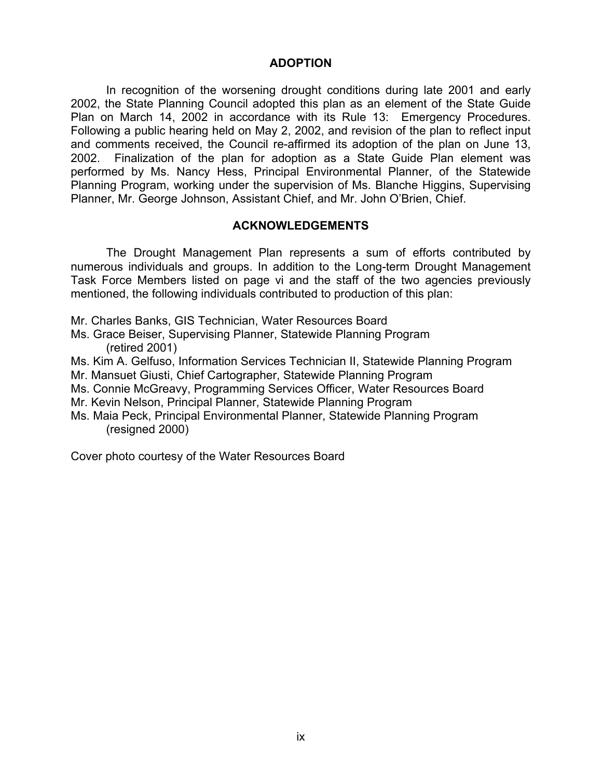#### **ADOPTION**

In recognition of the worsening drought conditions during late 2001 and early 2002, the State Planning Council adopted this plan as an element of the State Guide Plan on March 14, 2002 in accordance with its Rule 13: Emergency Procedures. Following a public hearing held on May 2, 2002, and revision of the plan to reflect input and comments received, the Council re-affirmed its adoption of the plan on June 13, 2002. Finalization of the plan for adoption as a State Guide Plan element was performed by Ms. Nancy Hess, Principal Environmental Planner, of the Statewide Planning Program, working under the supervision of Ms. Blanche Higgins, Supervising Planner, Mr. George Johnson, Assistant Chief, and Mr. John O'Brien, Chief.

#### **ACKNOWLEDGEMENTS**

The Drought Management Plan represents a sum of efforts contributed by numerous individuals and groups. In addition to the Long-term Drought Management Task Force Members listed on page vi and the staff of the two agencies previously mentioned, the following individuals contributed to production of this plan:

Mr. Charles Banks, GIS Technician, Water Resources Board

Ms. Grace Beiser, Supervising Planner, Statewide Planning Program (retired 2001)

Ms. Kim A. Gelfuso, Information Services Technician II, Statewide Planning Program Mr. Mansuet Giusti, Chief Cartographer, Statewide Planning Program

Ms. Connie McGreavy, Programming Services Officer, Water Resources Board

Mr. Kevin Nelson, Principal Planner, Statewide Planning Program

Ms. Maia Peck, Principal Environmental Planner, Statewide Planning Program (resigned 2000)

Cover photo courtesy of the Water Resources Board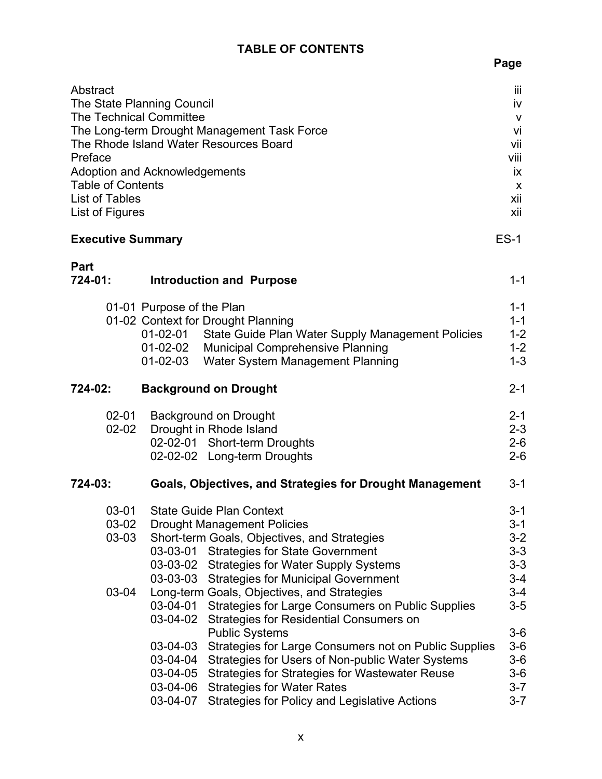## **TABLE OF CONTENTS**

| Abstract<br><b>The Technical Committee</b><br>Preface<br><b>Table of Contents</b><br>List of Tables<br>List of Figures<br><b>Executive Summary</b> | The State Planning Council<br>The Long-term Drought Management Task Force<br>The Rhode Island Water Resources Board<br>Adoption and Acknowledgements                                                                                                                                                                                                                                                                                                                                                                                                                 | Ϊij<br>iv<br>v<br>vi<br>vii<br>viii<br>İХ.<br>X<br>xii<br>xii<br>$ES-1$                              |
|----------------------------------------------------------------------------------------------------------------------------------------------------|----------------------------------------------------------------------------------------------------------------------------------------------------------------------------------------------------------------------------------------------------------------------------------------------------------------------------------------------------------------------------------------------------------------------------------------------------------------------------------------------------------------------------------------------------------------------|------------------------------------------------------------------------------------------------------|
| <b>Part</b><br>724-01:                                                                                                                             | <b>Introduction and Purpose</b>                                                                                                                                                                                                                                                                                                                                                                                                                                                                                                                                      | $1 - 1$                                                                                              |
|                                                                                                                                                    | 01-01 Purpose of the Plan<br>01-02 Context for Drought Planning<br>State Guide Plan Water Supply Management Policies<br>01-02-01<br>01-02-02 Municipal Comprehensive Planning<br>$01 - 02 - 03$<br>Water System Management Planning                                                                                                                                                                                                                                                                                                                                  | $1 - 1$<br>$1 - 1$<br>$1 - 2$<br>$1 - 2$<br>$1 - 3$                                                  |
| 724-02:                                                                                                                                            | <b>Background on Drought</b>                                                                                                                                                                                                                                                                                                                                                                                                                                                                                                                                         | $2 - 1$                                                                                              |
| $02 - 01$<br>$02 - 02$                                                                                                                             | <b>Background on Drought</b><br>Drought in Rhode Island<br>02-02-01 Short-term Droughts<br>02-02-02 Long-term Droughts                                                                                                                                                                                                                                                                                                                                                                                                                                               | $2 - 1$<br>$2 - 3$<br>$2-6$<br>$2 - 6$                                                               |
| 724-03:                                                                                                                                            | Goals, Objectives, and Strategies for Drought Management                                                                                                                                                                                                                                                                                                                                                                                                                                                                                                             | $3 - 1$                                                                                              |
| $03 - 01$<br>03-02<br>03-03<br>03-04                                                                                                               | <b>State Guide Plan Context</b><br><b>Drought Management Policies</b><br>Short-term Goals, Objectives, and Strategies<br>03-03-01<br><b>Strategies for State Government</b><br><b>Strategies for Water Supply Systems</b><br>03-03-02<br>03-03-03<br><b>Strategies for Municipal Government</b><br>Long-term Goals, Objectives, and Strategies<br>03-04-01<br>Strategies for Large Consumers on Public Supplies<br>03-04-02<br>Strategies for Residential Consumers on<br><b>Public Systems</b><br>03-04-03<br>Strategies for Large Consumers not on Public Supplies | $3 - 1$<br>$3 - 1$<br>$3 - 2$<br>$3 - 3$<br>$3 - 3$<br>$3 - 4$<br>$3 - 4$<br>$3-5$<br>$3-6$<br>$3-6$ |
|                                                                                                                                                    | Strategies for Users of Non-public Water Systems<br>03-04-04<br>03-04-05<br><b>Strategies for Strategies for Wastewater Reuse</b><br>03-04-06<br><b>Strategies for Water Rates</b><br>03-04-07<br><b>Strategies for Policy and Legislative Actions</b>                                                                                                                                                                                                                                                                                                               | $3-6$<br>$3-6$<br>$3 - 7$<br>$3 - 7$                                                                 |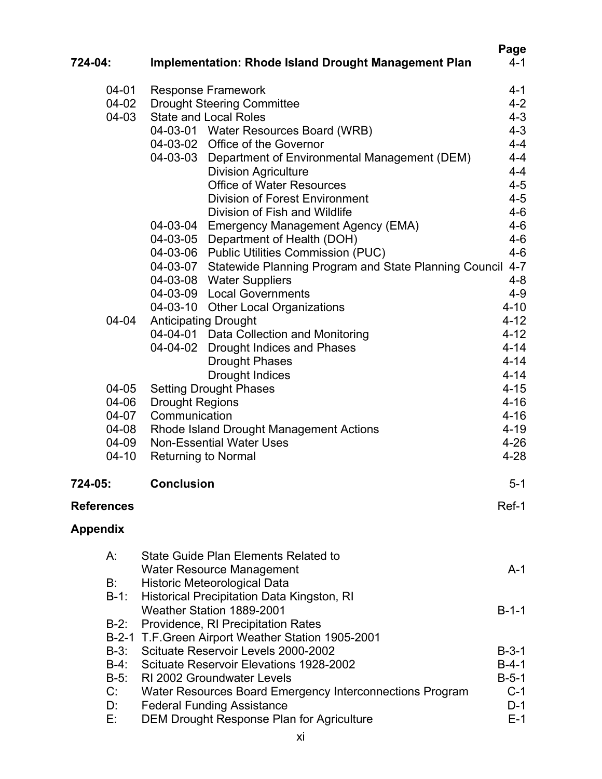|                   |                                                                    | Page     |
|-------------------|--------------------------------------------------------------------|----------|
| 724-04:           | Implementation: Rhode Island Drought Management Plan               | $4 - 1$  |
| $04 - 01$         | <b>Response Framework</b>                                          | 4-1      |
| 04-02             | <b>Drought Steering Committee</b>                                  | $4 - 2$  |
| 04-03             | <b>State and Local Roles</b>                                       | $4 - 3$  |
|                   | 04-03-01 Water Resources Board (WRB)                               | $4 - 3$  |
|                   | 04-03-02 Office of the Governor                                    | $4 - 4$  |
|                   | 04-03-03 Department of Environmental Management (DEM)              | $4 - 4$  |
|                   | <b>Division Agriculture</b>                                        | $4 - 4$  |
|                   | <b>Office of Water Resources</b>                                   | $4 - 5$  |
|                   | <b>Division of Forest Environment</b>                              | $4 - 5$  |
|                   | Division of Fish and Wildlife                                      | $4 - 6$  |
|                   | 04-03-04 Emergency Management Agency (EMA)                         | $4 - 6$  |
|                   | 04-03-05 Department of Health (DOH)                                | $4 - 6$  |
|                   | 04-03-06 Public Utilities Commission (PUC)                         | $4 - 6$  |
|                   | 04-03-07 Statewide Planning Program and State Planning Council 4-7 |          |
|                   | 04-03-08 Water Suppliers                                           | $4 - 8$  |
|                   | 04-03-09 Local Governments                                         | $4 - 9$  |
|                   | 04-03-10 Other Local Organizations                                 | $4 - 10$ |
| 04-04             | <b>Anticipating Drought</b>                                        | $4 - 12$ |
|                   | 04-04-01 Data Collection and Monitoring                            | $4 - 12$ |
|                   | 04-04-02<br><b>Drought Indices and Phases</b>                      | $4 - 14$ |
|                   | <b>Drought Phases</b>                                              | $4 - 14$ |
|                   | <b>Drought Indices</b>                                             | $4 - 14$ |
| 04-05             | <b>Setting Drought Phases</b>                                      | $4 - 15$ |
| 04-06             | <b>Drought Regions</b>                                             | $4 - 16$ |
| 04-07             | Communication                                                      | $4 - 16$ |
| 04-08             | Rhode Island Drought Management Actions                            | $4 - 19$ |
| 04-09             | <b>Non-Essential Water Uses</b>                                    | $4 - 26$ |
| $04 - 10$         | <b>Returning to Normal</b>                                         | $4 - 28$ |
|                   |                                                                    |          |
| 724-05:           | <b>Conclusion</b>                                                  | $5 - 1$  |
| <b>References</b> |                                                                    | Ref-1    |
| <b>Appendix</b>   |                                                                    |          |
| $A$ :             | State Guide Plan Elements Related to                               |          |
|                   | Water Resource Management                                          | $A-1$    |
| B:                | Historic Meteorological Data                                       |          |
| $B-1$ :           | Historical Precipitation Data Kingston, RI                         |          |
|                   | Weather Station 1889-2001                                          | $B-1-1$  |
| $B-2$ :           | Providence, RI Precipitation Rates                                 |          |
|                   | B-2-1 T.F. Green Airport Weather Station 1905-2001                 |          |
| $B-3$ :           | Scituate Reservoir Levels 2000-2002                                | $B-3-1$  |
| $B-4$ :           | Scituate Reservoir Elevations 1928-2002                            | $B-4-1$  |
| $B-5$ :           | RI 2002 Groundwater Levels                                         | $B-5-1$  |
| C:                | Water Resources Board Emergency Interconnections Program           | $C-1$    |
| D:                | <b>Federal Funding Assistance</b>                                  | $D-1$    |
| Е.                | <b>DEM Drought Response Plan for Agriculture</b>                   | $E-1$    |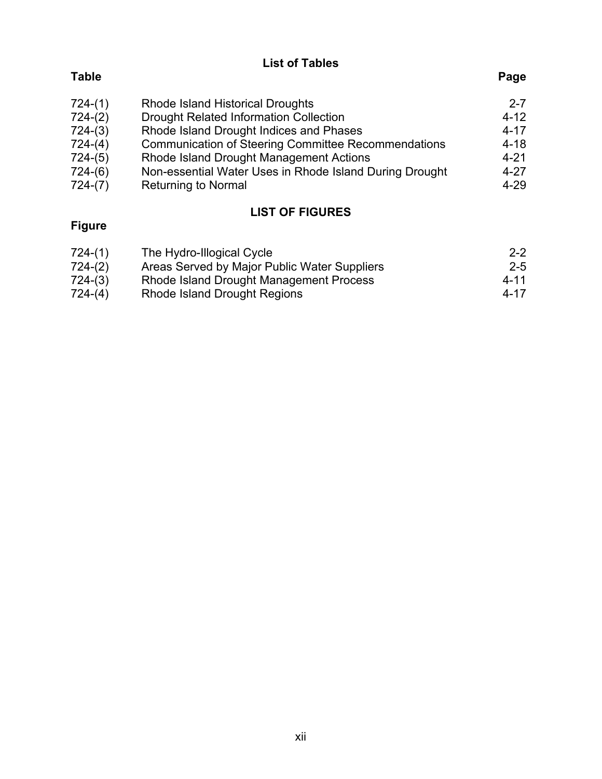**List of Tables** 

# **Table Page**

| $724-(1)$ | <b>Rhode Island Historical Droughts</b>                    | $2 - 7$  |
|-----------|------------------------------------------------------------|----------|
| $724-(2)$ | <b>Drought Related Information Collection</b>              | $4 - 12$ |
| $724-(3)$ | Rhode Island Drought Indices and Phases                    | $4 - 17$ |
| $724-(4)$ | <b>Communication of Steering Committee Recommendations</b> | $4 - 18$ |
| $724-(5)$ | Rhode Island Drought Management Actions                    | $4 - 21$ |
| $724-(6)$ | Non-essential Water Uses in Rhode Island During Drought    | $4 - 27$ |
| $724-(7)$ | <b>Returning to Normal</b>                                 | $4 - 29$ |

# **LIST OF FIGURES**

# **Figure**

| 724-(1) | The Hydro-Illogical Cycle                    | $2 - 2$ |
|---------|----------------------------------------------|---------|
| 724-(2) | Areas Served by Major Public Water Suppliers | $2 - 5$ |
| 724-(3) | Rhode Island Drought Management Process      | 4-11    |
| 724-(4) | Rhode Island Drought Regions                 | 4-17    |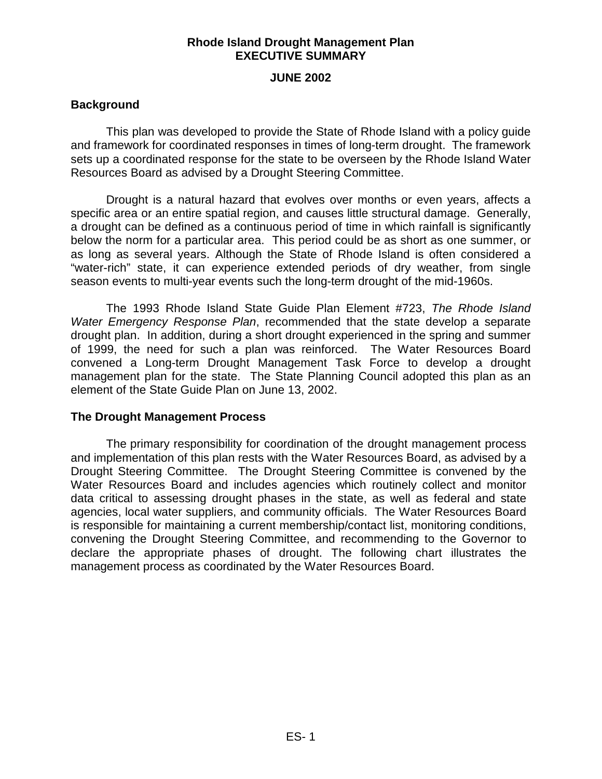### **JUNE 2002**

### **Background**

This plan was developed to provide the State of Rhode Island with a policy guide and framework for coordinated responses in times of long-term drought. The framework sets up a coordinated response for the state to be overseen by the Rhode Island Water Resources Board as advised by a Drought Steering Committee.

Drought is a natural hazard that evolves over months or even years, affects a specific area or an entire spatial region, and causes little structural damage. Generally, a drought can be defined as a continuous period of time in which rainfall is significantly below the norm for a particular area. This period could be as short as one summer, or as long as several years. Although the State of Rhode Island is often considered a "water-rich" state, it can experience extended periods of dry weather, from single season events to multi-year events such the long-term drought of the mid-1960s.

The 1993 Rhode Island State Guide Plan Element #723, *The Rhode Island Water Emergency Response Plan*, recommended that the state develop a separate drought plan. In addition, during a short drought experienced in the spring and summer of 1999, the need for such a plan was reinforced. The Water Resources Board convened a Long-term Drought Management Task Force to develop a drought management plan for the state. The State Planning Council adopted this plan as an element of the State Guide Plan on June 13, 2002.

### **The Drought Management Process**

The primary responsibility for coordination of the drought management process and implementation of this plan rests with the Water Resources Board, as advised by a Drought Steering Committee. The Drought Steering Committee is convened by the Water Resources Board and includes agencies which routinely collect and monitor data critical to assessing drought phases in the state, as well as federal and state agencies, local water suppliers, and community officials. The Water Resources Board is responsible for maintaining a current membership/contact list, monitoring conditions, convening the Drought Steering Committee, and recommending to the Governor to declare the appropriate phases of drought. The following chart illustrates the management process as coordinated by the Water Resources Board.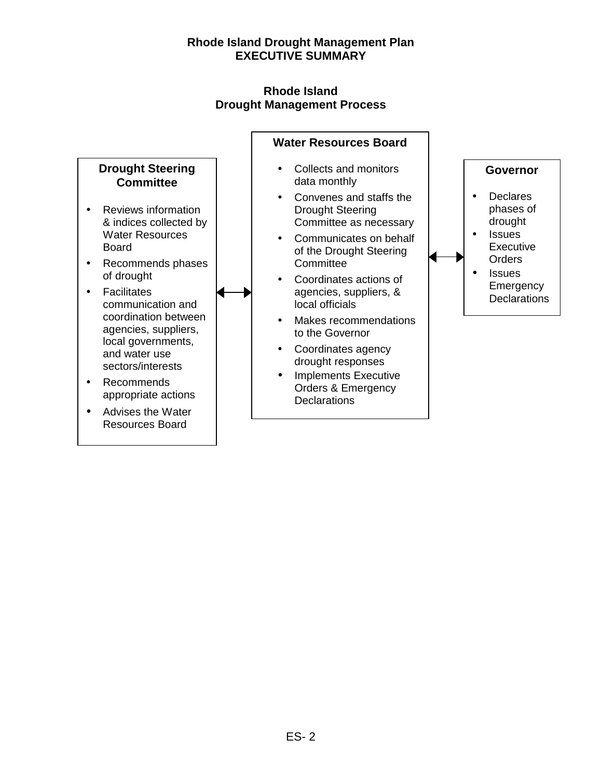### **Rhode Island Drought Management Process**

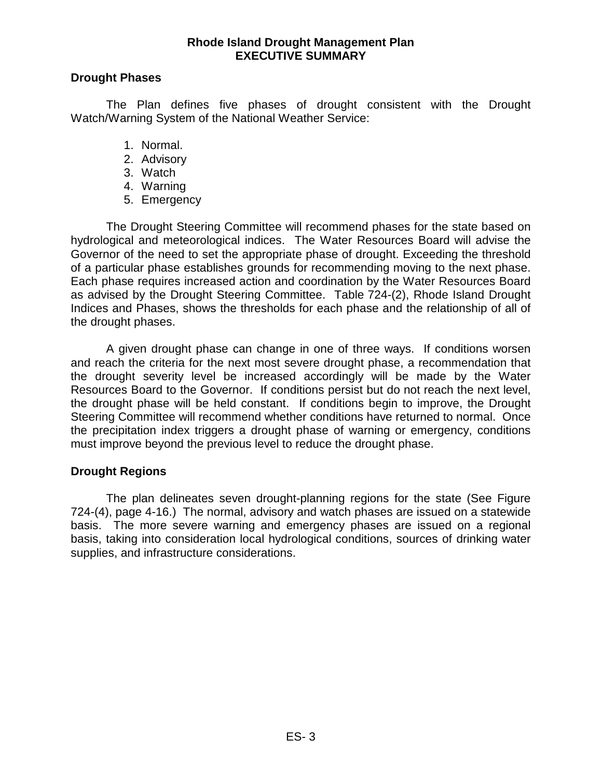### **Drought Phases**

The Plan defines five phases of drought consistent with the Drought Watch/Warning System of the National Weather Service:

- 1. Normal.
- 2. Advisory
- 3. Watch
- 4. Warning
- 5. Emergency

The Drought Steering Committee will recommend phases for the state based on hydrological and meteorological indices. The Water Resources Board will advise the Governor of the need to set the appropriate phase of drought. Exceeding the threshold of a particular phase establishes grounds for recommending moving to the next phase. Each phase requires increased action and coordination by the Water Resources Board as advised by the Drought Steering Committee. Table 724-(2), Rhode Island Drought Indices and Phases, shows the thresholds for each phase and the relationship of all of the drought phases.

A given drought phase can change in one of three ways. If conditions worsen and reach the criteria for the next most severe drought phase, a recommendation that the drought severity level be increased accordingly will be made by the Water Resources Board to the Governor. If conditions persist but do not reach the next level, the drought phase will be held constant. If conditions begin to improve, the Drought Steering Committee will recommend whether conditions have returned to normal. Once the precipitation index triggers a drought phase of warning or emergency, conditions must improve beyond the previous level to reduce the drought phase.

### **Drought Regions**

The plan delineates seven drought-planning regions for the state (See Figure 724-(4), page 4-16.) The normal, advisory and watch phases are issued on a statewide basis. The more severe warning and emergency phases are issued on a regional basis, taking into consideration local hydrological conditions, sources of drinking water supplies, and infrastructure considerations.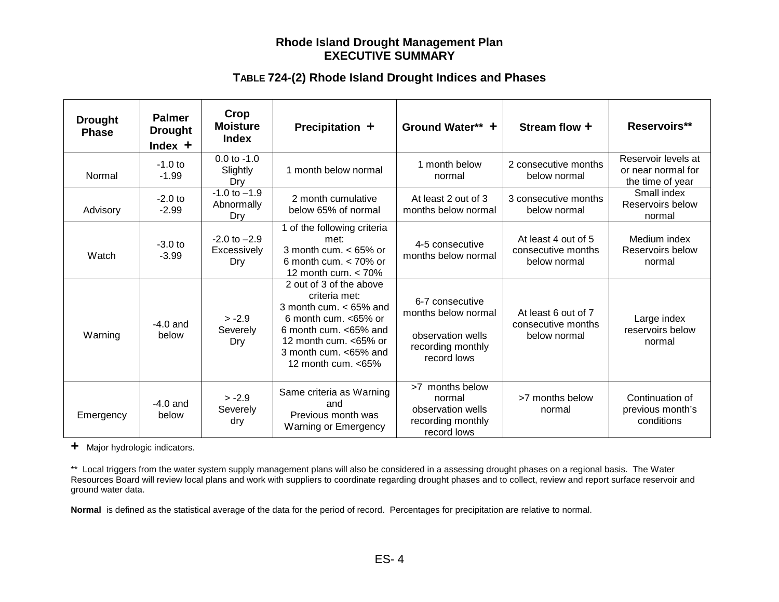### **TABLE 724-(2) Rhode Island Drought Indices and Phases**

| <b>Drought</b><br><b>Phase</b> | <b>Palmer</b><br><b>Drought</b><br>Index $+$ | Crop<br><b>Moisture</b><br>Index       | Precipitation +                                                                                                                                                                                   | Ground Water** +                                                                                | Stream flow +                                             | Reservoirs**                                                  |
|--------------------------------|----------------------------------------------|----------------------------------------|---------------------------------------------------------------------------------------------------------------------------------------------------------------------------------------------------|-------------------------------------------------------------------------------------------------|-----------------------------------------------------------|---------------------------------------------------------------|
| Normal                         | $-1.0$ to<br>$-1.99$                         | $0.0$ to $-1.0$<br>Slightly<br>Dry     | 1 month below normal                                                                                                                                                                              | 1 month below<br>normal                                                                         | 2 consecutive months<br>below normal                      | Reservoir levels at<br>or near normal for<br>the time of year |
| Advisory                       | $-2.0$ to<br>$-2.99$                         | $-1.0$ to $-1.9$<br>Abnormally<br>Dry  | 2 month cumulative<br>below 65% of normal                                                                                                                                                         | At least 2 out of 3<br>months below normal                                                      | 3 consecutive months<br>below normal                      | Small index<br>Reservoirs below<br>normal                     |
| Watch                          | $-3.0$ to<br>$-3.99$                         | $-2.0$ to $-2.9$<br>Excessively<br>Dry | 1 of the following criteria<br>met:<br>3 month cum. $< 65\%$ or<br>6 month cum. $<$ 70% or<br>12 month cum. $<$ 70%                                                                               | 4-5 consecutive<br>months below normal                                                          | At least 4 out of 5<br>consecutive months<br>below normal | Medium index<br>Reservoirs below<br>normal                    |
| Warning                        | $-4.0$ and<br>below                          | $> -2.9$<br>Severely<br>Dry            | 2 out of 3 of the above<br>criteria met:<br>3 month cum. $< 65\%$ and<br>6 month cum. $<65\%$ or<br>6 month cum. <65% and<br>12 month cum. <65% or<br>3 month cum. <65% and<br>12 month cum. <65% | 6-7 consecutive<br>months below normal<br>observation wells<br>recording monthly<br>record lows | At least 6 out of 7<br>consecutive months<br>below normal | Large index<br>reservoirs below<br>normal                     |
| Emergency                      | $-4.0$ and<br>below                          | $> -2.9$<br>Severely<br>dry            | Same criteria as Warning<br>and<br>Previous month was<br><b>Warning or Emergency</b>                                                                                                              | >7 months below<br>normal<br>observation wells<br>recording monthly<br>record lows              | >7 months below<br>normal                                 | Continuation of<br>previous month's<br>conditions             |

**+** Major hydrologic indicators.

\*\* Local triggers from the water system supply management plans will also be considered in a assessing drought phases on a regional basis. The Water Resources Board will review local plans and work with suppliers to coordinate regarding drought phases and to collect, review and report surface reservoir and ground water data.

**Normal** is defined as the statistical average of the data for the period of record. Percentages for precipitation are relative to normal.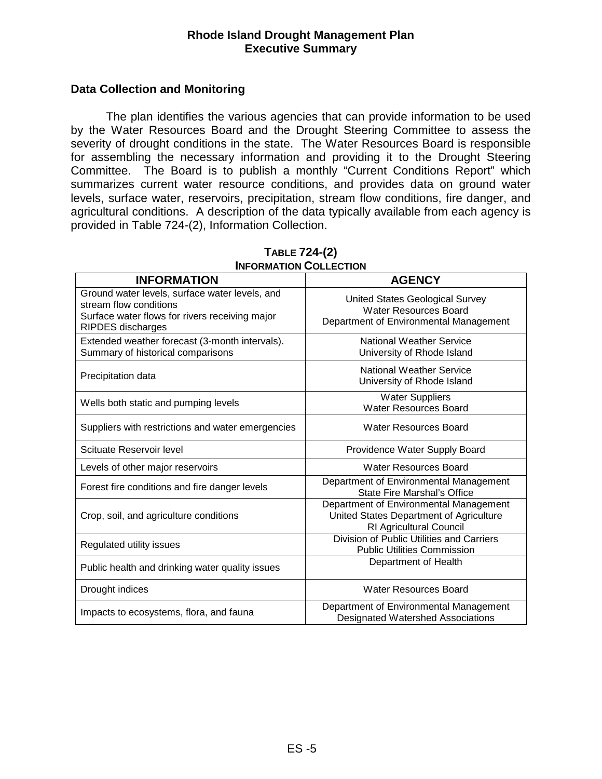### **Rhode Island Drought Management Plan Executive Summary**

### **Data Collection and Monitoring**

The plan identifies the various agencies that can provide information to be used by the Water Resources Board and the Drought Steering Committee to assess the severity of drought conditions in the state. The Water Resources Board is responsible for assembling the necessary information and providing it to the Drought Steering Committee. The Board is to publish a monthly "Current Conditions Report" which summarizes current water resource conditions, and provides data on ground water levels, surface water, reservoirs, precipitation, stream flow conditions, fire danger, and agricultural conditions. A description of the data typically available from each agency is provided in Table 724-(2), Information Collection.

| <b>INFORMATION</b>                                                                                                                                     | <b>AGENCY</b>                                                                                                       |
|--------------------------------------------------------------------------------------------------------------------------------------------------------|---------------------------------------------------------------------------------------------------------------------|
| Ground water levels, surface water levels, and<br>stream flow conditions<br>Surface water flows for rivers receiving major<br><b>RIPDES</b> discharges | United States Geological Survey<br>Water Resources Board<br>Department of Environmental Management                  |
| Extended weather forecast (3-month intervals).<br>Summary of historical comparisons                                                                    | National Weather Service<br>University of Rhode Island                                                              |
| Precipitation data                                                                                                                                     | <b>National Weather Service</b><br>University of Rhode Island                                                       |
| Wells both static and pumping levels                                                                                                                   | <b>Water Suppliers</b><br><b>Water Resources Board</b>                                                              |
| Suppliers with restrictions and water emergencies                                                                                                      | Water Resources Board                                                                                               |
| Scituate Reservoir level                                                                                                                               | Providence Water Supply Board                                                                                       |
| Levels of other major reservoirs                                                                                                                       | <b>Water Resources Board</b>                                                                                        |
| Forest fire conditions and fire danger levels                                                                                                          | Department of Environmental Management<br>State Fire Marshal's Office                                               |
| Crop, soil, and agriculture conditions                                                                                                                 | Department of Environmental Management<br>United States Department of Agriculture<br><b>RI Agricultural Council</b> |
| Regulated utility issues                                                                                                                               | Division of Public Utilities and Carriers<br><b>Public Utilities Commission</b>                                     |
| Public health and drinking water quality issues                                                                                                        | Department of Health                                                                                                |
| Drought indices                                                                                                                                        | <b>Water Resources Board</b>                                                                                        |
| Impacts to ecosystems, flora, and fauna                                                                                                                | Department of Environmental Management<br><b>Designated Watershed Associations</b>                                  |

#### **TABLE 724-(2) INFORMATION COLLECTION**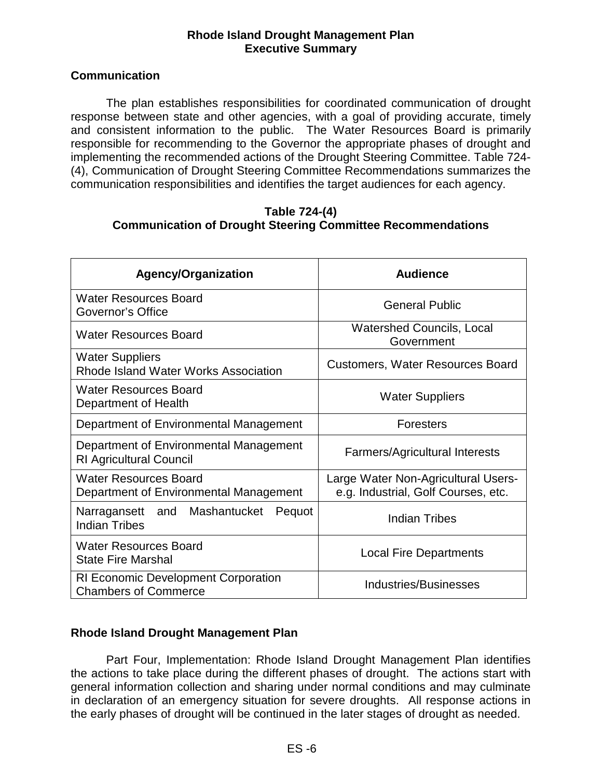### **Rhode Island Drought Management Plan Executive Summary**

### **Communication**

The plan establishes responsibilities for coordinated communication of drought response between state and other agencies, with a goal of providing accurate, timely and consistent information to the public. The Water Resources Board is primarily responsible for recommending to the Governor the appropriate phases of drought and implementing the recommended actions of the Drought Steering Committee. Table 724- (4), Communication of Drought Steering Committee Recommendations summarizes the communication responsibilities and identifies the target audiences for each agency.

#### **Table 724-(4) Communication of Drought Steering Committee Recommendations**

| <b>Agency/Organization</b>                                               | Audience                                                                   |  |
|--------------------------------------------------------------------------|----------------------------------------------------------------------------|--|
| <b>Water Resources Board</b><br>Governor's Office                        | <b>General Public</b>                                                      |  |
| Water Resources Board                                                    | <b>Watershed Councils, Local</b><br>Government                             |  |
| <b>Water Suppliers</b><br>Rhode Island Water Works Association           | <b>Customers, Water Resources Board</b>                                    |  |
| <b>Water Resources Board</b><br>Department of Health                     | <b>Water Suppliers</b>                                                     |  |
| Department of Environmental Management                                   | <b>Foresters</b>                                                           |  |
| Department of Environmental Management<br><b>RI Agricultural Council</b> | <b>Farmers/Agricultural Interests</b>                                      |  |
| <b>Water Resources Board</b><br>Department of Environmental Management   | Large Water Non-Agricultural Users-<br>e.g. Industrial, Golf Courses, etc. |  |
| Narragansett and Mashantucket<br>Pequot<br><b>Indian Tribes</b>          | <b>Indian Tribes</b>                                                       |  |
| <b>Water Resources Board</b><br><b>State Fire Marshal</b>                | <b>Local Fire Departments</b>                                              |  |
| RI Economic Development Corporation<br><b>Chambers of Commerce</b>       | Industries/Businesses                                                      |  |

### **Rhode Island Drought Management Plan**

Part Four, Implementation: Rhode Island Drought Management Plan identifies the actions to take place during the different phases of drought. The actions start with general information collection and sharing under normal conditions and may culminate in declaration of an emergency situation for severe droughts. All response actions in the early phases of drought will be continued in the later stages of drought as needed.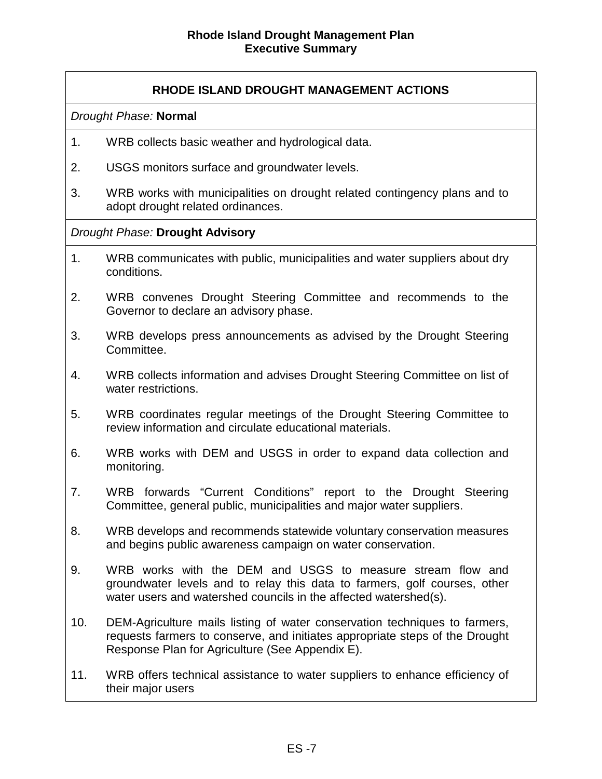### **RHODE ISLAND DROUGHT MANAGEMENT ACTIONS**

*Drought Phase:* **Normal** 

- 1. WRB collects basic weather and hydrological data.
- 2. USGS monitors surface and groundwater levels.
- 3. WRB works with municipalities on drought related contingency plans and to adopt drought related ordinances.

#### *Drought Phase:* **Drought Advisory**

- 1. WRB communicates with public, municipalities and water suppliers about dry conditions.
- 2. WRB convenes Drought Steering Committee and recommends to the Governor to declare an advisory phase.
- 3. WRB develops press announcements as advised by the Drought Steering Committee.
- 4. WRB collects information and advises Drought Steering Committee on list of water restrictions.
- 5. WRB coordinates regular meetings of the Drought Steering Committee to review information and circulate educational materials.
- 6. WRB works with DEM and USGS in order to expand data collection and monitoring.
- 7. WRB forwards "Current Conditions" report to the Drought Steering Committee, general public, municipalities and major water suppliers.
- 8. WRB develops and recommends statewide voluntary conservation measures and begins public awareness campaign on water conservation.
- 9. WRB works with the DEM and USGS to measure stream flow and groundwater levels and to relay this data to farmers, golf courses, other water users and watershed councils in the affected watershed(s).
- 10. DEM-Agriculture mails listing of water conservation techniques to farmers, requests farmers to conserve, and initiates appropriate steps of the Drought Response Plan for Agriculture (See Appendix E).
- 11. WRB offers technical assistance to water suppliers to enhance efficiency of their major users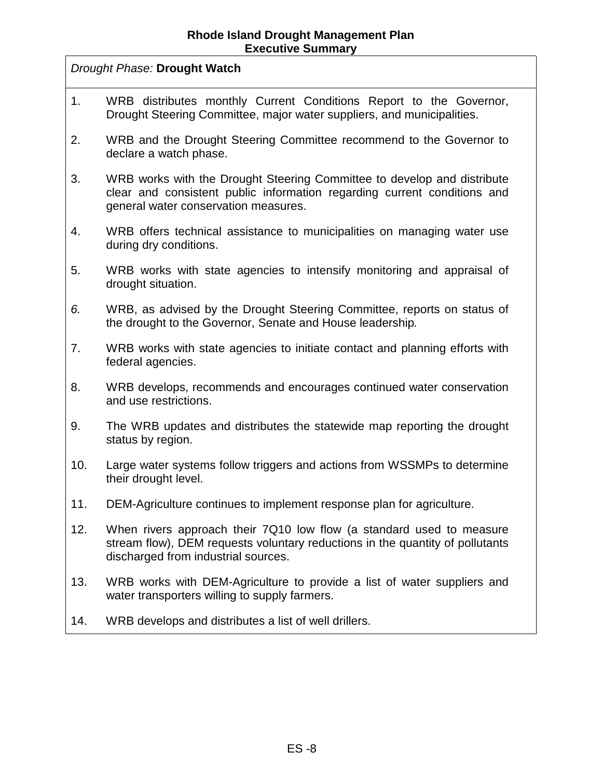*Drought Phase:* **Drought Watch**

- 1. WRB distributes monthly Current Conditions Report to the Governor, Drought Steering Committee, major water suppliers, and municipalities.
- 2. WRB and the Drought Steering Committee recommend to the Governor to declare a watch phase.
- 3. WRB works with the Drought Steering Committee to develop and distribute clear and consistent public information regarding current conditions and general water conservation measures.
- 4. WRB offers technical assistance to municipalities on managing water use during dry conditions.
- 5. WRB works with state agencies to intensify monitoring and appraisal of drought situation.
- *6.* WRB, as advised by the Drought Steering Committee, reports on status of the drought to the Governor, Senate and House leadership*.*
- 7. WRB works with state agencies to initiate contact and planning efforts with federal agencies.
- 8. WRB develops, recommends and encourages continued water conservation and use restrictions.
- 9. The WRB updates and distributes the statewide map reporting the drought status by region.
- 10. Large water systems follow triggers and actions from WSSMPs to determine their drought level.
- 11. DEM-Agriculture continues to implement response plan for agriculture.
- 12. When rivers approach their 7Q10 low flow (a standard used to measure stream flow), DEM requests voluntary reductions in the quantity of pollutants discharged from industrial sources.
- 13. WRB works with DEM-Agriculture to provide a list of water suppliers and water transporters willing to supply farmers.
- 14. WRB develops and distributes a list of well drillers.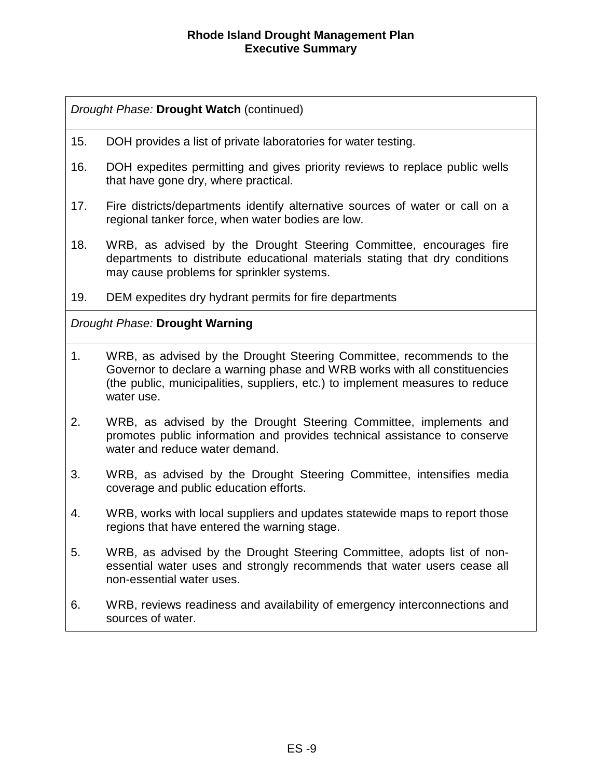### *Drought Phase:* **Drought Watch** (continued)

- 15. DOH provides a list of private laboratories for water testing.
- 16. DOH expedites permitting and gives priority reviews to replace public wells that have gone dry, where practical.
- 17. Fire districts/departments identify alternative sources of water or call on a regional tanker force, when water bodies are low.
- 18. WRB, as advised by the Drought Steering Committee, encourages fire departments to distribute educational materials stating that dry conditions may cause problems for sprinkler systems.
- 19. DEM expedites dry hydrant permits for fire departments

## *Drought Phase:* **Drought Warning**

- 1. WRB, as advised by the Drought Steering Committee, recommends to the Governor to declare a warning phase and WRB works with all constituencies (the public, municipalities, suppliers, etc.) to implement measures to reduce water use.
- 2. WRB, as advised by the Drought Steering Committee, implements and promotes public information and provides technical assistance to conserve water and reduce water demand.
- 3. WRB, as advised by the Drought Steering Committee, intensifies media coverage and public education efforts.
- 4. WRB, works with local suppliers and updates statewide maps to report those regions that have entered the warning stage.
- 5. WRB, as advised by the Drought Steering Committee, adopts list of nonessential water uses and strongly recommends that water users cease all non-essential water uses.
- 6. WRB, reviews readiness and availability of emergency interconnections and sources of water.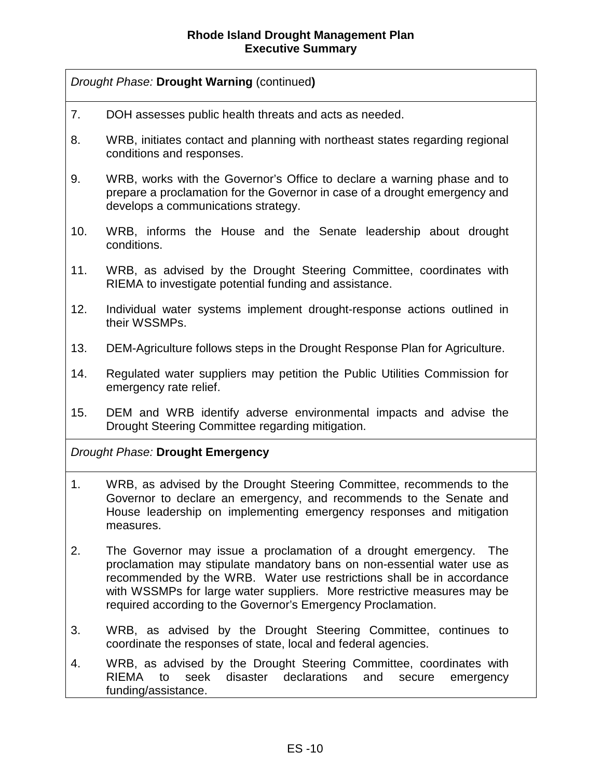### *Drought Phase:* **Drought Warning** (continued**)**

- 7. DOH assesses public health threats and acts as needed.
- 8. WRB, initiates contact and planning with northeast states regarding regional conditions and responses.
- 9. WRB, works with the Governor's Office to declare a warning phase and to prepare a proclamation for the Governor in case of a drought emergency and develops a communications strategy.
- 10. WRB, informs the House and the Senate leadership about drought conditions.
- 11. WRB, as advised by the Drought Steering Committee, coordinates with RIEMA to investigate potential funding and assistance.
- 12. Individual water systems implement drought-response actions outlined in their WSSMPs.
- 13. DEM-Agriculture follows steps in the Drought Response Plan for Agriculture.
- 14. Regulated water suppliers may petition the Public Utilities Commission for emergency rate relief.
- 15. DEM and WRB identify adverse environmental impacts and advise the Drought Steering Committee regarding mitigation.

### *Drought Phase:* **Drought Emergency**

- 1. WRB, as advised by the Drought Steering Committee, recommends to the Governor to declare an emergency, and recommends to the Senate and House leadership on implementing emergency responses and mitigation measures.
- 2. The Governor may issue a proclamation of a drought emergency. The proclamation may stipulate mandatory bans on non-essential water use as recommended by the WRB. Water use restrictions shall be in accordance with WSSMPs for large water suppliers. More restrictive measures may be required according to the Governor's Emergency Proclamation.
- 3. WRB, as advised by the Drought Steering Committee, continues to coordinate the responses of state, local and federal agencies.
- 4. WRB, as advised by the Drought Steering Committee, coordinates with RIEMA to seek disaster declarations and secure emergency funding/assistance.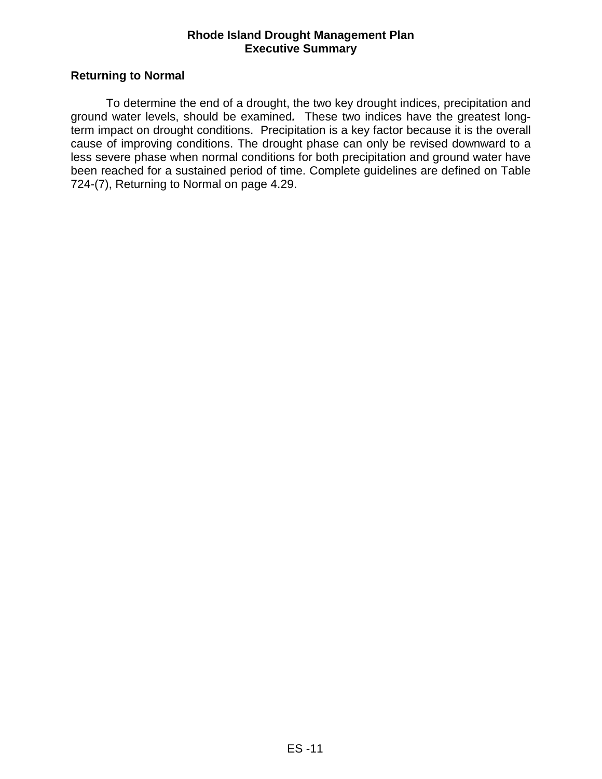### **Rhode Island Drought Management Plan Executive Summary**

### **Returning to Normal**

 To determine the end of a drought, the two key drought indices, precipitation and ground water levels, should be examined*.* These two indices have the greatest longterm impact on drought conditions. Precipitation is a key factor because it is the overall cause of improving conditions. The drought phase can only be revised downward to a less severe phase when normal conditions for both precipitation and ground water have been reached for a sustained period of time. Complete guidelines are defined on Table 724-(7), Returning to Normal on page 4.29.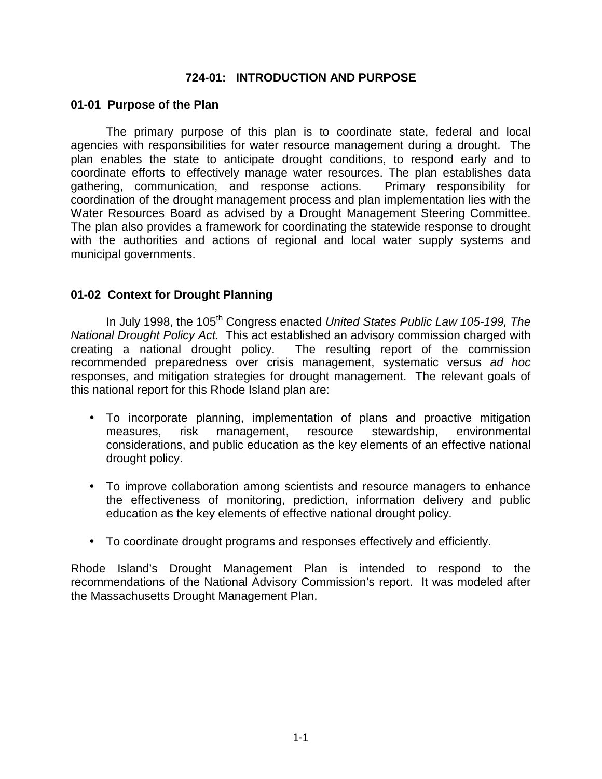### **724-01: INTRODUCTION AND PURPOSE**

#### **01-01 Purpose of the Plan**

The primary purpose of this plan is to coordinate state, federal and local agencies with responsibilities for water resource management during a drought. The plan enables the state to anticipate drought conditions, to respond early and to coordinate efforts to effectively manage water resources. The plan establishes data gathering, communication, and response actions. Primary responsibility for coordination of the drought management process and plan implementation lies with the Water Resources Board as advised by a Drought Management Steering Committee. The plan also provides a framework for coordinating the statewide response to drought with the authorities and actions of regional and local water supply systems and municipal governments.

### **01-02 Context for Drought Planning**

In July 1998, the 105<sup>th</sup> Congress enacted *United States Public Law 105-199*, The *National Drought Policy Act.* This act established an advisory commission charged with creating a national drought policy. The resulting report of the commission recommended preparedness over crisis management, systematic versus *ad hoc*  responses, and mitigation strategies for drought management. The relevant goals of this national report for this Rhode Island plan are:

- To incorporate planning, implementation of plans and proactive mitigation measures, risk management, resource stewardship, environmental considerations, and public education as the key elements of an effective national drought policy.
- To improve collaboration among scientists and resource managers to enhance the effectiveness of monitoring, prediction, information delivery and public education as the key elements of effective national drought policy.
- To coordinate drought programs and responses effectively and efficiently.

Rhode Island's Drought Management Plan is intended to respond to the recommendations of the National Advisory Commission's report. It was modeled after the Massachusetts Drought Management Plan.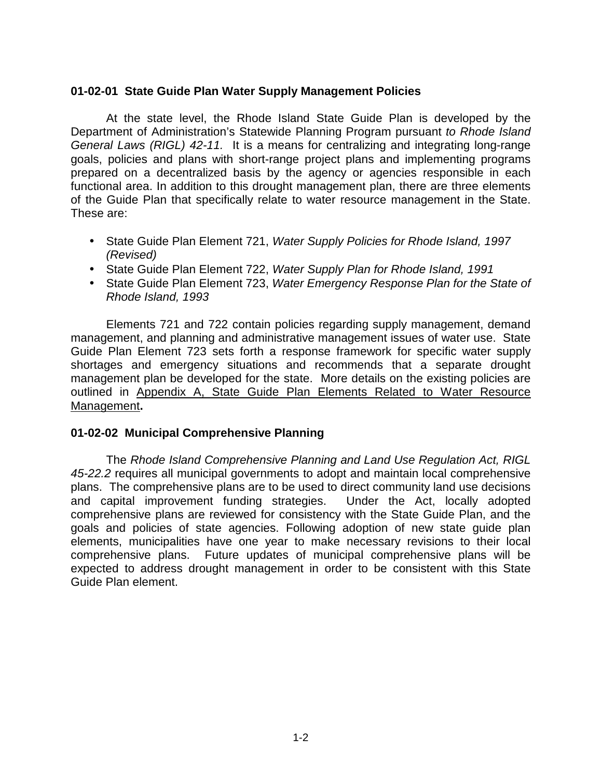### **01-02-01 State Guide Plan Water Supply Management Policies**

At the state level, the Rhode Island State Guide Plan is developed by the Department of Administration's Statewide Planning Program pursuant *to Rhode Island General Laws (RIGL) 42-11.* It is a means for centralizing and integrating long-range goals, policies and plans with short-range project plans and implementing programs prepared on a decentralized basis by the agency or agencies responsible in each functional area. In addition to this drought management plan, there are three elements of the Guide Plan that specifically relate to water resource management in the State. These are:

- State Guide Plan Element 721, *Water Supply Policies for Rhode Island, 1997 (Revised)*
- State Guide Plan Element 722, *Water Supply Plan for Rhode Island, 1991*
- State Guide Plan Element 723, *Water Emergency Response Plan for the State of Rhode Island, 1993*

Elements 721 and 722 contain policies regarding supply management, demand management, and planning and administrative management issues of water use. State Guide Plan Element 723 sets forth a response framework for specific water supply shortages and emergency situations and recommends that a separate drought management plan be developed for the state. More details on the existing policies are outlined in Appendix A, State Guide Plan Elements Related to Water Resource Management**.**

### **01-02-02 Municipal Comprehensive Planning**

The *Rhode Island Comprehensive Planning and Land Use Regulation Act, RIGL 45-22.2* requires all municipal governments to adopt and maintain local comprehensive plans. The comprehensive plans are to be used to direct community land use decisions and capital improvement funding strategies. Under the Act, locally adopted comprehensive plans are reviewed for consistency with the State Guide Plan, and the goals and policies of state agencies. Following adoption of new state guide plan elements, municipalities have one year to make necessary revisions to their local comprehensive plans. Future updates of municipal comprehensive plans will be expected to address drought management in order to be consistent with this State Guide Plan element.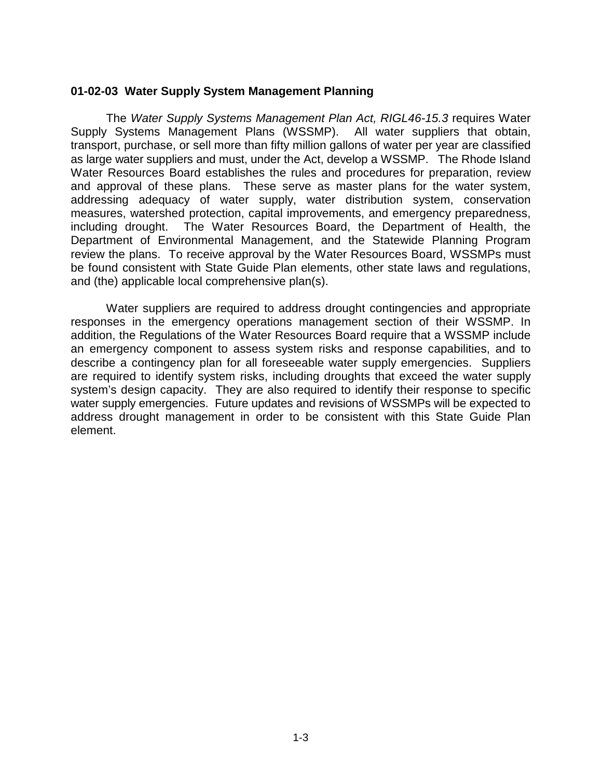#### **01-02-03 Water Supply System Management Planning**

The *Water Supply Systems Management Plan Act, RIGL46-15.3* requires Water Supply Systems Management Plans (WSSMP). All water suppliers that obtain, transport, purchase, or sell more than fifty million gallons of water per year are classified as large water suppliers and must, under the Act, develop a WSSMP. The Rhode Island Water Resources Board establishes the rules and procedures for preparation, review and approval of these plans. These serve as master plans for the water system, addressing adequacy of water supply, water distribution system, conservation measures, watershed protection, capital improvements, and emergency preparedness, including drought. The Water Resources Board, the Department of Health, the Department of Environmental Management, and the Statewide Planning Program review the plans. To receive approval by the Water Resources Board, WSSMPs must be found consistent with State Guide Plan elements, other state laws and regulations, and (the) applicable local comprehensive plan(s).

Water suppliers are required to address drought contingencies and appropriate responses in the emergency operations management section of their WSSMP. In addition, the Regulations of the Water Resources Board require that a WSSMP include an emergency component to assess system risks and response capabilities, and to describe a contingency plan for all foreseeable water supply emergencies. Suppliers are required to identify system risks, including droughts that exceed the water supply system's design capacity. They are also required to identify their response to specific water supply emergencies. Future updates and revisions of WSSMPs will be expected to address drought management in order to be consistent with this State Guide Plan element.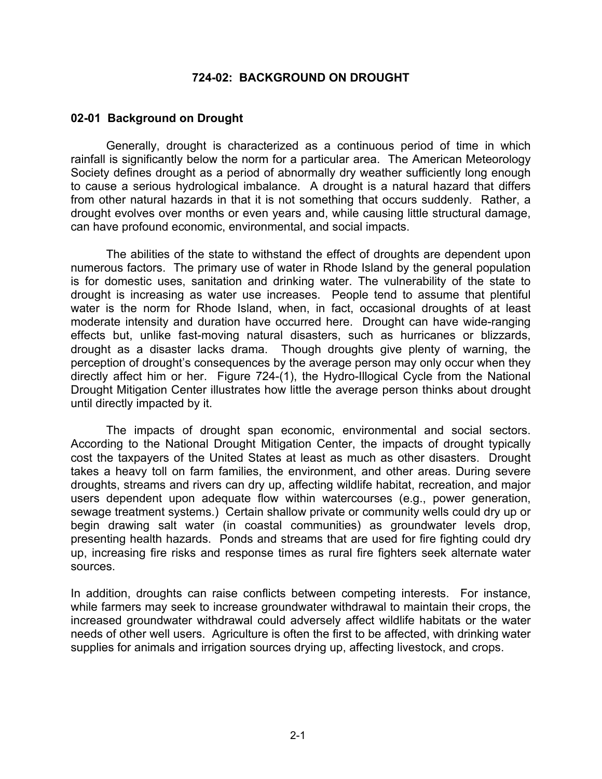#### **724-02: BACKGROUND ON DROUGHT**

#### **02-01 Background on Drought**

Generally, drought is characterized as a continuous period of time in which rainfall is significantly below the norm for a particular area. The American Meteorology Society defines drought as a period of abnormally dry weather sufficiently long enough to cause a serious hydrological imbalance. A drought is a natural hazard that differs from other natural hazards in that it is not something that occurs suddenly. Rather, a drought evolves over months or even years and, while causing little structural damage, can have profound economic, environmental, and social impacts.

The abilities of the state to withstand the effect of droughts are dependent upon numerous factors. The primary use of water in Rhode Island by the general population is for domestic uses, sanitation and drinking water. The vulnerability of the state to drought is increasing as water use increases. People tend to assume that plentiful water is the norm for Rhode Island, when, in fact, occasional droughts of at least moderate intensity and duration have occurred here. Drought can have wide-ranging effects but, unlike fast-moving natural disasters, such as hurricanes or blizzards, drought as a disaster lacks drama. Though droughts give plenty of warning, the perception of drought's consequences by the average person may only occur when they directly affect him or her. Figure 724-(1), the Hydro-Illogical Cycle from the National Drought Mitigation Center illustrates how little the average person thinks about drought until directly impacted by it.

The impacts of drought span economic, environmental and social sectors. According to the National Drought Mitigation Center, the impacts of drought typically cost the taxpayers of the United States at least as much as other disasters. Drought takes a heavy toll on farm families, the environment, and other areas. During severe droughts, streams and rivers can dry up, affecting wildlife habitat, recreation, and major users dependent upon adequate flow within watercourses (e.g., power generation, sewage treatment systems.) Certain shallow private or community wells could dry up or begin drawing salt water (in coastal communities) as groundwater levels drop, presenting health hazards. Ponds and streams that are used for fire fighting could dry up, increasing fire risks and response times as rural fire fighters seek alternate water sources.

In addition, droughts can raise conflicts between competing interests. For instance, while farmers may seek to increase groundwater withdrawal to maintain their crops, the increased groundwater withdrawal could adversely affect wildlife habitats or the water needs of other well users. Agriculture is often the first to be affected, with drinking water supplies for animals and irrigation sources drying up, affecting livestock, and crops.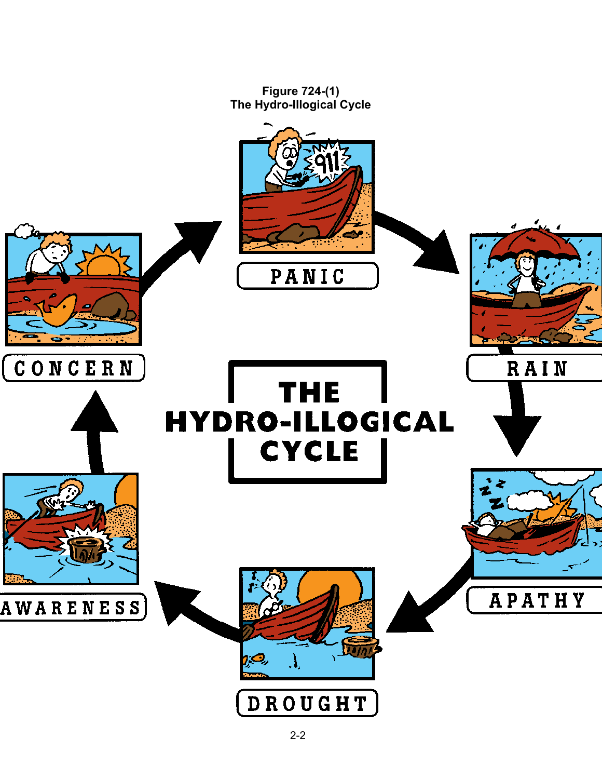**Figure 724-(1) The Hydro-Illogical Cycle** 

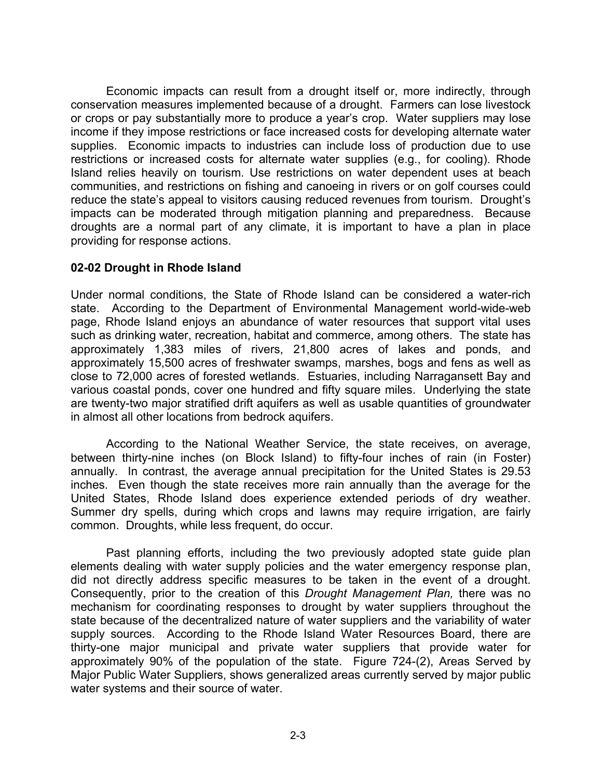Economic impacts can result from a drought itself or, more indirectly, through conservation measures implemented because of a drought. Farmers can lose livestock or crops or pay substantially more to produce a year's crop. Water suppliers may lose income if they impose restrictions or face increased costs for developing alternate water supplies. Economic impacts to industries can include loss of production due to use restrictions or increased costs for alternate water supplies (e.g., for cooling). Rhode Island relies heavily on tourism. Use restrictions on water dependent uses at beach communities, and restrictions on fishing and canoeing in rivers or on golf courses could reduce the state's appeal to visitors causing reduced revenues from tourism. Drought's impacts can be moderated through mitigation planning and preparedness. Because droughts are a normal part of any climate, it is important to have a plan in place providing for response actions.

### **02-02 Drought in Rhode Island**

Under normal conditions, the State of Rhode Island can be considered a water-rich state. According to the Department of Environmental Management world-wide-web page, Rhode Island enjoys an abundance of water resources that support vital uses such as drinking water, recreation, habitat and commerce, among others. The state has approximately 1,383 miles of rivers, 21,800 acres of lakes and ponds, and approximately 15,500 acres of freshwater swamps, marshes, bogs and fens as well as close to 72,000 acres of forested wetlands. Estuaries, including Narragansett Bay and various coastal ponds, cover one hundred and fifty square miles. Underlying the state are twenty-two major stratified drift aquifers as well as usable quantities of groundwater in almost all other locations from bedrock aquifers.

According to the National Weather Service, the state receives, on average, between thirty-nine inches (on Block Island) to fifty-four inches of rain (in Foster) annually. In contrast, the average annual precipitation for the United States is 29.53 inches. Even though the state receives more rain annually than the average for the United States, Rhode Island does experience extended periods of dry weather. Summer dry spells, during which crops and lawns may require irrigation, are fairly common. Droughts, while less frequent, do occur.

Past planning efforts, including the two previously adopted state guide plan elements dealing with water supply policies and the water emergency response plan, did not directly address specific measures to be taken in the event of a drought. Consequently, prior to the creation of this *Drought Management Plan,* there was no mechanism for coordinating responses to drought by water suppliers throughout the state because of the decentralized nature of water suppliers and the variability of water supply sources. According to the Rhode Island Water Resources Board, there are thirty-one major municipal and private water suppliers that provide water for approximately 90% of the population of the state. Figure 724-(2), Areas Served by Major Public Water Suppliers, shows generalized areas currently served by major public water systems and their source of water.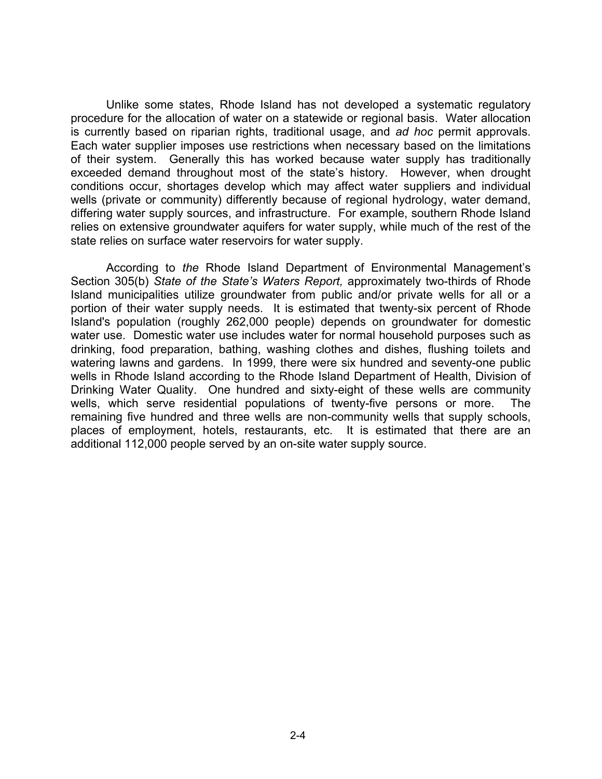Unlike some states, Rhode Island has not developed a systematic regulatory procedure for the allocation of water on a statewide or regional basis. Water allocation is currently based on riparian rights, traditional usage, and *ad hoc* permit approvals. Each water supplier imposes use restrictions when necessary based on the limitations of their system. Generally this has worked because water supply has traditionally exceeded demand throughout most of the state's history. However, when drought conditions occur, shortages develop which may affect water suppliers and individual wells (private or community) differently because of regional hydrology, water demand, differing water supply sources, and infrastructure. For example, southern Rhode Island relies on extensive groundwater aquifers for water supply, while much of the rest of the state relies on surface water reservoirs for water supply.

According to *the* Rhode Island Department of Environmental Management's Section 305(b) *State of the State's Waters Report,* approximately two-thirds of Rhode Island municipalities utilize groundwater from public and/or private wells for all or a portion of their water supply needs. It is estimated that twenty-six percent of Rhode Island's population (roughly 262,000 people) depends on groundwater for domestic water use. Domestic water use includes water for normal household purposes such as drinking, food preparation, bathing, washing clothes and dishes, flushing toilets and watering lawns and gardens. In 1999, there were six hundred and seventy-one public wells in Rhode Island according to the Rhode Island Department of Health, Division of Drinking Water Quality. One hundred and sixty-eight of these wells are community wells, which serve residential populations of twenty-five persons or more. The remaining five hundred and three wells are non-community wells that supply schools, places of employment, hotels, restaurants, etc. It is estimated that there are an additional 112,000 people served by an on-site water supply source.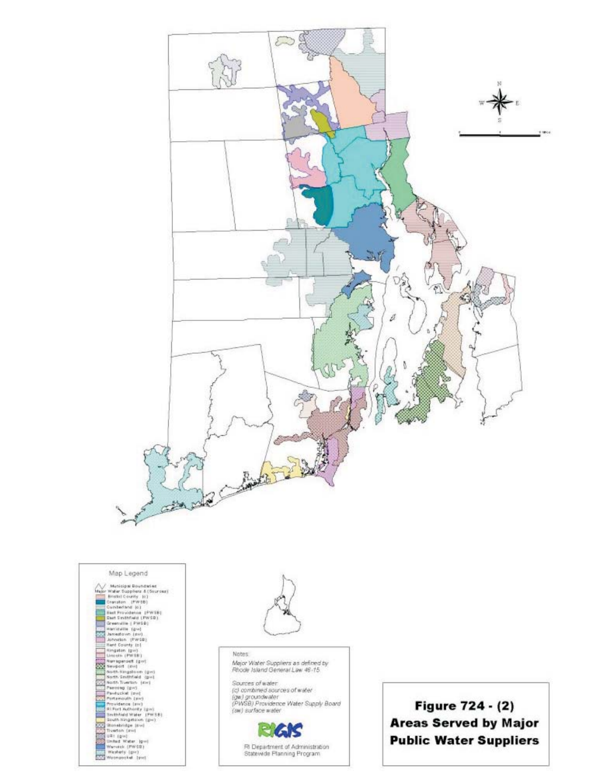





Notes Major Water Suppliers as defined by<br>Rhode Island General Law 46-15

Sources of water: (c) combined sources of water (gw) groundwater<br>(PWSB) Providence Water Supply Board (sw) surface water

> 2-5 Fil Department of Administration<br>Statewide Planning Program

Figure 724 - (2) **Areas Served by Major Public Water Suppliers**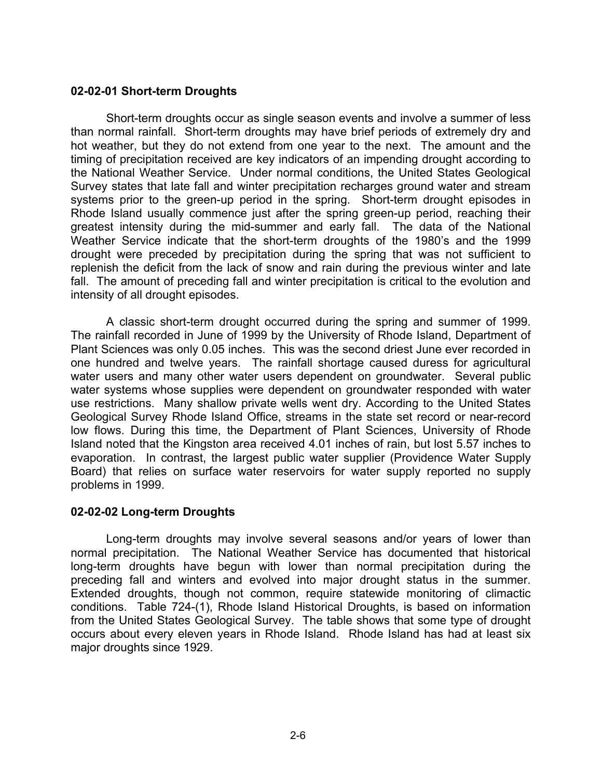### **02-02-01 Short-term Droughts**

Short-term droughts occur as single season events and involve a summer of less than normal rainfall. Short-term droughts may have brief periods of extremely dry and hot weather, but they do not extend from one year to the next. The amount and the timing of precipitation received are key indicators of an impending drought according to the National Weather Service. Under normal conditions, the United States Geological Survey states that late fall and winter precipitation recharges ground water and stream systems prior to the green-up period in the spring. Short-term drought episodes in Rhode Island usually commence just after the spring green-up period, reaching their greatest intensity during the mid-summer and early fall. The data of the National Weather Service indicate that the short-term droughts of the 1980's and the 1999 drought were preceded by precipitation during the spring that was not sufficient to replenish the deficit from the lack of snow and rain during the previous winter and late fall. The amount of preceding fall and winter precipitation is critical to the evolution and intensity of all drought episodes.

A classic short-term drought occurred during the spring and summer of 1999. The rainfall recorded in June of 1999 by the University of Rhode Island, Department of Plant Sciences was only 0.05 inches. This was the second driest June ever recorded in one hundred and twelve years. The rainfall shortage caused duress for agricultural water users and many other water users dependent on groundwater. Several public water systems whose supplies were dependent on groundwater responded with water use restrictions. Many shallow private wells went dry. According to the United States Geological Survey Rhode Island Office, streams in the state set record or near-record low flows. During this time, the Department of Plant Sciences, University of Rhode Island noted that the Kingston area received 4.01 inches of rain, but lost 5.57 inches to evaporation. In contrast, the largest public water supplier (Providence Water Supply Board) that relies on surface water reservoirs for water supply reported no supply problems in 1999.

### **02-02-02 Long-term Droughts**

Long-term droughts may involve several seasons and/or years of lower than normal precipitation. The National Weather Service has documented that historical long-term droughts have begun with lower than normal precipitation during the preceding fall and winters and evolved into major drought status in the summer. Extended droughts, though not common, require statewide monitoring of climactic conditions. Table 724-(1), Rhode Island Historical Droughts, is based on information from the United States Geological Survey. The table shows that some type of drought occurs about every eleven years in Rhode Island. Rhode Island has had at least six major droughts since 1929.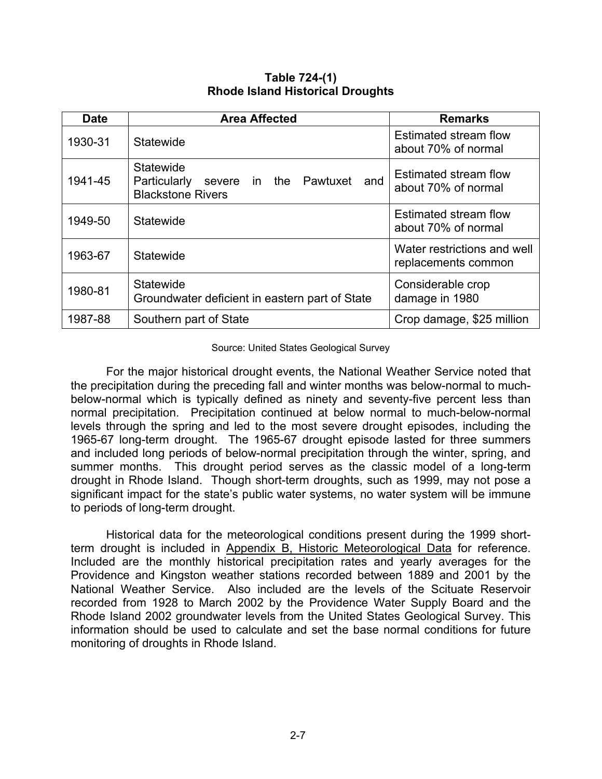| <b>Date</b> | <b>Area Affected</b>                                                                                   | <b>Remarks</b>                                     |
|-------------|--------------------------------------------------------------------------------------------------------|----------------------------------------------------|
| 1930-31     | Statewide                                                                                              | Estimated stream flow<br>about 70% of normal       |
| 1941-45     | <b>Statewide</b><br>Pawtuxet<br>and<br>Particularly<br>the<br>in<br>severe<br><b>Blackstone Rivers</b> | Estimated stream flow<br>about 70% of normal       |
| 1949-50     | Statewide                                                                                              | Estimated stream flow<br>about 70% of normal       |
| 1963-67     | Statewide                                                                                              | Water restrictions and well<br>replacements common |
| 1980-81     | <b>Statewide</b><br>Groundwater deficient in eastern part of State                                     | Considerable crop<br>damage in 1980                |
| 1987-88     | Southern part of State                                                                                 | Crop damage, \$25 million                          |

**Table 724-(1) Rhode Island Historical Droughts** 

#### Source: United States Geological Survey

For the major historical drought events, the National Weather Service noted that the precipitation during the preceding fall and winter months was below-normal to muchbelow-normal which is typically defined as ninety and seventy-five percent less than normal precipitation. Precipitation continued at below normal to much-below-normal levels through the spring and led to the most severe drought episodes, including the 1965-67 long-term drought. The 1965-67 drought episode lasted for three summers and included long periods of below-normal precipitation through the winter, spring, and summer months. This drought period serves as the classic model of a long-term drought in Rhode Island. Though short-term droughts, such as 1999, may not pose a significant impact for the state's public water systems, no water system will be immune to periods of long-term drought.

Historical data for the meteorological conditions present during the 1999 shortterm drought is included in Appendix B, Historic Meteorological Data for reference. Included are the monthly historical precipitation rates and yearly averages for the Providence and Kingston weather stations recorded between 1889 and 2001 by the National Weather Service. Also included are the levels of the Scituate Reservoir recorded from 1928 to March 2002 by the Providence Water Supply Board and the Rhode Island 2002 groundwater levels from the United States Geological Survey. This information should be used to calculate and set the base normal conditions for future monitoring of droughts in Rhode Island.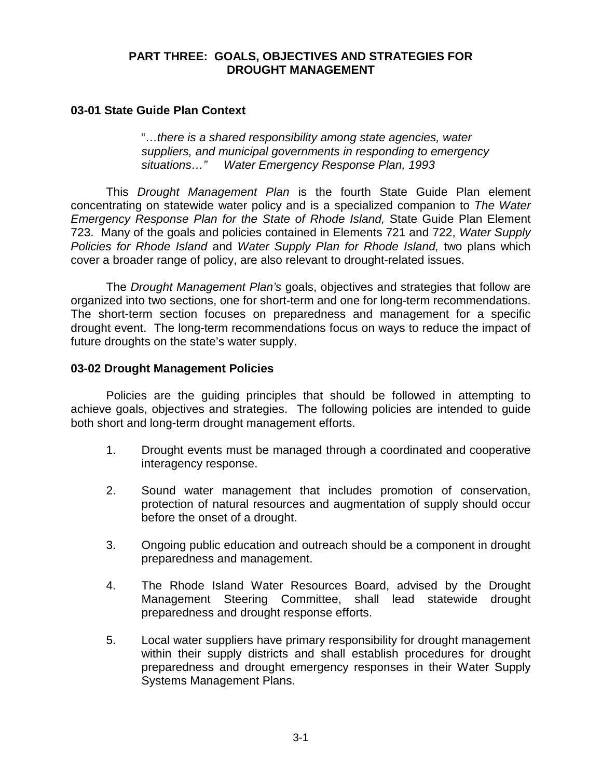#### **PART THREE: GOALS, OBJECTIVES AND STRATEGIES FOR DROUGHT MANAGEMENT**

#### **03-01 State Guide Plan Context**

"…*there is a shared responsibility among state agencies, water suppliers, and municipal governments in responding to emergency situations…" Water Emergency Response Plan, 1993* 

This *Drought Management Plan* is the fourth State Guide Plan element concentrating on statewide water policy and is a specialized companion to *The Water Emergency Response Plan for the State of Rhode Island,* State Guide Plan Element 723. Many of the goals and policies contained in Elements 721 and 722, *Water Supply Policies for Rhode Island* and *Water Supply Plan for Rhode Island,* two plans which cover a broader range of policy, are also relevant to drought-related issues.

The *Drought Management Plan's* goals, objectives and strategies that follow are organized into two sections, one for short-term and one for long-term recommendations. The short-term section focuses on preparedness and management for a specific drought event. The long-term recommendations focus on ways to reduce the impact of future droughts on the state's water supply.

#### **03-02 Drought Management Policies**

Policies are the guiding principles that should be followed in attempting to achieve goals, objectives and strategies. The following policies are intended to guide both short and long-term drought management efforts.

- 1. Drought events must be managed through a coordinated and cooperative interagency response.
- 2. Sound water management that includes promotion of conservation, protection of natural resources and augmentation of supply should occur before the onset of a drought.
- 3. Ongoing public education and outreach should be a component in drought preparedness and management.
- 4. The Rhode Island Water Resources Board, advised by the Drought Management Steering Committee, shall lead statewide drought preparedness and drought response efforts.
- 5. Local water suppliers have primary responsibility for drought management within their supply districts and shall establish procedures for drought preparedness and drought emergency responses in their Water Supply Systems Management Plans.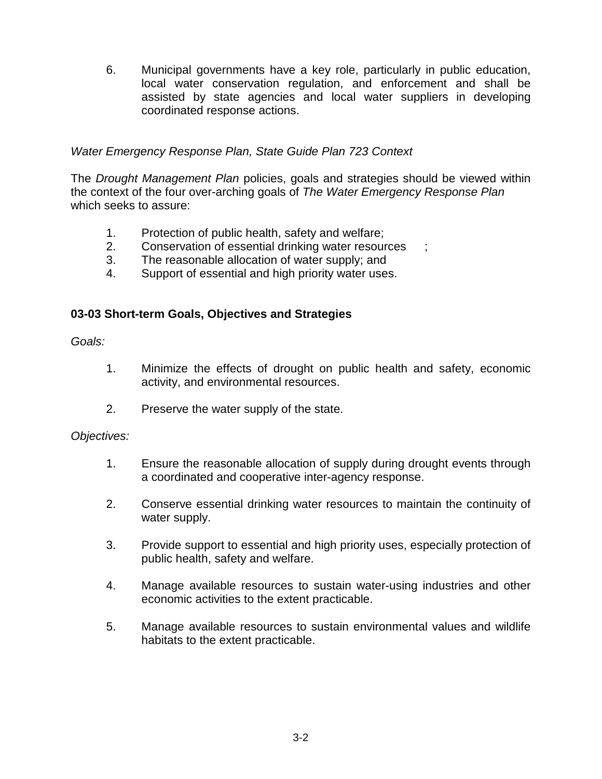6. Municipal governments have a key role, particularly in public education, local water conservation regulation, and enforcement and shall be assisted by state agencies and local water suppliers in developing coordinated response actions.

### *Water Emergency Response Plan, State Guide Plan 723 Context*

The *Drought Management Plan* policies, goals and strategies should be viewed within the context of the four over-arching goals of *The Water Emergency Response Plan*  which seeks to assure:

- 1. Protection of public health, safety and welfare;
- 2. Conservation of essential drinking water resources ;
- 3. The reasonable allocation of water supply; and
- 4. Support of essential and high priority water uses.

### **03-03 Short-term Goals, Objectives and Strategies**

*Goals:* 

- 1. Minimize the effects of drought on public health and safety, economic activity, and environmental resources.
- 2. Preserve the water supply of the state.

### *Objectives:*

- 1. Ensure the reasonable allocation of supply during drought events through a coordinated and cooperative inter-agency response.
- 2. Conserve essential drinking water resources to maintain the continuity of water supply.
- 3. Provide support to essential and high priority uses, especially protection of public health, safety and welfare.
- 4. Manage available resources to sustain water-using industries and other economic activities to the extent practicable.
- 5. Manage available resources to sustain environmental values and wildlife habitats to the extent practicable.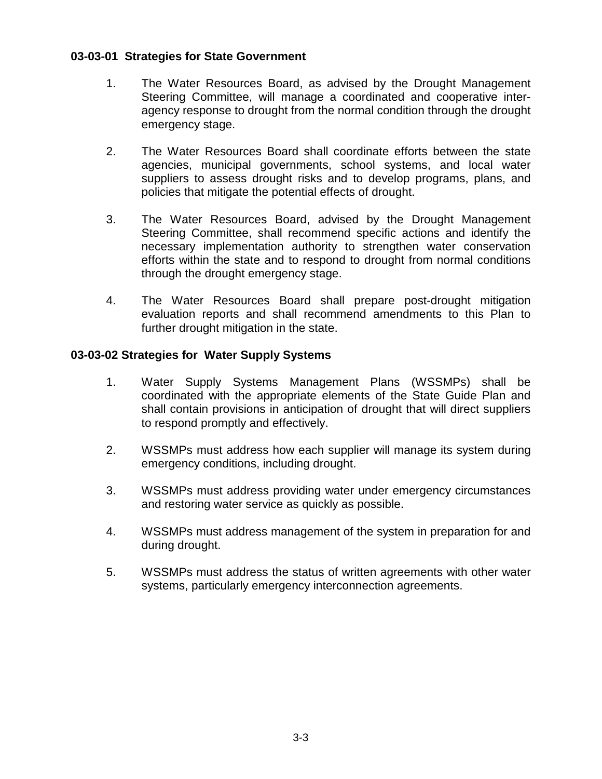### **03-03-01 Strategies for State Government**

- 1. The Water Resources Board, as advised by the Drought Management Steering Committee, will manage a coordinated and cooperative interagency response to drought from the normal condition through the drought emergency stage.
- 2. The Water Resources Board shall coordinate efforts between the state agencies, municipal governments, school systems, and local water suppliers to assess drought risks and to develop programs, plans, and policies that mitigate the potential effects of drought.
- 3. The Water Resources Board, advised by the Drought Management Steering Committee, shall recommend specific actions and identify the necessary implementation authority to strengthen water conservation efforts within the state and to respond to drought from normal conditions through the drought emergency stage.
- 4. The Water Resources Board shall prepare post-drought mitigation evaluation reports and shall recommend amendments to this Plan to further drought mitigation in the state.

### **03-03-02 Strategies for Water Supply Systems**

- 1. Water Supply Systems Management Plans (WSSMPs) shall be coordinated with the appropriate elements of the State Guide Plan and shall contain provisions in anticipation of drought that will direct suppliers to respond promptly and effectively.
- 2. WSSMPs must address how each supplier will manage its system during emergency conditions, including drought.
- 3. WSSMPs must address providing water under emergency circumstances and restoring water service as quickly as possible.
- 4. WSSMPs must address management of the system in preparation for and during drought.
- 5. WSSMPs must address the status of written agreements with other water systems, particularly emergency interconnection agreements.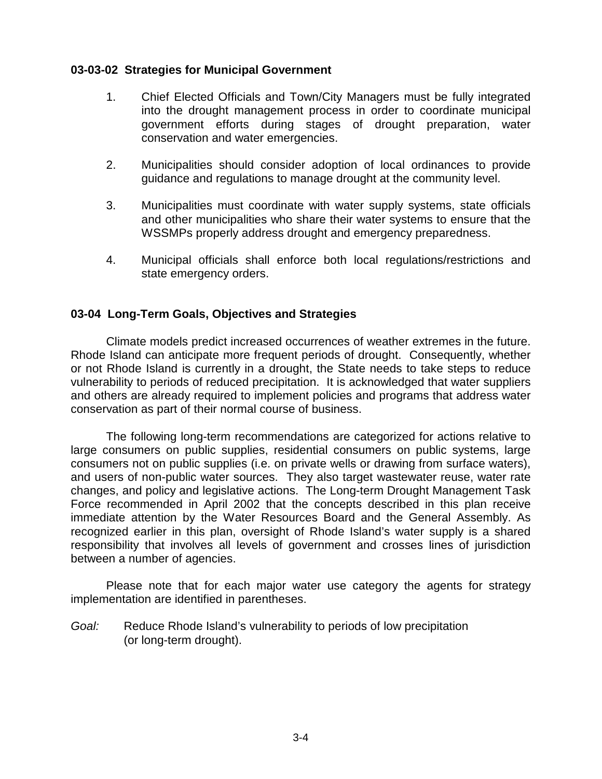#### **03-03-02 Strategies for Municipal Government**

- 1. Chief Elected Officials and Town/City Managers must be fully integrated into the drought management process in order to coordinate municipal government efforts during stages of drought preparation, water conservation and water emergencies.
- 2. Municipalities should consider adoption of local ordinances to provide guidance and regulations to manage drought at the community level.
- 3. Municipalities must coordinate with water supply systems, state officials and other municipalities who share their water systems to ensure that the WSSMPs properly address drought and emergency preparedness.
- 4. Municipal officials shall enforce both local regulations/restrictions and state emergency orders.

# **03-04 Long-Term Goals, Objectives and Strategies**

Climate models predict increased occurrences of weather extremes in the future. Rhode Island can anticipate more frequent periods of drought. Consequently, whether or not Rhode Island is currently in a drought, the State needs to take steps to reduce vulnerability to periods of reduced precipitation. It is acknowledged that water suppliers and others are already required to implement policies and programs that address water conservation as part of their normal course of business.

The following long-term recommendations are categorized for actions relative to large consumers on public supplies, residential consumers on public systems, large consumers not on public supplies (i.e. on private wells or drawing from surface waters), and users of non-public water sources. They also target wastewater reuse, water rate changes, and policy and legislative actions. The Long-term Drought Management Task Force recommended in April 2002 that the concepts described in this plan receive immediate attention by the Water Resources Board and the General Assembly. As recognized earlier in this plan, oversight of Rhode Island's water supply is a shared responsibility that involves all levels of government and crosses lines of jurisdiction between a number of agencies.

Please note that for each major water use category the agents for strategy implementation are identified in parentheses.

*Goal:* Reduce Rhode Island's vulnerability to periods of low precipitation (or long-term drought).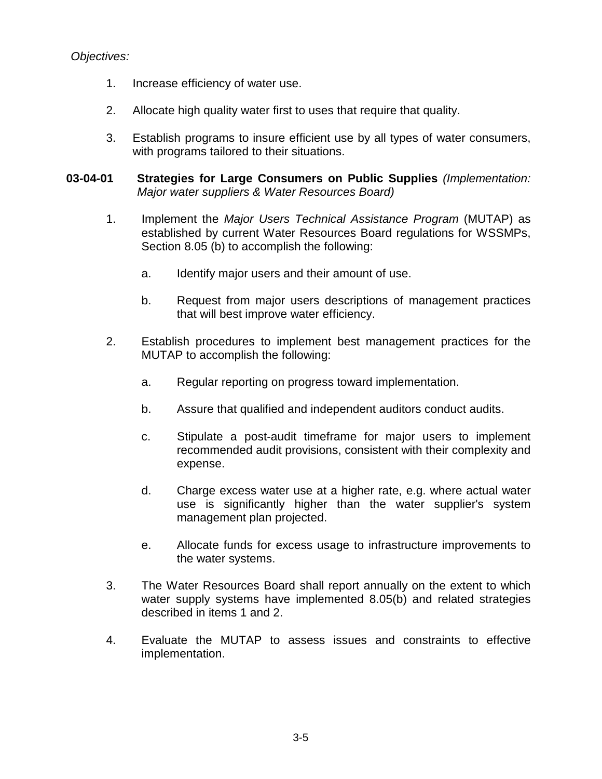# *Objectives:*

- 1. Increase efficiency of water use.
- 2. Allocate high quality water first to uses that require that quality.
- 3. Establish programs to insure efficient use by all types of water consumers, with programs tailored to their situations.
- **03-04-01 Strategies for Large Consumers on Public Supplies** *(Implementation: Major water suppliers & Water Resources Board)* 
	- 1. Implement the *Major Users Technical Assistance Program* (MUTAP) as established by current Water Resources Board regulations for WSSMPs, Section 8.05 (b) to accomplish the following:
		- a. Identify major users and their amount of use.
		- b. Request from major users descriptions of management practices that will best improve water efficiency.
	- 2. Establish procedures to implement best management practices for the MUTAP to accomplish the following:
		- a. Regular reporting on progress toward implementation.
		- b. Assure that qualified and independent auditors conduct audits.
		- c. Stipulate a post-audit timeframe for major users to implement recommended audit provisions, consistent with their complexity and expense.
		- d. Charge excess water use at a higher rate, e.g. where actual water use is significantly higher than the water supplier's system management plan projected.
		- e. Allocate funds for excess usage to infrastructure improvements to the water systems.
	- 3. The Water Resources Board shall report annually on the extent to which water supply systems have implemented 8.05(b) and related strategies described in items 1 and 2.
	- 4. Evaluate the MUTAP to assess issues and constraints to effective implementation.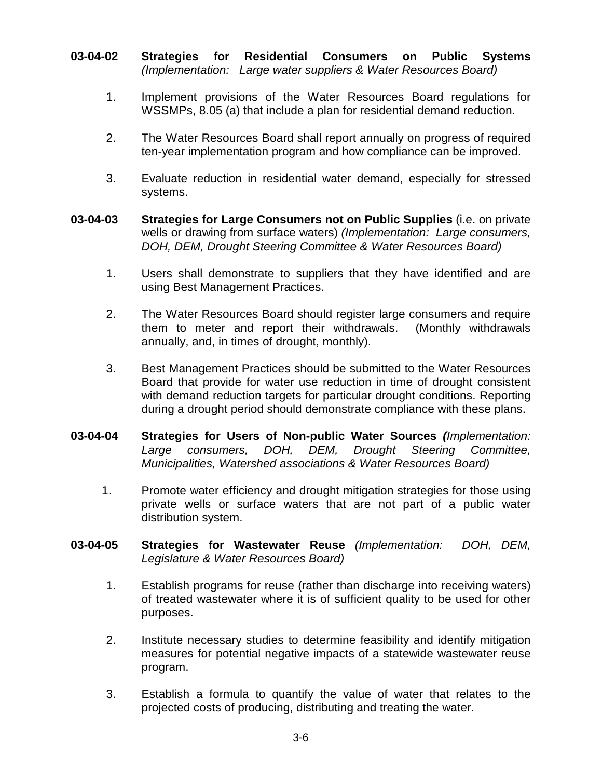- **03-04-02 Strategies for Residential Consumers on Public Systems** *(Implementation: Large water suppliers & Water Resources Board)* 
	- 1. Implement provisions of the Water Resources Board regulations for WSSMPs, 8.05 (a) that include a plan for residential demand reduction.
	- 2. The Water Resources Board shall report annually on progress of required ten-year implementation program and how compliance can be improved.
	- 3. Evaluate reduction in residential water demand, especially for stressed systems.
- **03-04-03 Strategies for Large Consumers not on Public Supplies** (i.e. on private wells or drawing from surface waters) *(Implementation: Large consumers, DOH, DEM, Drought Steering Committee & Water Resources Board)* 
	- 1. Users shall demonstrate to suppliers that they have identified and are using Best Management Practices.
	- 2. The Water Resources Board should register large consumers and require them to meter and report their withdrawals. (Monthly withdrawals annually, and, in times of drought, monthly).
	- 3. Best Management Practices should be submitted to the Water Resources Board that provide for water use reduction in time of drought consistent with demand reduction targets for particular drought conditions. Reporting during a drought period should demonstrate compliance with these plans.
- **03-04-04 Strategies for Users of Non-public Water Sources** *(Implementation: Large consumers, DOH, DEM, Drought Steering Committee, Municipalities, Watershed associations & Water Resources Board)* 
	- 1. Promote water efficiency and drought mitigation strategies for those using private wells or surface waters that are not part of a public water distribution system.
- **03-04-05 Strategies for Wastewater Reuse** *(Implementation: DOH, DEM, Legislature & Water Resources Board)* 
	- 1. Establish programs for reuse (rather than discharge into receiving waters) of treated wastewater where it is of sufficient quality to be used for other purposes.
	- 2. Institute necessary studies to determine feasibility and identify mitigation measures for potential negative impacts of a statewide wastewater reuse program.
	- 3. Establish a formula to quantify the value of water that relates to the projected costs of producing, distributing and treating the water.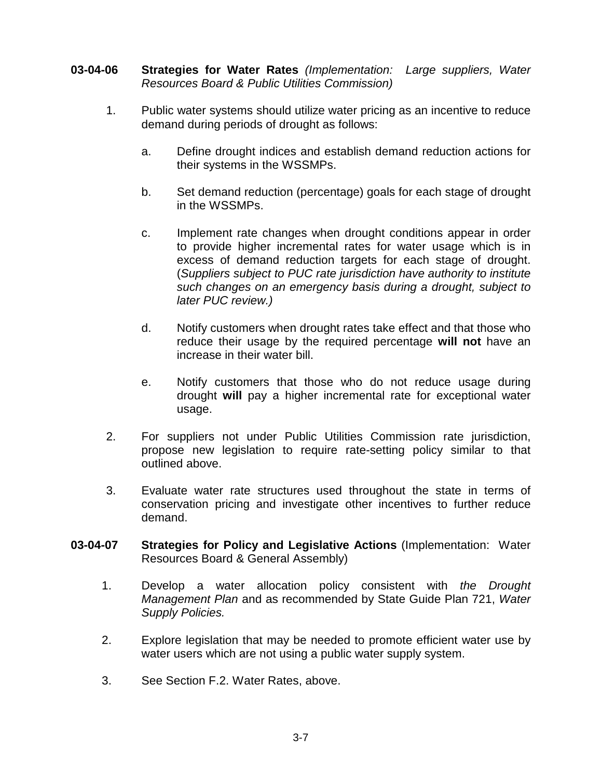- **03-04-06 Strategies for Water Rates** *(Implementation: Large suppliers, Water Resources Board & Public Utilities Commission)* 
	- 1. Public water systems should utilize water pricing as an incentive to reduce demand during periods of drought as follows:
		- a. Define drought indices and establish demand reduction actions for their systems in the WSSMPs.
		- b. Set demand reduction (percentage) goals for each stage of drought in the WSSMPs.
		- c. Implement rate changes when drought conditions appear in order to provide higher incremental rates for water usage which is in excess of demand reduction targets for each stage of drought. (*Suppliers subject to PUC rate jurisdiction have authority to institute such changes on an emergency basis during a drought, subject to later PUC review.)*
		- d. Notify customers when drought rates take effect and that those who reduce their usage by the required percentage **will not** have an increase in their water bill.
		- e. Notify customers that those who do not reduce usage during drought **will** pay a higher incremental rate for exceptional water usage.
	- 2. For suppliers not under Public Utilities Commission rate jurisdiction, propose new legislation to require rate-setting policy similar to that outlined above.
	- 3. Evaluate water rate structures used throughout the state in terms of conservation pricing and investigate other incentives to further reduce demand.
- **03-04-07 Strategies for Policy and Legislative Actions** (Implementation: Water Resources Board & General Assembly)
	- 1. Develop a water allocation policy consistent with *the Drought Management Plan* and as recommended by State Guide Plan 721, *Water Supply Policies.*
	- 2. Explore legislation that may be needed to promote efficient water use by water users which are not using a public water supply system.
	- 3. See Section F.2. Water Rates, above.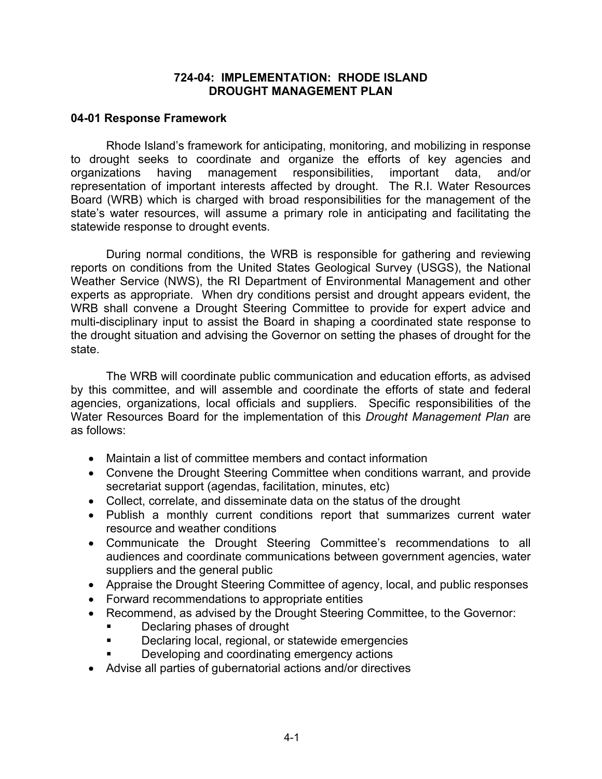#### **724-04: IMPLEMENTATION: RHODE ISLAND DROUGHT MANAGEMENT PLAN**

#### **04-01 Response Framework**

Rhode Island's framework for anticipating, monitoring, and mobilizing in response to drought seeks to coordinate and organize the efforts of key agencies and organizations having management responsibilities, important data, and/or representation of important interests affected by drought. The R.I. Water Resources Board (WRB) which is charged with broad responsibilities for the management of the state's water resources, will assume a primary role in anticipating and facilitating the statewide response to drought events.

During normal conditions, the WRB is responsible for gathering and reviewing reports on conditions from the United States Geological Survey (USGS), the National Weather Service (NWS), the RI Department of Environmental Management and other experts as appropriate. When dry conditions persist and drought appears evident, the WRB shall convene a Drought Steering Committee to provide for expert advice and multi-disciplinary input to assist the Board in shaping a coordinated state response to the drought situation and advising the Governor on setting the phases of drought for the state.

The WRB will coordinate public communication and education efforts, as advised by this committee, and will assemble and coordinate the efforts of state and federal agencies, organizations, local officials and suppliers. Specific responsibilities of the Water Resources Board for the implementation of this *Drought Management Plan* are as follows:

- Maintain a list of committee members and contact information
- Convene the Drought Steering Committee when conditions warrant, and provide secretariat support (agendas, facilitation, minutes, etc)
- Collect, correlate, and disseminate data on the status of the drought
- Publish a monthly current conditions report that summarizes current water resource and weather conditions
- Communicate the Drought Steering Committee's recommendations to all audiences and coordinate communications between government agencies, water suppliers and the general public
- Appraise the Drought Steering Committee of agency, local, and public responses
- Forward recommendations to appropriate entities
- Recommend, as advised by the Drought Steering Committee, to the Governor:
	- Declaring phases of drought
	- Declaring local, regional, or statewide emergencies
	- Developing and coordinating emergency actions
- Advise all parties of gubernatorial actions and/or directives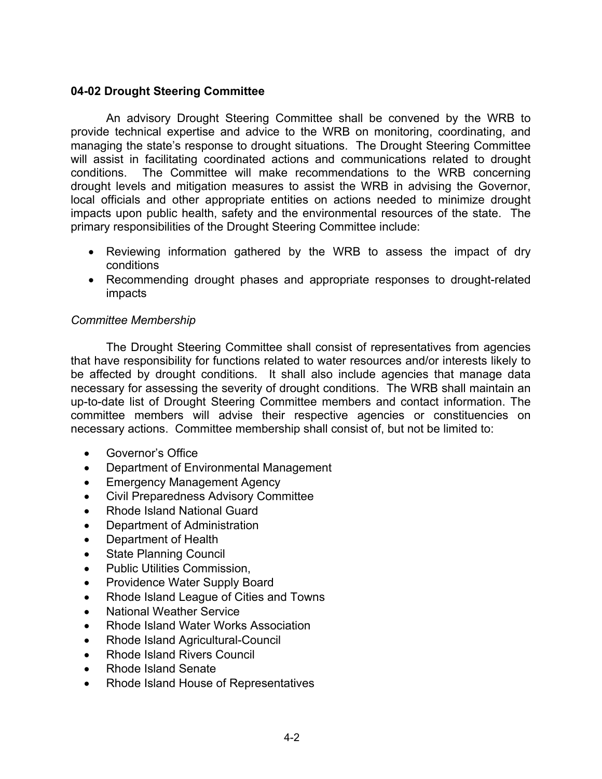# **04-02 Drought Steering Committee**

An advisory Drought Steering Committee shall be convened by the WRB to provide technical expertise and advice to the WRB on monitoring, coordinating, and managing the state's response to drought situations. The Drought Steering Committee will assist in facilitating coordinated actions and communications related to drought conditions. The Committee will make recommendations to the WRB concerning drought levels and mitigation measures to assist the WRB in advising the Governor, local officials and other appropriate entities on actions needed to minimize drought impacts upon public health, safety and the environmental resources of the state. The primary responsibilities of the Drought Steering Committee include:

- Reviewing information gathered by the WRB to assess the impact of dry conditions
- Recommending drought phases and appropriate responses to drought-related impacts

## *Committee Membership*

The Drought Steering Committee shall consist of representatives from agencies that have responsibility for functions related to water resources and/or interests likely to be affected by drought conditions. It shall also include agencies that manage data necessary for assessing the severity of drought conditions. The WRB shall maintain an up-to-date list of Drought Steering Committee members and contact information. The committee members will advise their respective agencies or constituencies on necessary actions. Committee membership shall consist of, but not be limited to:

- Governor's Office
- Department of Environmental Management
- **Emergency Management Agency**
- Civil Preparedness Advisory Committee
- Rhode Island National Guard
- Department of Administration
- Department of Health
- State Planning Council
- Public Utilities Commission,
- Providence Water Supply Board
- Rhode Island League of Cities and Towns
- National Weather Service
- Rhode Island Water Works Association
- Rhode Island Agricultural-Council
- Rhode Island Rivers Council
- Rhode Island Senate
- Rhode Island House of Representatives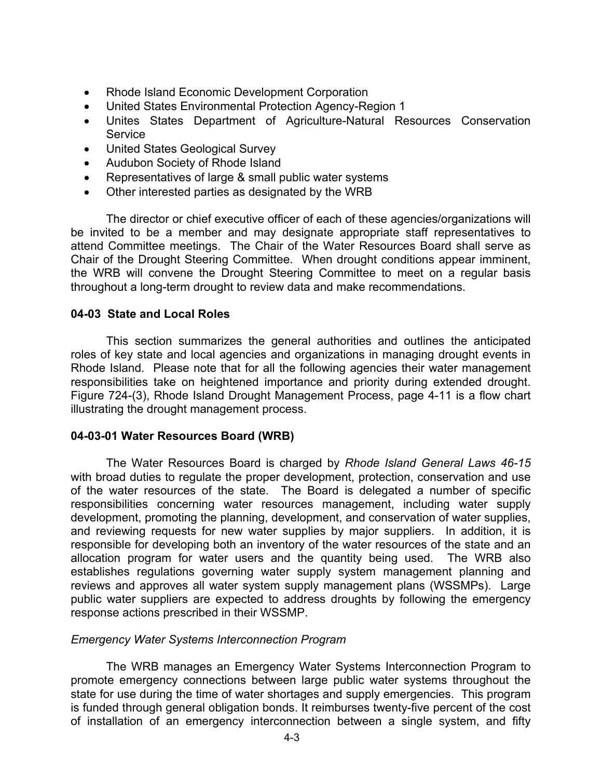- Rhode Island Economic Development Corporation
- United States Environmental Protection Agency-Region 1
- Unites States Department of Agriculture-Natural Resources Conservation **Service**
- United States Geological Survey
- Audubon Society of Rhode Island
- Representatives of large & small public water systems
- Other interested parties as designated by the WRB

The director or chief executive officer of each of these agencies/organizations will be invited to be a member and may designate appropriate staff representatives to attend Committee meetings. The Chair of the Water Resources Board shall serve as Chair of the Drought Steering Committee. When drought conditions appear imminent, the WRB will convene the Drought Steering Committee to meet on a regular basis throughout a long-term drought to review data and make recommendations.

## **04-03 State and Local Roles**

This section summarizes the general authorities and outlines the anticipated roles of key state and local agencies and organizations in managing drought events in Rhode Island. Please note that for all the following agencies their water management responsibilities take on heightened importance and priority during extended drought. Figure 724-(3), Rhode Island Drought Management Process, page 4-11 is a flow chart illustrating the drought management process.

## **04-03-01 Water Resources Board (WRB)**

The Water Resources Board is charged by *Rhode Island General Laws 46-15* with broad duties to regulate the proper development, protection, conservation and use of the water resources of the state. The Board is delegated a number of specific responsibilities concerning water resources management, including water supply development, promoting the planning, development, and conservation of water supplies, and reviewing requests for new water supplies by major suppliers. In addition, it is responsible for developing both an inventory of the water resources of the state and an allocation program for water users and the quantity being used. The WRB also establishes regulations governing water supply system management planning and reviews and approves all water system supply management plans (WSSMPs). Large public water suppliers are expected to address droughts by following the emergency response actions prescribed in their WSSMP.

## *Emergency Water Systems Interconnection Program*

The WRB manages an Emergency Water Systems Interconnection Program to promote emergency connections between large public water systems throughout the state for use during the time of water shortages and supply emergencies. This program is funded through general obligation bonds. It reimburses twenty-five percent of the cost of installation of an emergency interconnection between a single system, and fifty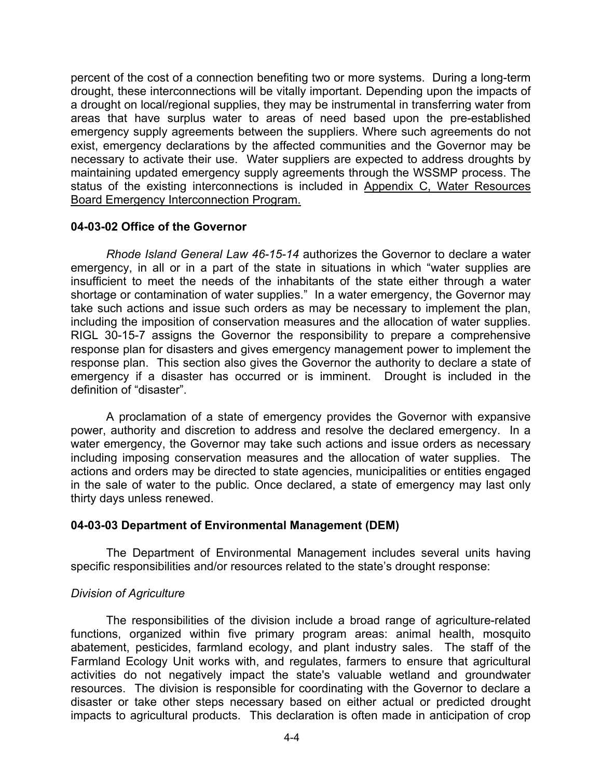percent of the cost of a connection benefiting two or more systems. During a long-term drought, these interconnections will be vitally important. Depending upon the impacts of a drought on local/regional supplies, they may be instrumental in transferring water from areas that have surplus water to areas of need based upon the pre-established emergency supply agreements between the suppliers. Where such agreements do not exist, emergency declarations by the affected communities and the Governor may be necessary to activate their use. Water suppliers are expected to address droughts by maintaining updated emergency supply agreements through the WSSMP process. The status of the existing interconnections is included in Appendix C, Water Resources Board Emergency Interconnection Program.

## **04-03-02 Office of the Governor**

*Rhode Island General Law 46-15-14* authorizes the Governor to declare a water emergency, in all or in a part of the state in situations in which "water supplies are insufficient to meet the needs of the inhabitants of the state either through a water shortage or contamination of water supplies." In a water emergency, the Governor may take such actions and issue such orders as may be necessary to implement the plan, including the imposition of conservation measures and the allocation of water supplies. RIGL 30-15-7 assigns the Governor the responsibility to prepare a comprehensive response plan for disasters and gives emergency management power to implement the response plan. This section also gives the Governor the authority to declare a state of emergency if a disaster has occurred or is imminent. Drought is included in the definition of "disaster".

A proclamation of a state of emergency provides the Governor with expansive power, authority and discretion to address and resolve the declared emergency. In a water emergency, the Governor may take such actions and issue orders as necessary including imposing conservation measures and the allocation of water supplies. The actions and orders may be directed to state agencies, municipalities or entities engaged in the sale of water to the public. Once declared, a state of emergency may last only thirty days unless renewed.

## **04-03-03 Department of Environmental Management (DEM)**

The Department of Environmental Management includes several units having specific responsibilities and/or resources related to the state's drought response:

## *Division of Agriculture*

The responsibilities of the division include a broad range of agriculture-related functions, organized within five primary program areas: animal health, mosquito abatement, pesticides, farmland ecology, and plant industry sales. The staff of the Farmland Ecology Unit works with, and regulates, farmers to ensure that agricultural activities do not negatively impact the state's valuable wetland and groundwater resources. The division is responsible for coordinating with the Governor to declare a disaster or take other steps necessary based on either actual or predicted drought impacts to agricultural products. This declaration is often made in anticipation of crop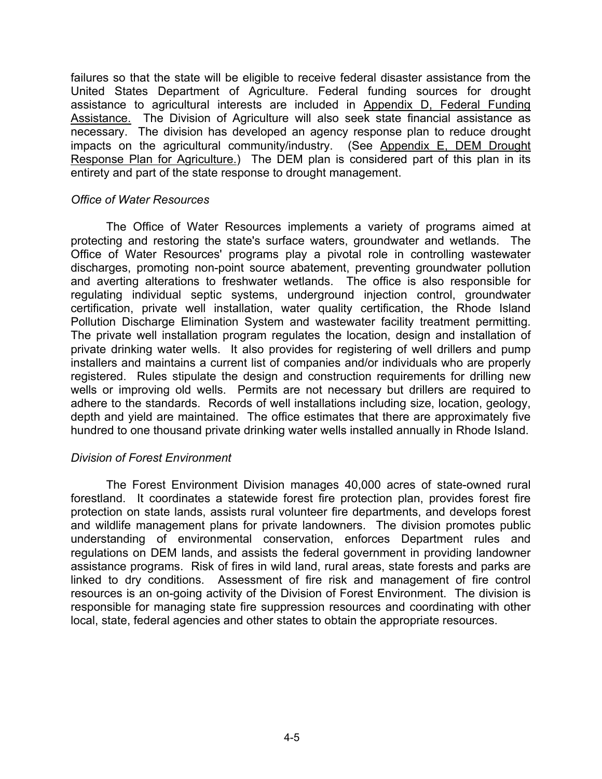failures so that the state will be eligible to receive federal disaster assistance from the United States Department of Agriculture. Federal funding sources for drought assistance to agricultural interests are included in Appendix D, Federal Funding Assistance. The Division of Agriculture will also seek state financial assistance as necessary. The division has developed an agency response plan to reduce drought impacts on the agricultural community/industry. (See Appendix E, DEM Drought Response Plan for Agriculture.) The DEM plan is considered part of this plan in its entirety and part of the state response to drought management.

#### *Office of Water Resources*

The Office of Water Resources implements a variety of programs aimed at protecting and restoring the state's surface waters, groundwater and wetlands. The Office of Water Resources' programs play a pivotal role in controlling wastewater discharges, promoting non-point source abatement, preventing groundwater pollution and averting alterations to freshwater wetlands. The office is also responsible for regulating individual septic systems, underground injection control, groundwater certification, private well installation, water quality certification, the Rhode Island Pollution Discharge Elimination System and wastewater facility treatment permitting. The private well installation program regulates the location, design and installation of private drinking water wells. It also provides for registering of well drillers and pump installers and maintains a current list of companies and/or individuals who are properly registered. Rules stipulate the design and construction requirements for drilling new wells or improving old wells. Permits are not necessary but drillers are required to adhere to the standards. Records of well installations including size, location, geology, depth and yield are maintained. The office estimates that there are approximately five hundred to one thousand private drinking water wells installed annually in Rhode Island.

## *Division of Forest Environment*

The Forest Environment Division manages 40,000 acres of state-owned rural forestland. It coordinates a statewide forest fire protection plan, provides forest fire protection on state lands, assists rural volunteer fire departments, and develops forest and wildlife management plans for private landowners. The division promotes public understanding of environmental conservation, enforces Department rules and regulations on DEM lands, and assists the federal government in providing landowner assistance programs. Risk of fires in wild land, rural areas, state forests and parks are linked to dry conditions. Assessment of fire risk and management of fire control resources is an on-going activity of the Division of Forest Environment. The division is responsible for managing state fire suppression resources and coordinating with other local, state, federal agencies and other states to obtain the appropriate resources.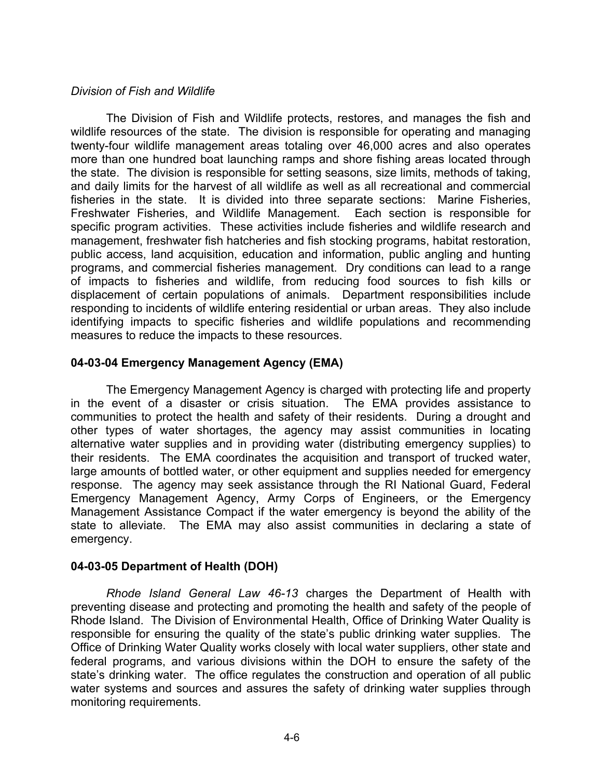## *Division of Fish and Wildlife*

The Division of Fish and Wildlife protects, restores, and manages the fish and wildlife resources of the state. The division is responsible for operating and managing twenty-four wildlife management areas totaling over 46,000 acres and also operates more than one hundred boat launching ramps and shore fishing areas located through the state. The division is responsible for setting seasons, size limits, methods of taking, and daily limits for the harvest of all wildlife as well as all recreational and commercial fisheries in the state. It is divided into three separate sections: Marine Fisheries, Freshwater Fisheries, and Wildlife Management. Each section is responsible for specific program activities. These activities include fisheries and wildlife research and management, freshwater fish hatcheries and fish stocking programs, habitat restoration, public access, land acquisition, education and information, public angling and hunting programs, and commercial fisheries management. Dry conditions can lead to a range of impacts to fisheries and wildlife, from reducing food sources to fish kills or displacement of certain populations of animals. Department responsibilities include responding to incidents of wildlife entering residential or urban areas. They also include identifying impacts to specific fisheries and wildlife populations and recommending measures to reduce the impacts to these resources.

## **04-03-04 Emergency Management Agency (EMA)**

The Emergency Management Agency is charged with protecting life and property in the event of a disaster or crisis situation. The EMA provides assistance to communities to protect the health and safety of their residents. During a drought and other types of water shortages, the agency may assist communities in locating alternative water supplies and in providing water (distributing emergency supplies) to their residents. The EMA coordinates the acquisition and transport of trucked water, large amounts of bottled water, or other equipment and supplies needed for emergency response. The agency may seek assistance through the RI National Guard, Federal Emergency Management Agency, Army Corps of Engineers, or the Emergency Management Assistance Compact if the water emergency is beyond the ability of the state to alleviate. The EMA may also assist communities in declaring a state of emergency.

## **04-03-05 Department of Health (DOH)**

*Rhode Island General Law 46-13* charges the Department of Health with preventing disease and protecting and promoting the health and safety of the people of Rhode Island. The Division of Environmental Health, Office of Drinking Water Quality is responsible for ensuring the quality of the state's public drinking water supplies. The Office of Drinking Water Quality works closely with local water suppliers, other state and federal programs, and various divisions within the DOH to ensure the safety of the state's drinking water. The office regulates the construction and operation of all public water systems and sources and assures the safety of drinking water supplies through monitoring requirements.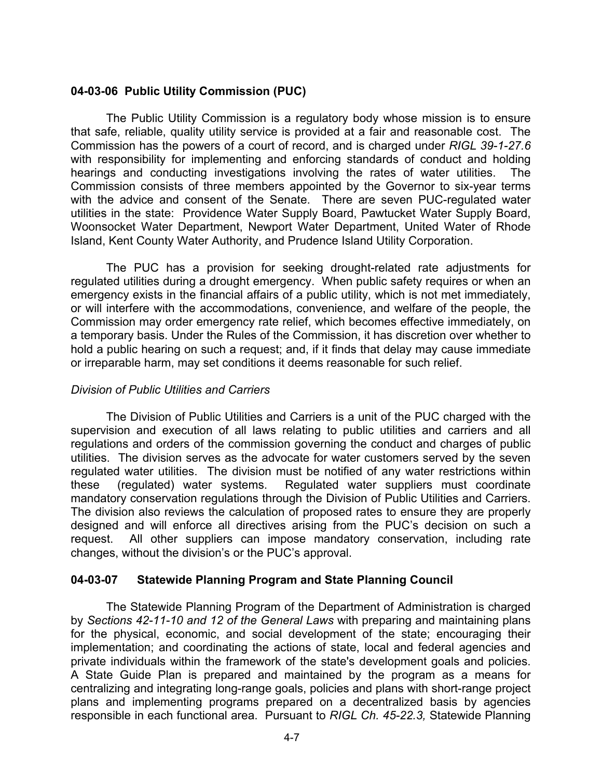# **04-03-06 Public Utility Commission (PUC)**

The Public Utility Commission is a regulatory body whose mission is to ensure that safe, reliable, quality utility service is provided at a fair and reasonable cost. The Commission has the powers of a court of record, and is charged under *RIGL 39-1-27.6* with responsibility for implementing and enforcing standards of conduct and holding hearings and conducting investigations involving the rates of water utilities. The Commission consists of three members appointed by the Governor to six-year terms with the advice and consent of the Senate. There are seven PUC-regulated water utilities in the state: Providence Water Supply Board, Pawtucket Water Supply Board, Woonsocket Water Department, Newport Water Department, United Water of Rhode Island, Kent County Water Authority, and Prudence Island Utility Corporation.

The PUC has a provision for seeking drought-related rate adjustments for regulated utilities during a drought emergency. When public safety requires or when an emergency exists in the financial affairs of a public utility, which is not met immediately, or will interfere with the accommodations, convenience, and welfare of the people, the Commission may order emergency rate relief, which becomes effective immediately, on a temporary basis. Under the Rules of the Commission, it has discretion over whether to hold a public hearing on such a request; and, if it finds that delay may cause immediate or irreparable harm, may set conditions it deems reasonable for such relief.

## *Division of Public Utilities and Carriers*

The Division of Public Utilities and Carriers is a unit of the PUC charged with the supervision and execution of all laws relating to public utilities and carriers and all regulations and orders of the commission governing the conduct and charges of public utilities. The division serves as the advocate for water customers served by the seven regulated water utilities. The division must be notified of any water restrictions within these (regulated) water systems. Regulated water suppliers must coordinate mandatory conservation regulations through the Division of Public Utilities and Carriers. The division also reviews the calculation of proposed rates to ensure they are properly designed and will enforce all directives arising from the PUC's decision on such a request. All other suppliers can impose mandatory conservation, including rate changes, without the division's or the PUC's approval.

## **04-03-07 Statewide Planning Program and State Planning Council**

The Statewide Planning Program of the Department of Administration is charged by *Sections 42-11-10 and 12 of the General Laws* with preparing and maintaining plans for the physical, economic, and social development of the state; encouraging their implementation; and coordinating the actions of state, local and federal agencies and private individuals within the framework of the state's development goals and policies. A State Guide Plan is prepared and maintained by the program as a means for centralizing and integrating long-range goals, policies and plans with short-range project plans and implementing programs prepared on a decentralized basis by agencies responsible in each functional area. Pursuant to *RIGL Ch. 45-22.3,* Statewide Planning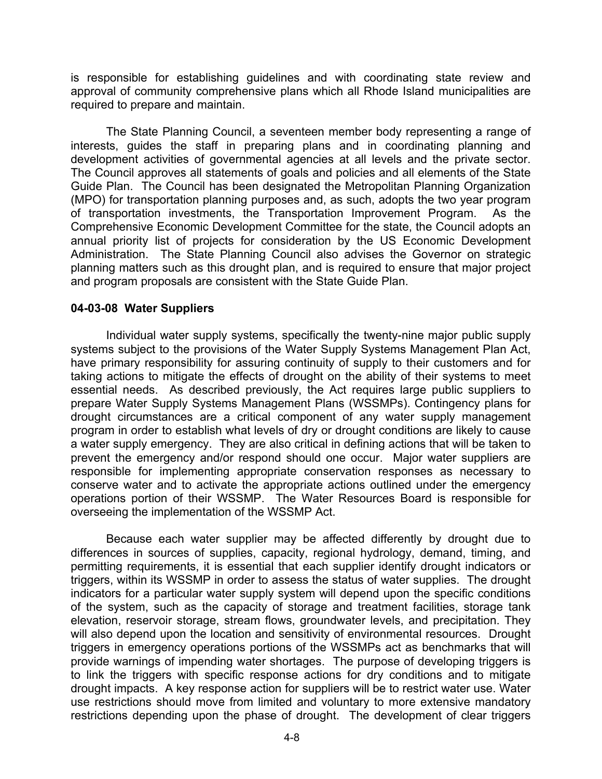is responsible for establishing guidelines and with coordinating state review and approval of community comprehensive plans which all Rhode Island municipalities are required to prepare and maintain.

The State Planning Council, a seventeen member body representing a range of interests, guides the staff in preparing plans and in coordinating planning and development activities of governmental agencies at all levels and the private sector. The Council approves all statements of goals and policies and all elements of the State Guide Plan. The Council has been designated the Metropolitan Planning Organization (MPO) for transportation planning purposes and, as such, adopts the two year program of transportation investments, the Transportation Improvement Program. As the Comprehensive Economic Development Committee for the state, the Council adopts an annual priority list of projects for consideration by the US Economic Development Administration. The State Planning Council also advises the Governor on strategic planning matters such as this drought plan, and is required to ensure that major project and program proposals are consistent with the State Guide Plan.

## **04-03-08 Water Suppliers**

Individual water supply systems, specifically the twenty-nine major public supply systems subject to the provisions of the Water Supply Systems Management Plan Act, have primary responsibility for assuring continuity of supply to their customers and for taking actions to mitigate the effects of drought on the ability of their systems to meet essential needs. As described previously, the Act requires large public suppliers to prepare Water Supply Systems Management Plans (WSSMPs). Contingency plans for drought circumstances are a critical component of any water supply management program in order to establish what levels of dry or drought conditions are likely to cause a water supply emergency. They are also critical in defining actions that will be taken to prevent the emergency and/or respond should one occur. Major water suppliers are responsible for implementing appropriate conservation responses as necessary to conserve water and to activate the appropriate actions outlined under the emergency operations portion of their WSSMP. The Water Resources Board is responsible for overseeing the implementation of the WSSMP Act.

Because each water supplier may be affected differently by drought due to differences in sources of supplies, capacity, regional hydrology, demand, timing, and permitting requirements, it is essential that each supplier identify drought indicators or triggers, within its WSSMP in order to assess the status of water supplies. The drought indicators for a particular water supply system will depend upon the specific conditions of the system, such as the capacity of storage and treatment facilities, storage tank elevation, reservoir storage, stream flows, groundwater levels, and precipitation. They will also depend upon the location and sensitivity of environmental resources. Drought triggers in emergency operations portions of the WSSMPs act as benchmarks that will provide warnings of impending water shortages. The purpose of developing triggers is to link the triggers with specific response actions for dry conditions and to mitigate drought impacts. A key response action for suppliers will be to restrict water use. Water use restrictions should move from limited and voluntary to more extensive mandatory restrictions depending upon the phase of drought. The development of clear triggers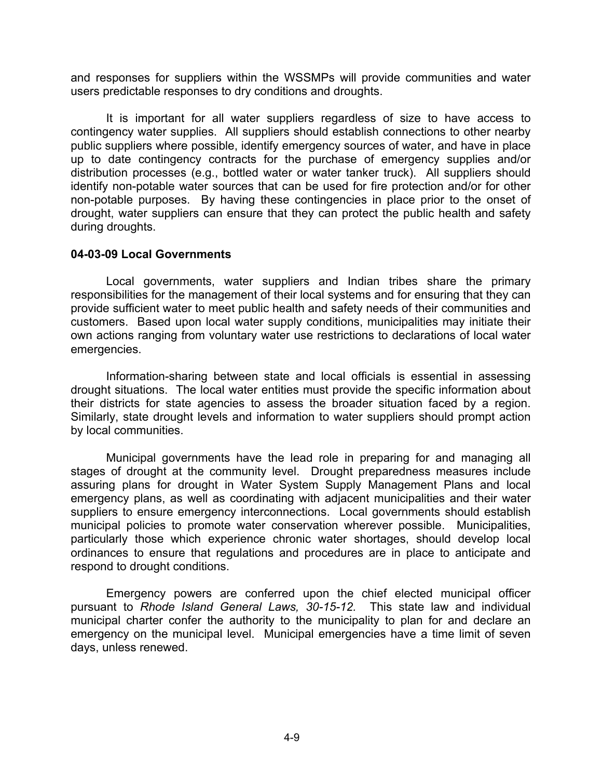and responses for suppliers within the WSSMPs will provide communities and water users predictable responses to dry conditions and droughts.

It is important for all water suppliers regardless of size to have access to contingency water supplies. All suppliers should establish connections to other nearby public suppliers where possible, identify emergency sources of water, and have in place up to date contingency contracts for the purchase of emergency supplies and/or distribution processes (e.g., bottled water or water tanker truck). All suppliers should identify non-potable water sources that can be used for fire protection and/or for other non-potable purposes. By having these contingencies in place prior to the onset of drought, water suppliers can ensure that they can protect the public health and safety during droughts.

#### **04-03-09 Local Governments**

Local governments, water suppliers and Indian tribes share the primary responsibilities for the management of their local systems and for ensuring that they can provide sufficient water to meet public health and safety needs of their communities and customers. Based upon local water supply conditions, municipalities may initiate their own actions ranging from voluntary water use restrictions to declarations of local water emergencies.

Information-sharing between state and local officials is essential in assessing drought situations. The local water entities must provide the specific information about their districts for state agencies to assess the broader situation faced by a region. Similarly, state drought levels and information to water suppliers should prompt action by local communities.

Municipal governments have the lead role in preparing for and managing all stages of drought at the community level. Drought preparedness measures include assuring plans for drought in Water System Supply Management Plans and local emergency plans, as well as coordinating with adjacent municipalities and their water suppliers to ensure emergency interconnections. Local governments should establish municipal policies to promote water conservation wherever possible. Municipalities, particularly those which experience chronic water shortages, should develop local ordinances to ensure that regulations and procedures are in place to anticipate and respond to drought conditions.

Emergency powers are conferred upon the chief elected municipal officer pursuant to *Rhode Island General Laws, 30-15-12.* This state law and individual municipal charter confer the authority to the municipality to plan for and declare an emergency on the municipal level. Municipal emergencies have a time limit of seven days, unless renewed.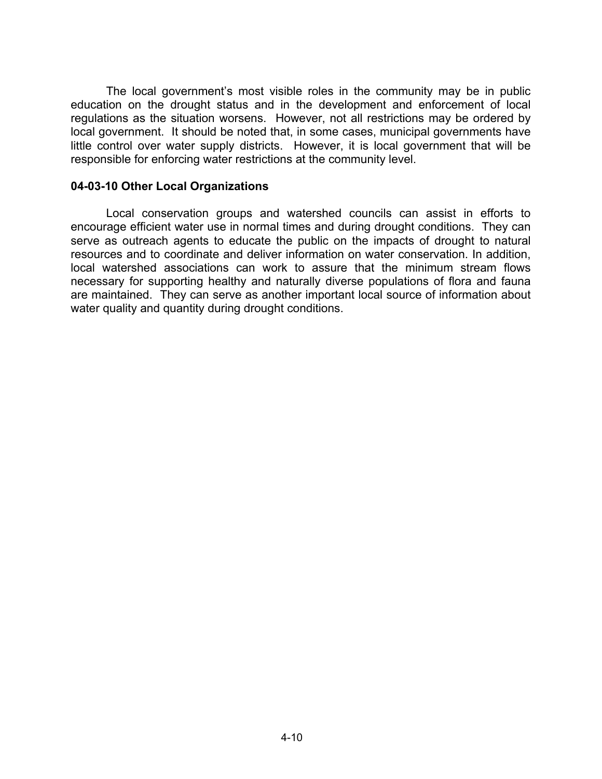The local government's most visible roles in the community may be in public education on the drought status and in the development and enforcement of local regulations as the situation worsens. However, not all restrictions may be ordered by local government. It should be noted that, in some cases, municipal governments have little control over water supply districts. However, it is local government that will be responsible for enforcing water restrictions at the community level.

#### **04-03-10 Other Local Organizations**

Local conservation groups and watershed councils can assist in efforts to encourage efficient water use in normal times and during drought conditions. They can serve as outreach agents to educate the public on the impacts of drought to natural resources and to coordinate and deliver information on water conservation. In addition, local watershed associations can work to assure that the minimum stream flows necessary for supporting healthy and naturally diverse populations of flora and fauna are maintained. They can serve as another important local source of information about water quality and quantity during drought conditions.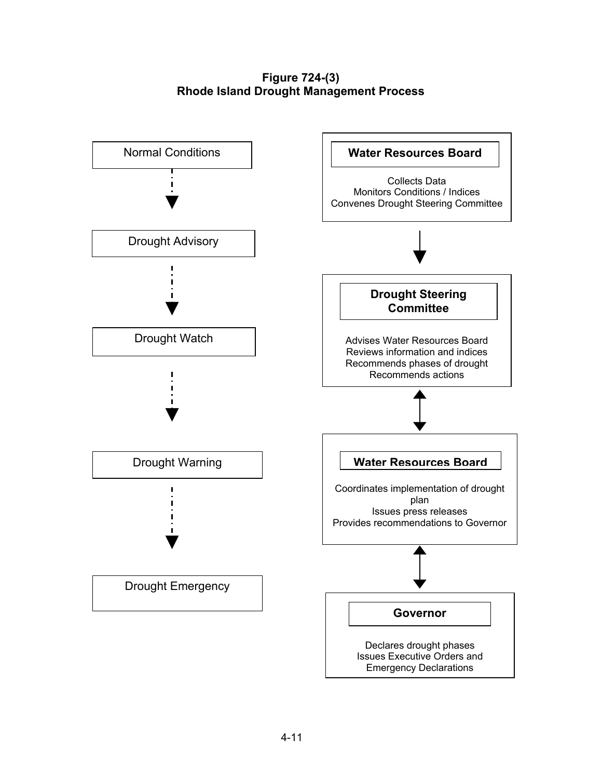## **Figure 724-(3) Rhode Island Drought Management Process**

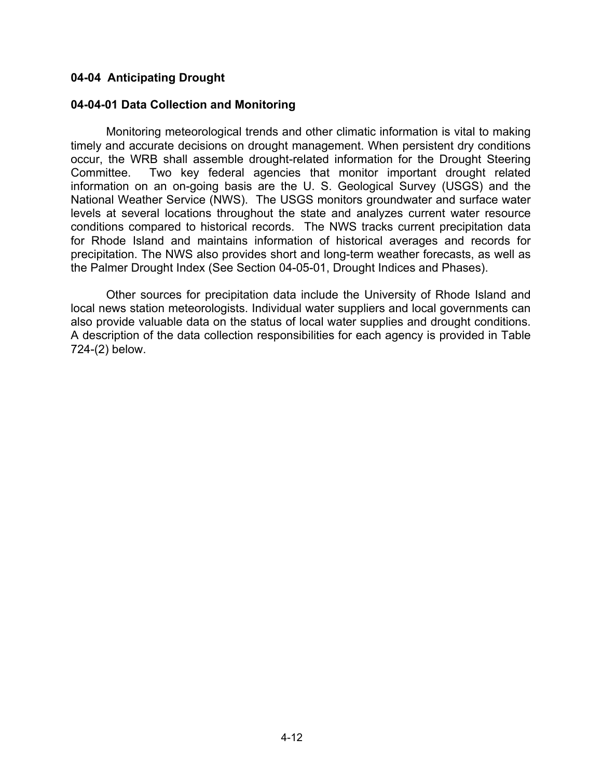## **04-04 Anticipating Drought**

## **04-04-01 Data Collection and Monitoring**

Monitoring meteorological trends and other climatic information is vital to making timely and accurate decisions on drought management. When persistent dry conditions occur, the WRB shall assemble drought-related information for the Drought Steering Committee. Two key federal agencies that monitor important drought related information on an on-going basis are the U. S. Geological Survey (USGS) and the National Weather Service (NWS). The USGS monitors groundwater and surface water levels at several locations throughout the state and analyzes current water resource conditions compared to historical records. The NWS tracks current precipitation data for Rhode Island and maintains information of historical averages and records for precipitation. The NWS also provides short and long-term weather forecasts, as well as the Palmer Drought Index (See Section 04-05-01, Drought Indices and Phases).

Other sources for precipitation data include the University of Rhode Island and local news station meteorologists. Individual water suppliers and local governments can also provide valuable data on the status of local water supplies and drought conditions. A description of the data collection responsibilities for each agency is provided in Table 724-(2) below.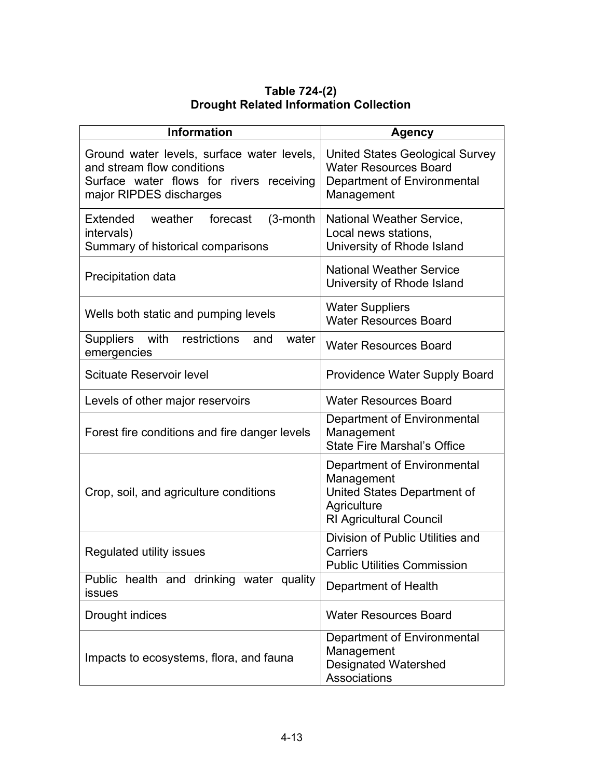| Table 724-(2)                                 |  |  |  |  |
|-----------------------------------------------|--|--|--|--|
| <b>Drought Related Information Collection</b> |  |  |  |  |

| <b>Information</b>                                                                                                                              | <b>Agency</b>                                                                                                             |
|-------------------------------------------------------------------------------------------------------------------------------------------------|---------------------------------------------------------------------------------------------------------------------------|
| Ground water levels, surface water levels,<br>and stream flow conditions<br>Surface water flows for rivers receiving<br>major RIPDES discharges | <b>United States Geological Survey</b><br><b>Water Resources Board</b><br>Department of Environmental<br>Management       |
| weather<br>Extended<br>forecast<br>$(3$ -month<br>intervals)<br>Summary of historical comparisons                                               | <b>National Weather Service,</b><br>Local news stations,<br>University of Rhode Island                                    |
| Precipitation data                                                                                                                              | <b>National Weather Service</b><br>University of Rhode Island                                                             |
| Wells both static and pumping levels                                                                                                            | <b>Water Suppliers</b><br><b>Water Resources Board</b>                                                                    |
| with<br>restrictions<br><b>Suppliers</b><br>and<br>water<br>emergencies                                                                         | <b>Water Resources Board</b>                                                                                              |
| <b>Scituate Reservoir level</b>                                                                                                                 | Providence Water Supply Board                                                                                             |
| Levels of other major reservoirs                                                                                                                | <b>Water Resources Board</b>                                                                                              |
| Forest fire conditions and fire danger levels                                                                                                   | Department of Environmental<br>Management<br><b>State Fire Marshal's Office</b>                                           |
| Crop, soil, and agriculture conditions                                                                                                          | Department of Environmental<br>Management<br>United States Department of<br>Agriculture<br><b>RI Agricultural Council</b> |
| Regulated utility issues                                                                                                                        | Division of Public Utilities and<br>Carriers<br><b>Public Utilities Commission</b>                                        |
| health and drinking water quality<br>Public<br>issues                                                                                           | Department of Health                                                                                                      |
| Drought indices                                                                                                                                 | <b>Water Resources Board</b>                                                                                              |
| Impacts to ecosystems, flora, and fauna                                                                                                         | Department of Environmental<br>Management<br><b>Designated Watershed</b><br>Associations                                  |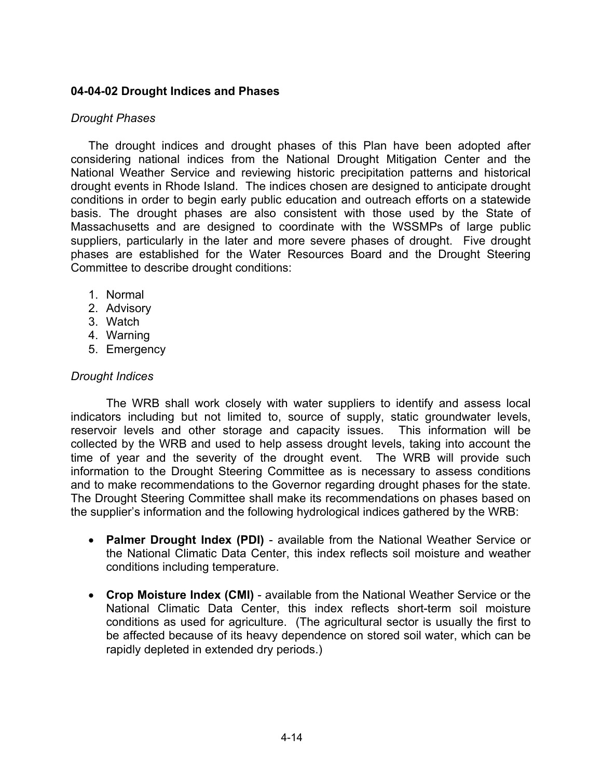## **04-04-02 Drought Indices and Phases**

#### *Drought Phases*

The drought indices and drought phases of this Plan have been adopted after considering national indices from the National Drought Mitigation Center and the National Weather Service and reviewing historic precipitation patterns and historical drought events in Rhode Island. The indices chosen are designed to anticipate drought conditions in order to begin early public education and outreach efforts on a statewide basis. The drought phases are also consistent with those used by the State of Massachusetts and are designed to coordinate with the WSSMPs of large public suppliers, particularly in the later and more severe phases of drought. Five drought phases are established for the Water Resources Board and the Drought Steering Committee to describe drought conditions:

- 1. Normal
- 2. Advisory
- 3. Watch
- 4. Warning
- 5. Emergency

## *Drought Indices*

The WRB shall work closely with water suppliers to identify and assess local indicators including but not limited to, source of supply, static groundwater levels, reservoir levels and other storage and capacity issues. This information will be collected by the WRB and used to help assess drought levels, taking into account the time of year and the severity of the drought event. The WRB will provide such information to the Drought Steering Committee as is necessary to assess conditions and to make recommendations to the Governor regarding drought phases for the state. The Drought Steering Committee shall make its recommendations on phases based on the supplier's information and the following hydrological indices gathered by the WRB:

- **Palmer Drought Index (PDI)** available from the National Weather Service or the National Climatic Data Center, this index reflects soil moisture and weather conditions including temperature.
- **Crop Moisture Index (CMI)** available from the National Weather Service or the National Climatic Data Center, this index reflects short-term soil moisture conditions as used for agriculture. (The agricultural sector is usually the first to be affected because of its heavy dependence on stored soil water, which can be rapidly depleted in extended dry periods.)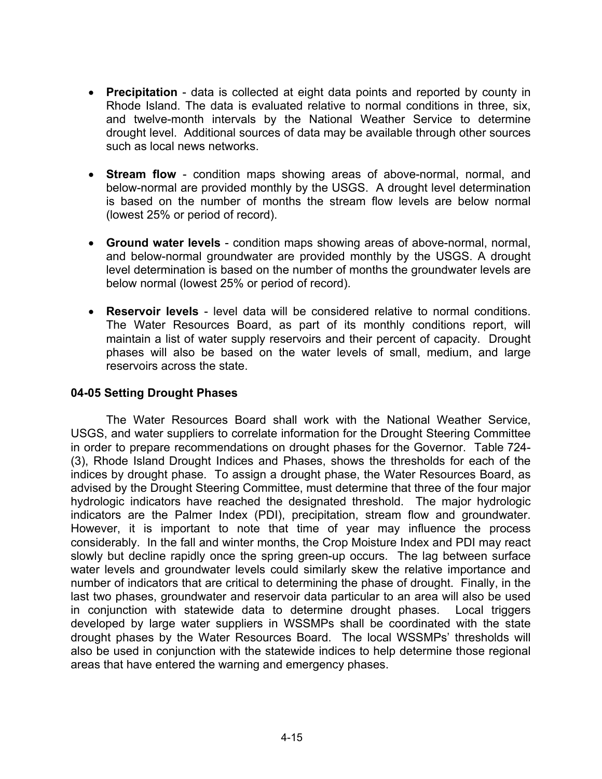- **Precipitation** data is collected at eight data points and reported by county in Rhode Island. The data is evaluated relative to normal conditions in three, six, and twelve-month intervals by the National Weather Service to determine drought level. Additional sources of data may be available through other sources such as local news networks.
- **Stream flow** condition maps showing areas of above-normal, normal, and below-normal are provided monthly by the USGS. A drought level determination is based on the number of months the stream flow levels are below normal (lowest 25% or period of record).
- **Ground water levels** condition maps showing areas of above-normal, normal, and below-normal groundwater are provided monthly by the USGS. A drought level determination is based on the number of months the groundwater levels are below normal (lowest 25% or period of record).
- **Reservoir levels** level data will be considered relative to normal conditions. The Water Resources Board, as part of its monthly conditions report, will maintain a list of water supply reservoirs and their percent of capacity. Drought phases will also be based on the water levels of small, medium, and large reservoirs across the state.

## **04-05 Setting Drought Phases**

The Water Resources Board shall work with the National Weather Service, USGS, and water suppliers to correlate information for the Drought Steering Committee in order to prepare recommendations on drought phases for the Governor. Table 724- (3), Rhode Island Drought Indices and Phases, shows the thresholds for each of the indices by drought phase. To assign a drought phase, the Water Resources Board, as advised by the Drought Steering Committee, must determine that three of the four major hydrologic indicators have reached the designated threshold. The major hydrologic indicators are the Palmer Index (PDI), precipitation, stream flow and groundwater. However, it is important to note that time of year may influence the process considerably. In the fall and winter months, the Crop Moisture Index and PDI may react slowly but decline rapidly once the spring green-up occurs. The lag between surface water levels and groundwater levels could similarly skew the relative importance and number of indicators that are critical to determining the phase of drought. Finally, in the last two phases, groundwater and reservoir data particular to an area will also be used in conjunction with statewide data to determine drought phases. Local triggers developed by large water suppliers in WSSMPs shall be coordinated with the state drought phases by the Water Resources Board. The local WSSMPs' thresholds will also be used in conjunction with the statewide indices to help determine those regional areas that have entered the warning and emergency phases.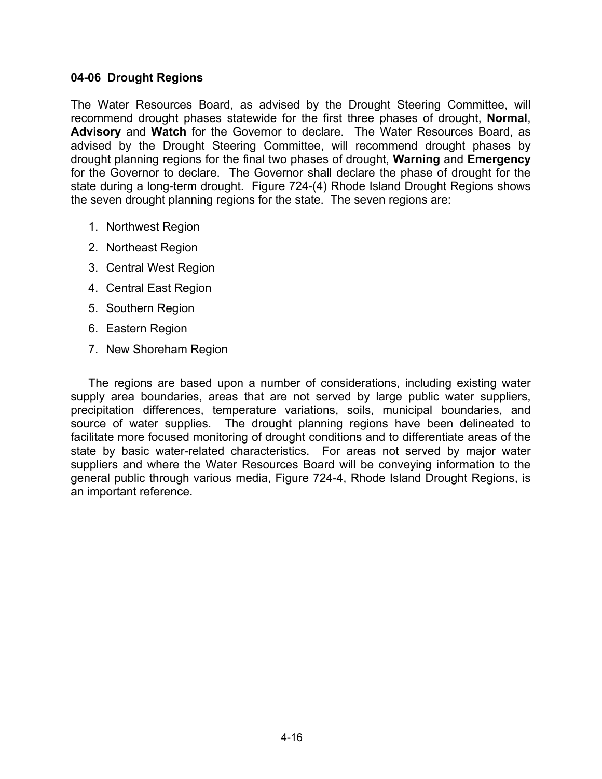#### **04-06 Drought Regions**

The Water Resources Board, as advised by the Drought Steering Committee, will recommend drought phases statewide for the first three phases of drought, **Normal**, **Advisory** and **Watch** for the Governor to declare. The Water Resources Board, as advised by the Drought Steering Committee, will recommend drought phases by drought planning regions for the final two phases of drought, **Warning** and **Emergency** for the Governor to declare. The Governor shall declare the phase of drought for the state during a long-term drought. Figure 724-(4) Rhode Island Drought Regions shows the seven drought planning regions for the state. The seven regions are:

- 1. Northwest Region
- 2. Northeast Region
- 3. Central West Region
- 4. Central East Region
- 5. Southern Region
- 6. Eastern Region
- 7. New Shoreham Region

The regions are based upon a number of considerations, including existing water supply area boundaries, areas that are not served by large public water suppliers, precipitation differences, temperature variations, soils, municipal boundaries, and source of water supplies. The drought planning regions have been delineated to facilitate more focused monitoring of drought conditions and to differentiate areas of the state by basic water-related characteristics. For areas not served by major water suppliers and where the Water Resources Board will be conveying information to the general public through various media, Figure 724-4, Rhode Island Drought Regions, is an important reference.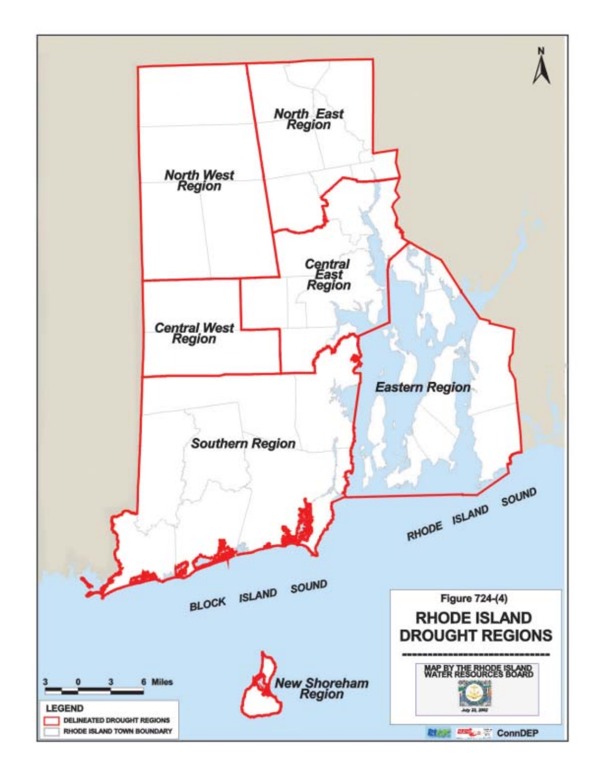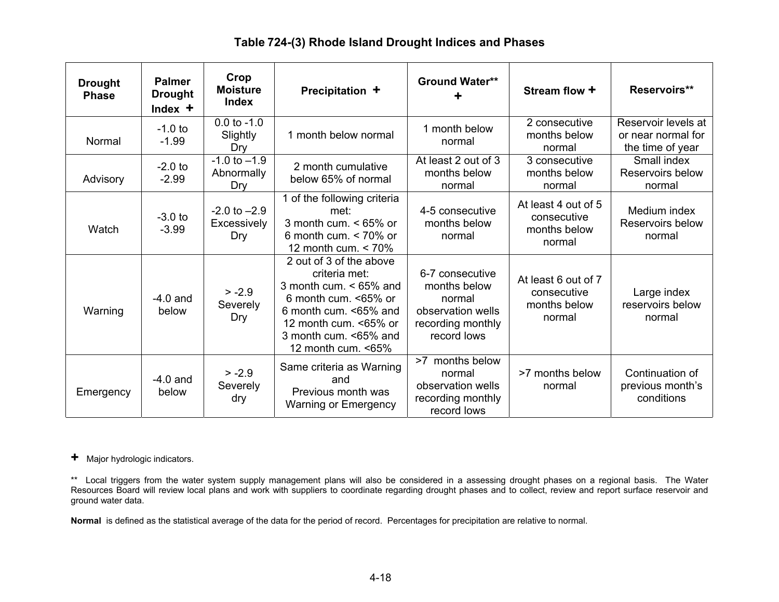#### **Drought Phase Palmer Drought Index +Crop Moisture Index Precipitation + Ground Water\*\* + Stream flow + Reservoirs\*\***  Normal -1.0 to -1.99 0.0 to -1.0 Slightly Dry 1 month below normal 1 month below normal 1 month below normal  $\begin{array}{|c|c|c|c|c|}\n1 & n$  months below normal for<br>1 months below normal for normal the time of year Advisory -2.0 to -2.99  $-1.0$  to  $-1.9$ Abnormally Dry 2 month cumulative below 65% of normal At least 2 out of 3 months below normal 3 consecutive months below normal Small index Reservoirs below normal **Watch** -3.0 to -3.99  $-2.0$  to  $-2.9$ **Excessively** Dry 1 of the following criteria met: 3 month cum. < 65% or 6 month cum. < 70% or 12 month cum. < 70% 4-5 consecutive months below normal At least 4 out of 5 consecutive months below normal Medium index Reservoirs below normal Warning -4.0 and below  $> -2.9$ Severely Dry 2 out of 3 of the above criteria met: 3 month cum. < 65% and 6 month cum. <65% or6 month cum. <65% and 12 month cum. <65% or3 month cum. <65% and 12 month cum. <65% 6-7 consecutive months below normal observation wells recording monthly record lows At least 6 out of 7 consecutive months below normal Large index reservoirs below normal **Emergency** -4.0 and below  $> -2.9$ **Severely** dry Same criteria as Warning and Previous month was Warning or Emergency >7 months below normal observation wells recording monthly record lows >7 months below normal Continuation of previous month's conditions

# **Table 724-(3) Rhode Island Drought Indices and Phases**

**+** Major hydrologic indicators.

\*\* Local triggers from the water system supply management plans will also be considered in a assessing drought phases on a regional basis. The Water Resources Board will review local plans and work with suppliers to coordinate regarding drought phases and to collect, review and report surface reservoir and ground water data.

**Normal** is defined as the statistical average of the data for the period of record. Percentages for precipitation are relative to normal.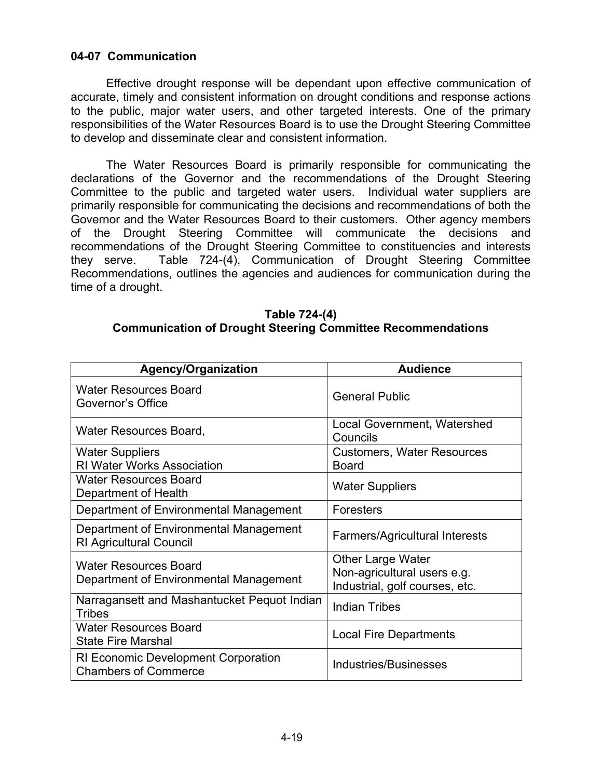## **04-07 Communication**

Effective drought response will be dependant upon effective communication of accurate, timely and consistent information on drought conditions and response actions to the public, major water users, and other targeted interests. One of the primary responsibilities of the Water Resources Board is to use the Drought Steering Committee to develop and disseminate clear and consistent information.

The Water Resources Board is primarily responsible for communicating the declarations of the Governor and the recommendations of the Drought Steering Committee to the public and targeted water users. Individual water suppliers are primarily responsible for communicating the decisions and recommendations of both the Governor and the Water Resources Board to their customers. Other agency members of the Drought Steering Committee will communicate the decisions and recommendations of the Drought Steering Committee to constituencies and interests they serve. Table 724-(4), Communication of Drought Steering Committee Recommendations, outlines the agencies and audiences for communication during the time of a drought.

#### **Table 724-(4) Communication of Drought Steering Committee Recommendations**

| <b>Agency/Organization</b>                                                | <b>Audience</b>                                                                           |
|---------------------------------------------------------------------------|-------------------------------------------------------------------------------------------|
| <b>Water Resources Board</b><br>Governor's Office                         | <b>General Public</b>                                                                     |
| Water Resources Board,                                                    | Local Government, Watershed<br>Councils                                                   |
| <b>Water Suppliers</b><br><b>RI Water Works Association</b>               | <b>Customers, Water Resources</b><br><b>Board</b>                                         |
| <b>Water Resources Board</b><br>Department of Health                      | <b>Water Suppliers</b>                                                                    |
| Department of Environmental Management                                    | <b>Foresters</b>                                                                          |
| Department of Environmental Management<br><b>RI Agricultural Council</b>  | Farmers/Agricultural Interests                                                            |
| Water Resources Board<br>Department of Environmental Management           | <b>Other Large Water</b><br>Non-agricultural users e.g.<br>Industrial, golf courses, etc. |
| Narragansett and Mashantucket Pequot Indian<br><b>Tribes</b>              | <b>Indian Tribes</b>                                                                      |
| <b>Water Resources Board</b><br><b>State Fire Marshal</b>                 | <b>Local Fire Departments</b>                                                             |
| <b>RI Economic Development Corporation</b><br><b>Chambers of Commerce</b> | <b>Industries/Businesses</b>                                                              |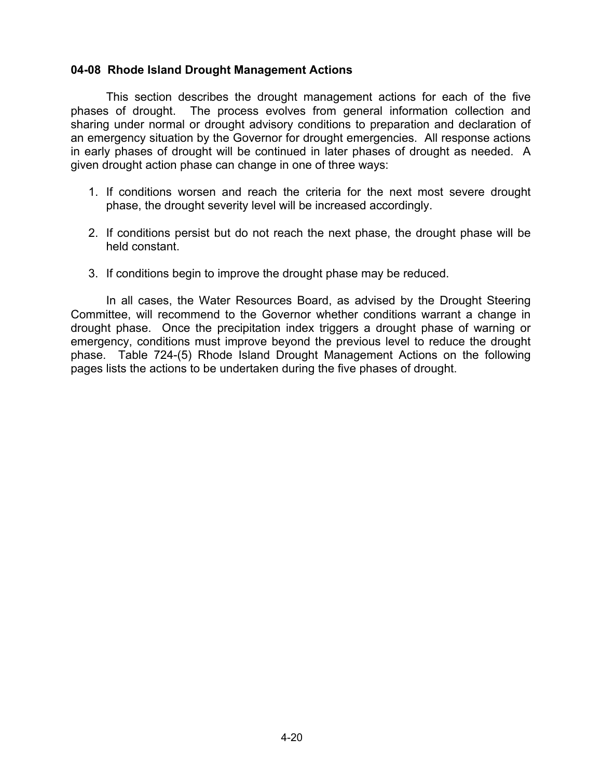#### **04-08 Rhode Island Drought Management Actions**

This section describes the drought management actions for each of the five phases of drought. The process evolves from general information collection and sharing under normal or drought advisory conditions to preparation and declaration of an emergency situation by the Governor for drought emergencies. All response actions in early phases of drought will be continued in later phases of drought as needed. A given drought action phase can change in one of three ways:

- 1. If conditions worsen and reach the criteria for the next most severe drought phase, the drought severity level will be increased accordingly.
- 2. If conditions persist but do not reach the next phase, the drought phase will be held constant.
- 3. If conditions begin to improve the drought phase may be reduced.

In all cases, the Water Resources Board, as advised by the Drought Steering Committee, will recommend to the Governor whether conditions warrant a change in drought phase. Once the precipitation index triggers a drought phase of warning or emergency, conditions must improve beyond the previous level to reduce the drought phase. Table 724-(5) Rhode Island Drought Management Actions on the following pages lists the actions to be undertaken during the five phases of drought.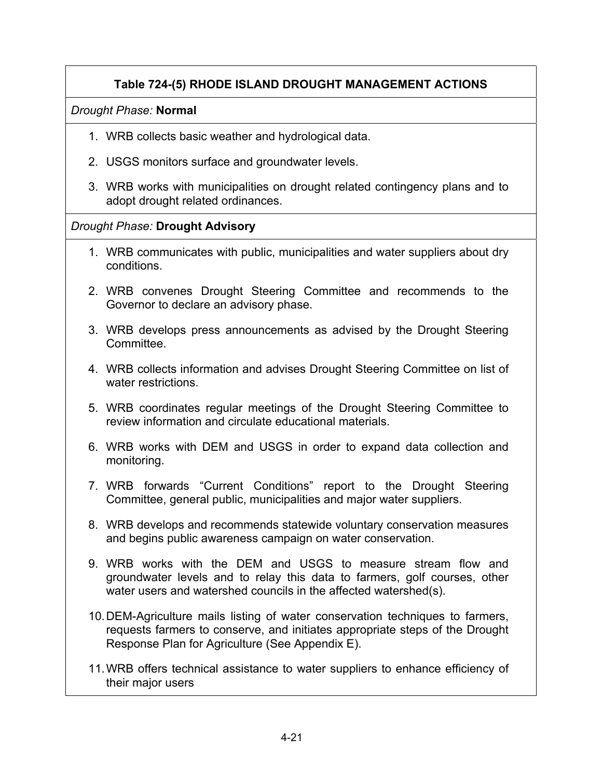# **Table 724-(5) RHODE ISLAND DROUGHT MANAGEMENT ACTIONS**

## *Drought Phase:* **Normal**

- 1. WRB collects basic weather and hydrological data.
- 2. USGS monitors surface and groundwater levels.
- 3. WRB works with municipalities on drought related contingency plans and to adopt drought related ordinances.

# *Drought Phase:* **Drought Advisory**

- 1. WRB communicates with public, municipalities and water suppliers about dry conditions.
- 2. WRB convenes Drought Steering Committee and recommends to the Governor to declare an advisory phase.
- 3. WRB develops press announcements as advised by the Drought Steering Committee.
- 4. WRB collects information and advises Drought Steering Committee on list of water restrictions.
- 5. WRB coordinates regular meetings of the Drought Steering Committee to review information and circulate educational materials.
- 6. WRB works with DEM and USGS in order to expand data collection and monitoring.
- 7. WRB forwards "Current Conditions" report to the Drought Steering Committee, general public, municipalities and major water suppliers.
- 8. WRB develops and recommends statewide voluntary conservation measures and begins public awareness campaign on water conservation.
- 9. WRB works with the DEM and USGS to measure stream flow and groundwater levels and to relay this data to farmers, golf courses, other water users and watershed councils in the affected watershed(s).
- 10. DEM-Agriculture mails listing of water conservation techniques to farmers, requests farmers to conserve, and initiates appropriate steps of the Drought Response Plan for Agriculture (See Appendix E).
- 11. WRB offers technical assistance to water suppliers to enhance efficiency of their major users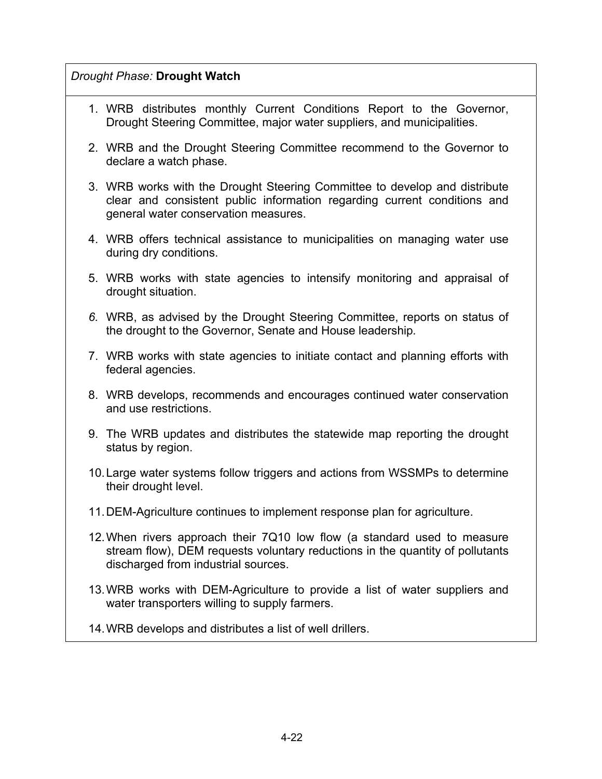# *Drought Phase:* **Drought Watch**

- 1. WRB distributes monthly Current Conditions Report to the Governor, Drought Steering Committee, major water suppliers, and municipalities.
- 2. WRB and the Drought Steering Committee recommend to the Governor to declare a watch phase.
- 3. WRB works with the Drought Steering Committee to develop and distribute clear and consistent public information regarding current conditions and general water conservation measures.
- 4. WRB offers technical assistance to municipalities on managing water use during dry conditions.
- 5. WRB works with state agencies to intensify monitoring and appraisal of drought situation.
- *6.* WRB, as advised by the Drought Steering Committee, reports on status of the drought to the Governor, Senate and House leadership*.*
- 7. WRB works with state agencies to initiate contact and planning efforts with federal agencies.
- 8. WRB develops, recommends and encourages continued water conservation and use restrictions.
- 9. The WRB updates and distributes the statewide map reporting the drought status by region.
- 10. Large water systems follow triggers and actions from WSSMPs to determine their drought level.
- 11. DEM-Agriculture continues to implement response plan for agriculture.
- 12. When rivers approach their 7Q10 low flow (a standard used to measure stream flow), DEM requests voluntary reductions in the quantity of pollutants discharged from industrial sources.
- 13. WRB works with DEM-Agriculture to provide a list of water suppliers and water transporters willing to supply farmers.
- 14. WRB develops and distributes a list of well drillers.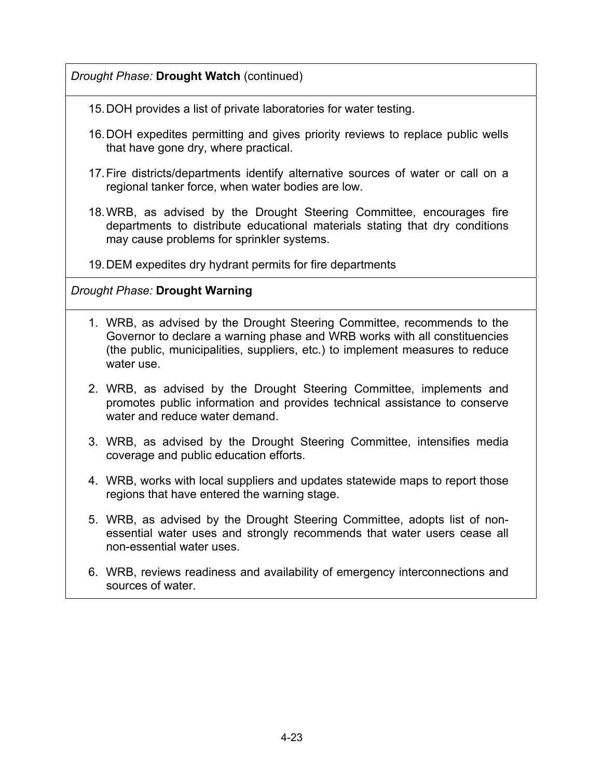# *Drought Phase:* **Drought Watch** (continued)

- 15. DOH provides a list of private laboratories for water testing.
- 16. DOH expedites permitting and gives priority reviews to replace public wells that have gone dry, where practical.
- 17. Fire districts/departments identify alternative sources of water or call on a regional tanker force, when water bodies are low.
- 18. WRB, as advised by the Drought Steering Committee, encourages fire departments to distribute educational materials stating that dry conditions may cause problems for sprinkler systems.

19. DEM expedites dry hydrant permits for fire departments

# *Drought Phase:* **Drought Warning**

- 1. WRB, as advised by the Drought Steering Committee, recommends to the Governor to declare a warning phase and WRB works with all constituencies (the public, municipalities, suppliers, etc.) to implement measures to reduce water use.
- 2. WRB, as advised by the Drought Steering Committee, implements and promotes public information and provides technical assistance to conserve water and reduce water demand.
- 3. WRB, as advised by the Drought Steering Committee, intensifies media coverage and public education efforts.
- 4. WRB, works with local suppliers and updates statewide maps to report those regions that have entered the warning stage.
- 5. WRB, as advised by the Drought Steering Committee, adopts list of nonessential water uses and strongly recommends that water users cease all non-essential water uses.
- 6. WRB, reviews readiness and availability of emergency interconnections and sources of water.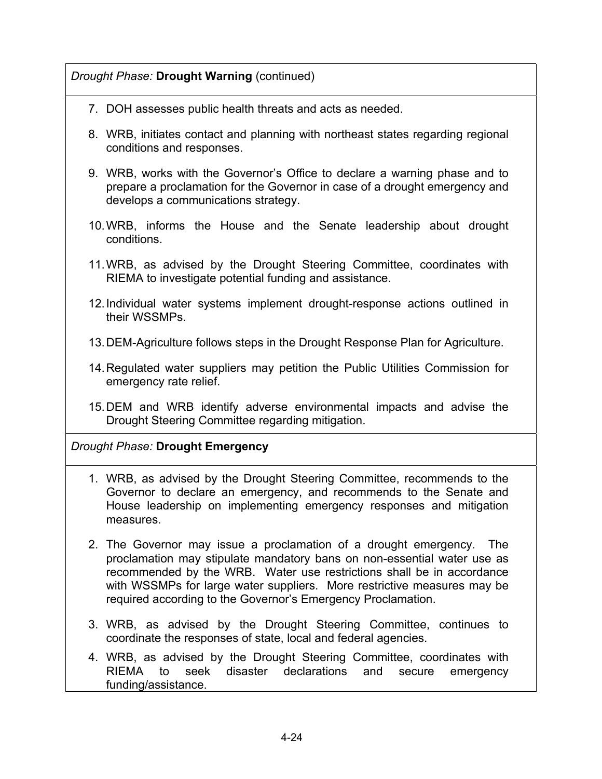# *Drought Phase:* **Drought Warning** (continued)

- 7. DOH assesses public health threats and acts as needed.
- 8. WRB, initiates contact and planning with northeast states regarding regional conditions and responses.
- 9. WRB, works with the Governor's Office to declare a warning phase and to prepare a proclamation for the Governor in case of a drought emergency and develops a communications strategy.
- 10. WRB, informs the House and the Senate leadership about drought conditions.
- 11. WRB, as advised by the Drought Steering Committee, coordinates with RIEMA to investigate potential funding and assistance.
- 12. Individual water systems implement drought-response actions outlined in their WSSMPs.
- 13. DEM-Agriculture follows steps in the Drought Response Plan for Agriculture.
- 14. Regulated water suppliers may petition the Public Utilities Commission for emergency rate relief.
- 15. DEM and WRB identify adverse environmental impacts and advise the Drought Steering Committee regarding mitigation.

# *Drought Phase:* **Drought Emergency**

- 1. WRB, as advised by the Drought Steering Committee, recommends to the Governor to declare an emergency, and recommends to the Senate and House leadership on implementing emergency responses and mitigation measures.
- 2. The Governor may issue a proclamation of a drought emergency. The proclamation may stipulate mandatory bans on non-essential water use as recommended by the WRB. Water use restrictions shall be in accordance with WSSMPs for large water suppliers. More restrictive measures may be required according to the Governor's Emergency Proclamation.
- 3. WRB, as advised by the Drought Steering Committee, continues to coordinate the responses of state, local and federal agencies.
- 4. WRB, as advised by the Drought Steering Committee, coordinates with RIEMA to seek disaster declarations and secure emergency funding/assistance.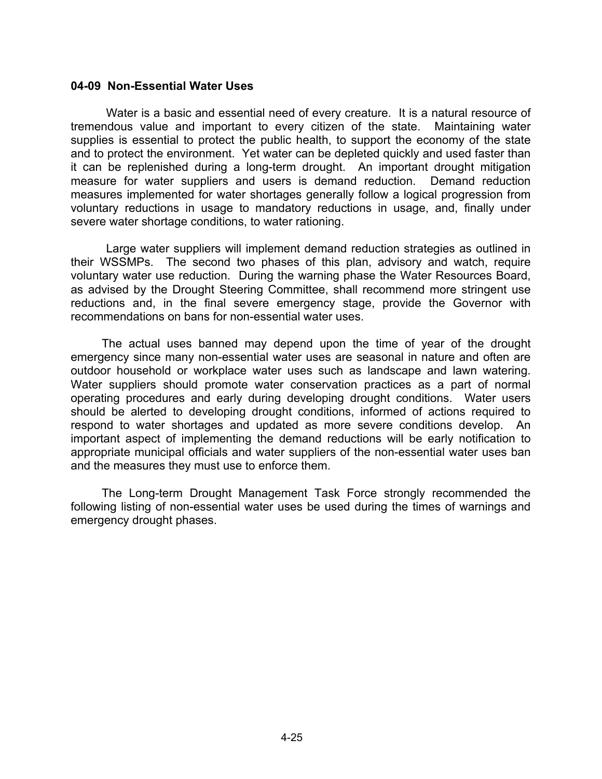#### **04-09 Non-Essential Water Uses**

Water is a basic and essential need of every creature. It is a natural resource of tremendous value and important to every citizen of the state. Maintaining water supplies is essential to protect the public health, to support the economy of the state and to protect the environment. Yet water can be depleted quickly and used faster than it can be replenished during a long-term drought. An important drought mitigation measure for water suppliers and users is demand reduction. Demand reduction measures implemented for water shortages generally follow a logical progression from voluntary reductions in usage to mandatory reductions in usage, and, finally under severe water shortage conditions, to water rationing.

Large water suppliers will implement demand reduction strategies as outlined in their WSSMPs. The second two phases of this plan, advisory and watch, require voluntary water use reduction. During the warning phase the Water Resources Board, as advised by the Drought Steering Committee, shall recommend more stringent use reductions and, in the final severe emergency stage, provide the Governor with recommendations on bans for non-essential water uses.

The actual uses banned may depend upon the time of year of the drought emergency since many non-essential water uses are seasonal in nature and often are outdoor household or workplace water uses such as landscape and lawn watering. Water suppliers should promote water conservation practices as a part of normal operating procedures and early during developing drought conditions. Water users should be alerted to developing drought conditions, informed of actions required to respond to water shortages and updated as more severe conditions develop. An important aspect of implementing the demand reductions will be early notification to appropriate municipal officials and water suppliers of the non-essential water uses ban and the measures they must use to enforce them.

The Long-term Drought Management Task Force strongly recommended the following listing of non-essential water uses be used during the times of warnings and emergency drought phases.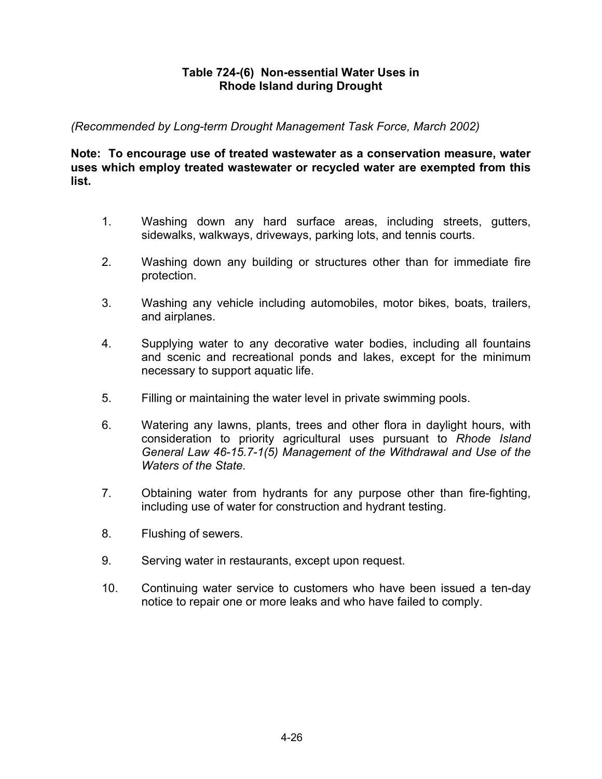## **Table 724-(6) Non-essential Water Uses in Rhode Island during Drought**

*(Recommended by Long-term Drought Management Task Force, March 2002)* 

**Note: To encourage use of treated wastewater as a conservation measure, water uses which employ treated wastewater or recycled water are exempted from this list.** 

- 1. Washing down any hard surface areas, including streets, gutters, sidewalks, walkways, driveways, parking lots, and tennis courts.
- 2. Washing down any building or structures other than for immediate fire protection.
- 3. Washing any vehicle including automobiles, motor bikes, boats, trailers, and airplanes.
- 4. Supplying water to any decorative water bodies, including all fountains and scenic and recreational ponds and lakes, except for the minimum necessary to support aquatic life.
- 5. Filling or maintaining the water level in private swimming pools.
- 6. Watering any lawns, plants, trees and other flora in daylight hours, with consideration to priority agricultural uses pursuant to *Rhode Island General Law 46-15.7-1(5) Management of the Withdrawal and Use of the Waters of the State.*
- 7. Obtaining water from hydrants for any purpose other than fire-fighting, including use of water for construction and hydrant testing.
- 8. Flushing of sewers.
- 9. Serving water in restaurants, except upon request.
- 10. Continuing water service to customers who have been issued a ten-day notice to repair one or more leaks and who have failed to comply.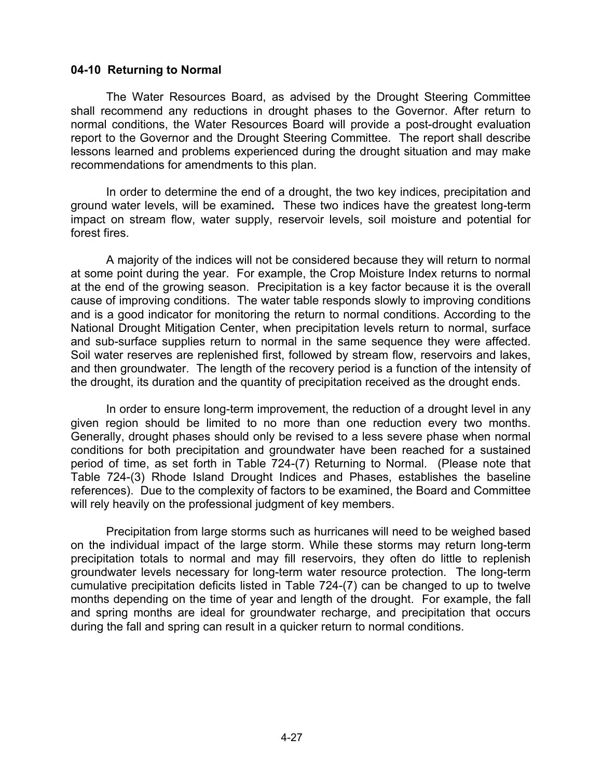#### **04-10 Returning to Normal**

The Water Resources Board, as advised by the Drought Steering Committee shall recommend any reductions in drought phases to the Governor. After return to normal conditions, the Water Resources Board will provide a post-drought evaluation report to the Governor and the Drought Steering Committee. The report shall describe lessons learned and problems experienced during the drought situation and may make recommendations for amendments to this plan.

In order to determine the end of a drought, the two key indices, precipitation and ground water levels, will be examined*.* These two indices have the greatest long-term impact on stream flow, water supply, reservoir levels, soil moisture and potential for forest fires.

A majority of the indices will not be considered because they will return to normal at some point during the year. For example, the Crop Moisture Index returns to normal at the end of the growing season. Precipitation is a key factor because it is the overall cause of improving conditions. The water table responds slowly to improving conditions and is a good indicator for monitoring the return to normal conditions. According to the National Drought Mitigation Center, when precipitation levels return to normal, surface and sub-surface supplies return to normal in the same sequence they were affected. Soil water reserves are replenished first, followed by stream flow, reservoirs and lakes, and then groundwater. The length of the recovery period is a function of the intensity of the drought, its duration and the quantity of precipitation received as the drought ends.

In order to ensure long-term improvement, the reduction of a drought level in any given region should be limited to no more than one reduction every two months. Generally, drought phases should only be revised to a less severe phase when normal conditions for both precipitation and groundwater have been reached for a sustained period of time, as set forth in Table 724-(7) Returning to Normal. (Please note that Table 724-(3) Rhode Island Drought Indices and Phases, establishes the baseline references). Due to the complexity of factors to be examined, the Board and Committee will rely heavily on the professional judgment of key members.

Precipitation from large storms such as hurricanes will need to be weighed based on the individual impact of the large storm. While these storms may return long-term precipitation totals to normal and may fill reservoirs, they often do little to replenish groundwater levels necessary for long-term water resource protection.The long-term cumulative precipitation deficits listed in Table 724-(7) can be changed to up to twelve months depending on the time of year and length of the drought. For example, the fall and spring months are ideal for groundwater recharge, and precipitation that occurs during the fall and spring can result in a quicker return to normal conditions.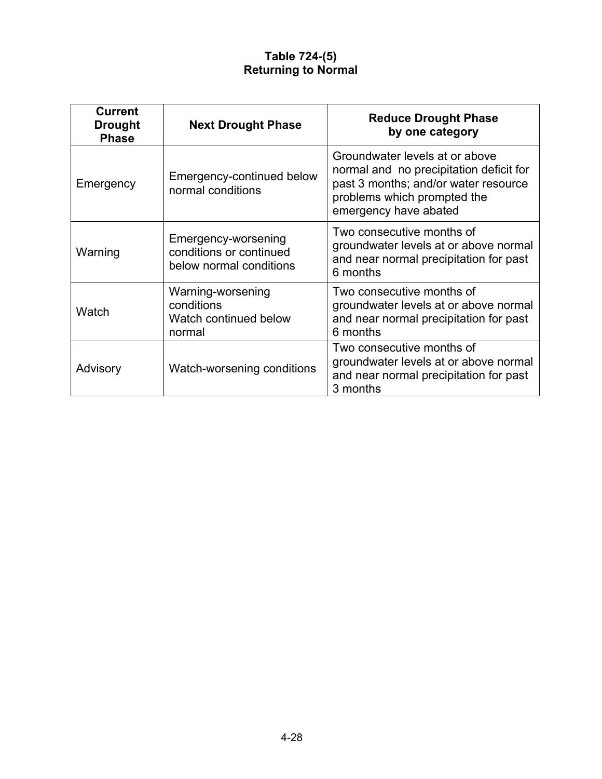# **Table 724-(5) Returning to Normal**

| <b>Current</b><br><b>Drought</b><br><b>Phase</b> | <b>Next Drought Phase</b>                                                 | <b>Reduce Drought Phase</b><br>by one category                                                                                                                            |
|--------------------------------------------------|---------------------------------------------------------------------------|---------------------------------------------------------------------------------------------------------------------------------------------------------------------------|
| Emergency                                        | Emergency-continued below<br>normal conditions                            | Groundwater levels at or above<br>normal and no precipitation deficit for<br>past 3 months; and/or water resource<br>problems which prompted the<br>emergency have abated |
| Warning                                          | Emergency-worsening<br>conditions or continued<br>below normal conditions | Two consecutive months of<br>groundwater levels at or above normal<br>and near normal precipitation for past<br>6 months                                                  |
| Watch                                            | Warning-worsening<br>conditions<br>Watch continued below<br>normal        | Two consecutive months of<br>groundwater levels at or above normal<br>and near normal precipitation for past<br>6 months                                                  |
| Advisory                                         | Watch-worsening conditions                                                | Two consecutive months of<br>groundwater levels at or above normal<br>and near normal precipitation for past<br>3 months                                                  |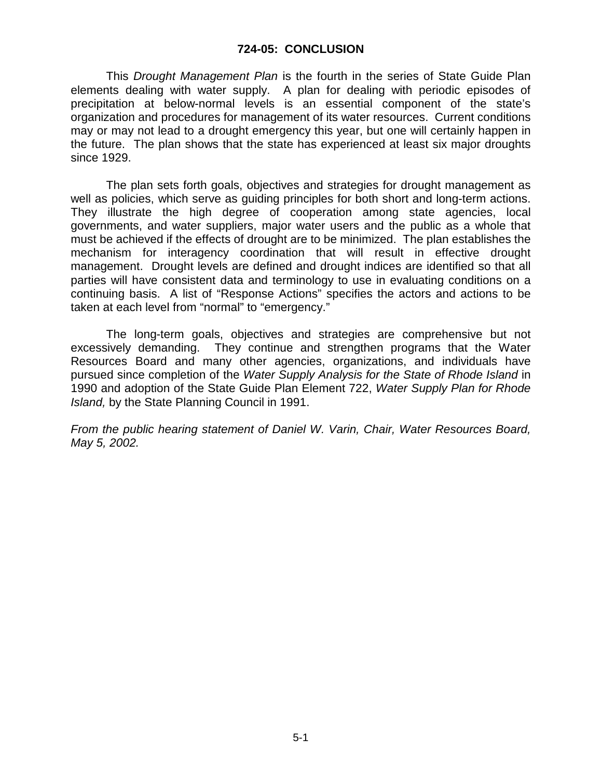#### **724-05: CONCLUSION**

This *Drought Management Plan* is the fourth in the series of State Guide Plan elements dealing with water supply. A plan for dealing with periodic episodes of precipitation at below-normal levels is an essential component of the state's organization and procedures for management of its water resources. Current conditions may or may not lead to a drought emergency this year, but one will certainly happen in the future. The plan shows that the state has experienced at least six major droughts since 1929.

The plan sets forth goals, objectives and strategies for drought management as well as policies, which serve as guiding principles for both short and long-term actions. They illustrate the high degree of cooperation among state agencies, local governments, and water suppliers, major water users and the public as a whole that must be achieved if the effects of drought are to be minimized. The plan establishes the mechanism for interagency coordination that will result in effective drought management. Drought levels are defined and drought indices are identified so that all parties will have consistent data and terminology to use in evaluating conditions on a continuing basis. A list of "Response Actions" specifies the actors and actions to be taken at each level from "normal" to "emergency."

The long-term goals, objectives and strategies are comprehensive but not excessively demanding. They continue and strengthen programs that the Water Resources Board and many other agencies, organizations, and individuals have pursued since completion of the *Water Supply Analysis for the State of Rhode Island* in 1990 and adoption of the State Guide Plan Element 722, *Water Supply Plan for Rhode Island,* by the State Planning Council in 1991.

*From the public hearing statement of Daniel W. Varin, Chair, Water Resources Board, May 5, 2002.*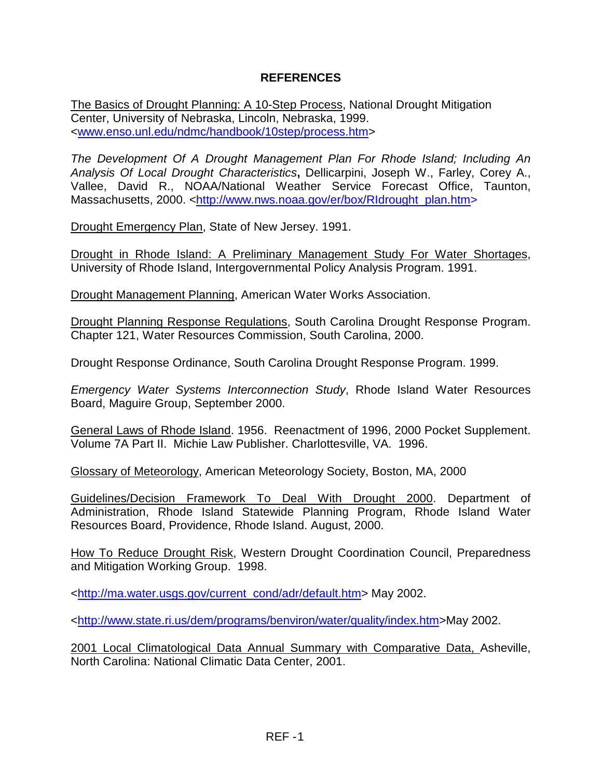# **REFERENCES**

The Basics of Drought Planning: A 10-Step Process, National Drought Mitigation Center, University of Nebraska, Lincoln, Nebraska, 1999. <www.enso.unl.edu/ndmc/handbook/10step/process.htm>

*The Development Of A Drought Management Plan For Rhode Island; Including An Analysis Of Local Drought Characteristics***,** Dellicarpini, Joseph W., Farley, Corey A., Vallee, David R., NOAA/National Weather Service Forecast Office, Taunton, Massachusetts, 2000. <http://www.nws.noaa.gov/er/box/RIdrought\_plan.htm>

Drought Emergency Plan, State of New Jersey. 1991.

Drought in Rhode Island: A Preliminary Management Study For Water Shortages, University of Rhode Island, Intergovernmental Policy Analysis Program. 1991.

Drought Management Planning, American Water Works Association.

Drought Planning Response Regulations, South Carolina Drought Response Program. Chapter 121, Water Resources Commission, South Carolina, 2000.

Drought Response Ordinance, South Carolina Drought Response Program. 1999.

*Emergency Water Systems Interconnection Study*, Rhode Island Water Resources Board, Maguire Group, September 2000.

General Laws of Rhode Island. 1956. Reenactment of 1996, 2000 Pocket Supplement. Volume 7A Part II. Michie Law Publisher. Charlottesville, VA. 1996.

Glossary of Meteorology, American Meteorology Society, Boston, MA, 2000

Guidelines/Decision Framework To Deal With Drought 2000. Department of Administration, Rhode Island Statewide Planning Program, Rhode Island Water Resources Board, Providence, Rhode Island. August, 2000.

How To Reduce Drought Risk, Western Drought Coordination Council, Preparedness and Mitigation Working Group. 1998.

<http://ma.water.usgs.gov/current\_cond/adr/default.htm> May 2002.

<http://www.state.ri.us/dem/programs/benviron/water/quality/index.htm>May 2002.

2001 Local Climatological Data Annual Summary with Comparative Data, Asheville, North Carolina: National Climatic Data Center, 2001.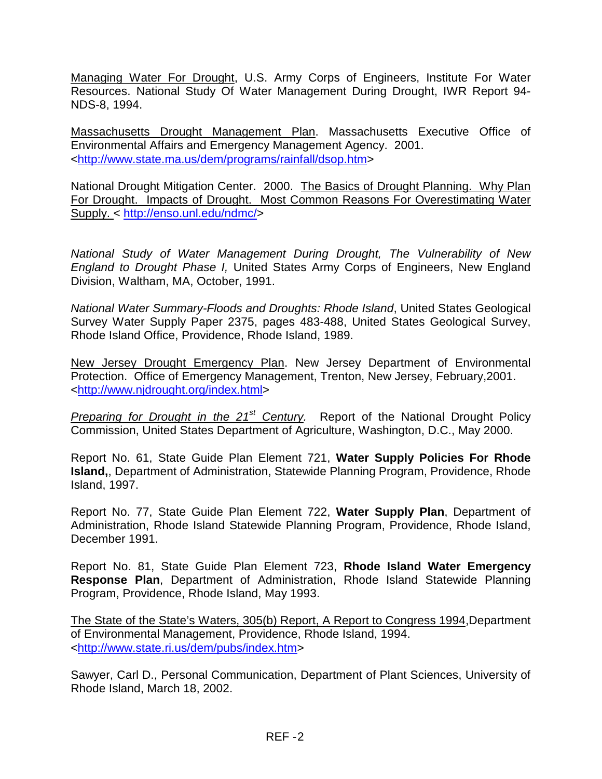Managing Water For Drought, U.S. Army Corps of Engineers, Institute For Water Resources. National Study Of Water Management During Drought, IWR Report 94- NDS-8, 1994.

Massachusetts Drought Management Plan. Massachusetts Executive Office of Environmental Affairs and Emergency Management Agency. 2001. <http://www.state.ma.us/dem/programs/rainfall/dsop.htm>

National Drought Mitigation Center. 2000. The Basics of Drought Planning. Why Plan For Drought. Impacts of Drought. Most Common Reasons For Overestimating Water Supply. < http://enso.unl.edu/ndmc/>

*National Study of Water Management During Drought, The Vulnerability of New England to Drought Phase I,* United States Army Corps of Engineers, New England Division, Waltham, MA, October, 1991.

*National Water Summary-Floods and Droughts: Rhode Island*, United States Geological Survey Water Supply Paper 2375, pages 483-488, United States Geological Survey, Rhode Island Office, Providence, Rhode Island, 1989.

New Jersey Drought Emergency Plan. New Jersey Department of Environmental Protection. Office of Emergency Management, Trenton, New Jersey, February,2001. <http://www.njdrought.org/index.html>

*Preparing for Drought in the 21st Century.* Report of the National Drought Policy Commission, United States Department of Agriculture, Washington, D.C., May 2000.

Report No. 61, State Guide Plan Element 721, **Water Supply Policies For Rhode Island,**, Department of Administration, Statewide Planning Program, Providence, Rhode Island, 1997.

Report No. 77, State Guide Plan Element 722, **Water Supply Plan**, Department of Administration, Rhode Island Statewide Planning Program, Providence, Rhode Island, December 1991.

Report No. 81, State Guide Plan Element 723, **Rhode Island Water Emergency Response Plan**, Department of Administration, Rhode Island Statewide Planning Program, Providence, Rhode Island, May 1993.

The State of the State's Waters, 305(b) Report, A Report to Congress 1994,Department of Environmental Management, Providence, Rhode Island, 1994. <http://www.state.ri.us/dem/pubs/index.htm>

Sawyer, Carl D., Personal Communication, Department of Plant Sciences, University of Rhode Island, March 18, 2002.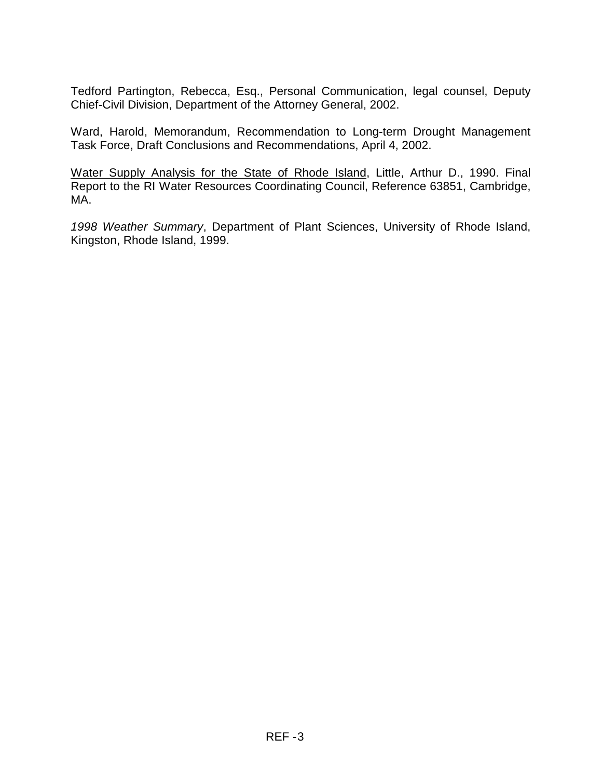Tedford Partington, Rebecca, Esq., Personal Communication, legal counsel, Deputy Chief-Civil Division, Department of the Attorney General, 2002.

Ward, Harold, Memorandum, Recommendation to Long-term Drought Management Task Force, Draft Conclusions and Recommendations, April 4, 2002.

Water Supply Analysis for the State of Rhode Island, Little, Arthur D., 1990. Final Report to the RI Water Resources Coordinating Council, Reference 63851, Cambridge, MA.

*1998 Weather Summary*, Department of Plant Sciences, University of Rhode Island, Kingston, Rhode Island, 1999.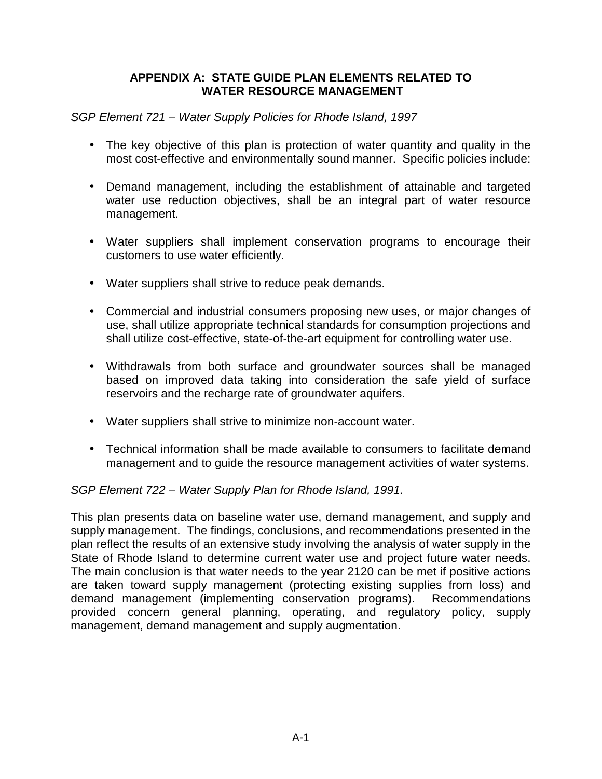### **APPENDIX A: STATE GUIDE PLAN ELEMENTS RELATED TO WATER RESOURCE MANAGEMENT**

*SGP Element 721 – Water Supply Policies for Rhode Island, 1997* 

- The key objective of this plan is protection of water quantity and quality in the most cost-effective and environmentally sound manner. Specific policies include:
- Demand management, including the establishment of attainable and targeted water use reduction objectives, shall be an integral part of water resource management.
- Water suppliers shall implement conservation programs to encourage their customers to use water efficiently.
- Water suppliers shall strive to reduce peak demands.
- Commercial and industrial consumers proposing new uses, or major changes of use, shall utilize appropriate technical standards for consumption projections and shall utilize cost-effective, state-of-the-art equipment for controlling water use.
- Withdrawals from both surface and groundwater sources shall be managed based on improved data taking into consideration the safe yield of surface reservoirs and the recharge rate of groundwater aquifers.
- Water suppliers shall strive to minimize non-account water.
- Technical information shall be made available to consumers to facilitate demand management and to guide the resource management activities of water systems.

## *SGP Element 722 – Water Supply Plan for Rhode Island, 1991.*

This plan presents data on baseline water use, demand management, and supply and supply management. The findings, conclusions, and recommendations presented in the plan reflect the results of an extensive study involving the analysis of water supply in the State of Rhode Island to determine current water use and project future water needs. The main conclusion is that water needs to the year 2120 can be met if positive actions are taken toward supply management (protecting existing supplies from loss) and demand management (implementing conservation programs). Recommendations provided concern general planning, operating, and regulatory policy, supply management, demand management and supply augmentation.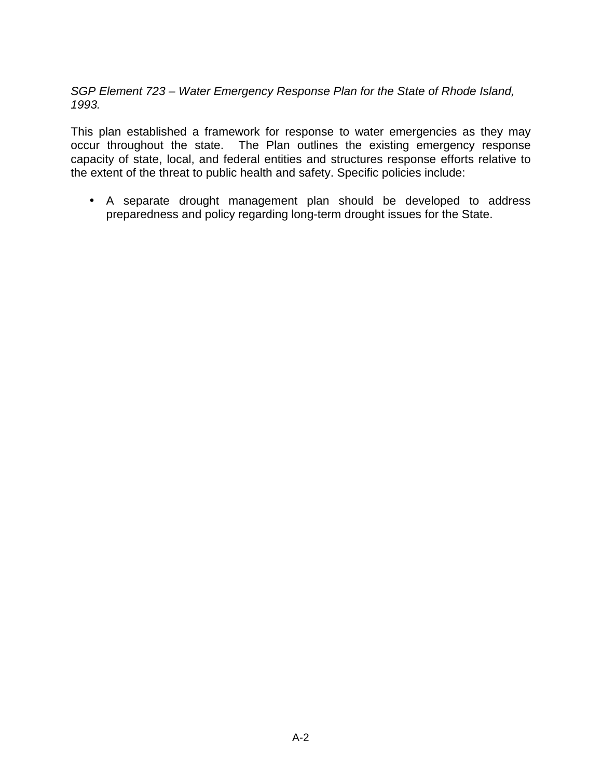*SGP Element 723 – Water Emergency Response Plan for the State of Rhode Island, 1993.* 

This plan established a framework for response to water emergencies as they may occur throughout the state. The Plan outlines the existing emergency response capacity of state, local, and federal entities and structures response efforts relative to the extent of the threat to public health and safety. Specific policies include:

• A separate drought management plan should be developed to address preparedness and policy regarding long-term drought issues for the State.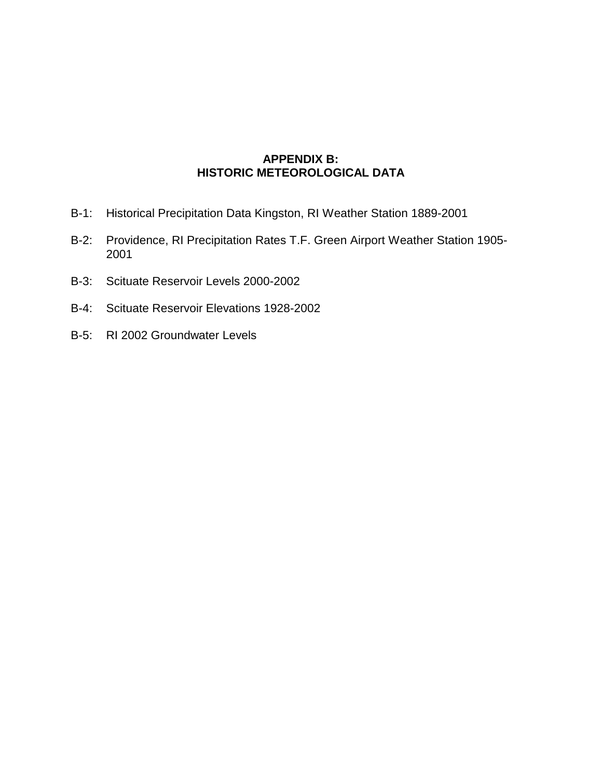### **APPENDIX B: HISTORIC METEOROLOGICAL DATA**

- B-1: Historical Precipitation Data Kingston, RI Weather Station 1889-2001
- B-2: Providence, RI Precipitation Rates T.F. Green Airport Weather Station 1905- 2001
- B-3: Scituate Reservoir Levels 2000-2002
- B-4: Scituate Reservoir Elevations 1928-2002
- B-5: RI 2002 Groundwater Levels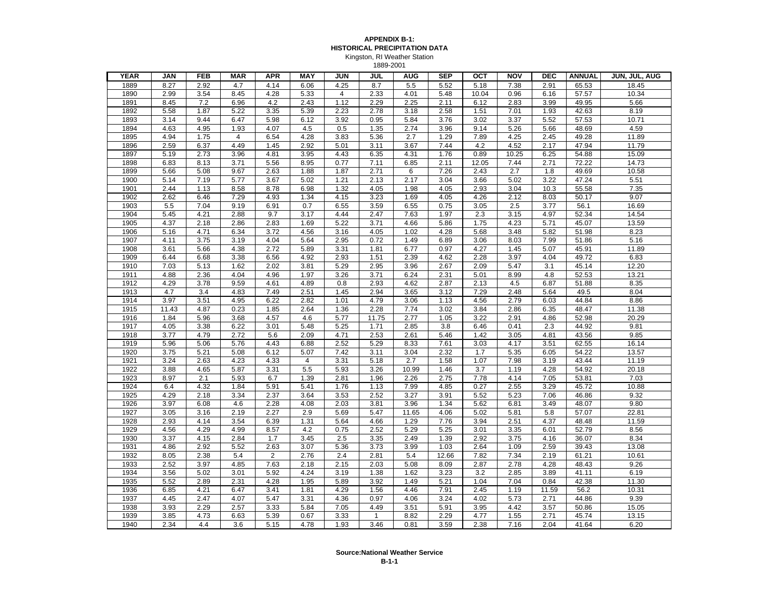#### **APPENDIX B-1: HISTORICAL PRECIPITATION DATA** Kingston, RI Weather Station 1889-2001

| <b>YEAR</b> | JAN   | <b>FEB</b> | <b>MAR</b>     | <b>APR</b>     | MAY            | <b>JUN</b>     | JUL          | <b>AUG</b> | <b>SEP</b> | OCT   | <b>NOV</b>        | <b>DEC</b> | <b>ANNUAL</b> | JUN, JUL, AUG |
|-------------|-------|------------|----------------|----------------|----------------|----------------|--------------|------------|------------|-------|-------------------|------------|---------------|---------------|
| 1889        | 8.27  | 2.92       | 4.7            | 4.14           | 6.06           | 4.25           | 8.7          | 5.5        | 5.52       | 5.18  | 7.38              | 2.91       | 65.53         | 18.45         |
| 1890        | 2.99  | 3.54       | 8.45           | 4.28           | 5.33           | $\overline{4}$ | 2.33         | 4.01       | 5.48       | 10.04 | 0.96              | 6.16       | 57.57         | 10.34         |
| 1891        | 8.45  | 7.2        | 6.96           | 4.2            | 2.43           | 1.12           | 2.29         | 2.25       | 2.11       | 6.12  | 2.83              | 3.99       | 49.95         | 5.66          |
| 1892        | 5.58  | 1.87       | 5.22           | 3.35           | 5.39           | 2.23           | 2.78         | 3.18       | 2.58       | 1.51  | 7.01              | 1.93       | 42.63         | 8.19          |
| 1893        | 3.14  | 9.44       | 6.47           | 5.98           | 6.12           | 3.92           | 0.95         | 5.84       | 3.76       | 3.02  | 3.37              | 5.52       | 57.53         | 10.71         |
| 1894        | 4.63  | 4.95       | 1.93           | 4.07           | 4.5            | 0.5            | 1.35         | 2.74       | 3.96       | 9.14  | 5.26              | 5.66       | 48.69         | 4.59          |
| 1895        | 4.94  | 1.75       | $\overline{4}$ | 6.54           | 4.28           | 3.83           | 5.36         | 2.7        | 1.29       | 7.89  | 4.25              | 2.45       | 49.28         | 11.89         |
| 1896        | 2.59  | 6.37       | 4.49           | 1.45           | 2.92           | 5.01           | 3.11         | 3.67       | 7.44       | 4.2   | 4.52              | 2.17       | 47.94         | 11.79         |
| 1897        | 5.19  | 2.73       | 3.96           | 4.81           | 3.95           | 4.43           | 6.35         | 4.31       | 1.76       | 0.89  | 10.25             | 6.25       | 54.88         | 15.09         |
| 1898        | 6.83  | 8.13       | 3.71           | 5.56           | 8.95           | 0.77           | 7.11         | 6.85       | 2.11       | 12.05 | 7.44              | 2.71       | 72.22         | 14.73         |
| 1899        | 5.66  | 5.08       | 9.67           | 2.63           | 1.88           | 1.87           | 2.71         | 6          | 7.26       | 2.43  | 2.7               | 1.8        | 49.69         | 10.58         |
| 1900        | 5.14  | 7.19       | 5.77           | 3.67           | 5.02           | 1.21           | 2.13         | 2.17       | 3.04       | 3.66  | 5.02              | 3.22       | 47.24         | 5.51          |
| 1901        | 2.44  | 1.13       | 8.58           | 8.78           | 6.98           | 1.32           | 4.05         | 1.98       | 4.05       | 2.93  | 3.04              | 10.3       | 55.58         | 7.35          |
| 1902        | 2.62  | 6.46       | 7.29           | 4.93           | 1.34           | 4.15           | 3.23         | 1.69       | 4.05       | 4.26  | 2.12              | 8.03       | 50.17         | 9.07          |
| 1903        | 5.5   | 7.04       | 9.19           | 6.91           | 0.7            | 6.55           | 3.59         | 6.55       | 0.75       | 3.05  | 2.5               | 3.77       | 56.1          | 16.69         |
| 1904        | 5.45  | 4.21       | 2.88           | 9.7            | 3.17           | 4.44           | 2.47         | 7.63       | 1.97       | 2.3   | 3.15              | 4.97       | 52.34         | 14.54         |
| 1905        | 4.37  | 2.18       | 2.86           | 2.83           | 1.69           | 5.22           | 3.71         | 4.66       | 5.86       | 1.75  | 4.23              | 5.71       | 45.07         | 13.59         |
| 1906        | 5.16  | 4.71       | 6.34           | 3.72           | 4.56           | 3.16           | 4.05         | 1.02       | 4.28       | 5.68  | 3.48              | 5.82       | 51.98         | 8.23          |
| 1907        | 4.11  | 3.75       | 3.19           | 4.04           | 5.64           | 2.95           | 0.72         | 1.49       | 6.89       | 3.06  | 8.03              | 7.99       | 51.86         | 5.16          |
| 1908        | 3.61  | 5.66       | 4.38           | 2.72           | 5.89           | 3.31           | 1.81         | 6.77       | 0.97       | 4.27  | 1.45              | 5.07       | 45.91         | 11.89         |
| 1909        | 6.44  | 6.68       | 3.38           | 6.56           | 4.92           | 2.93           | 1.51         | 2.39       | 4.62       | 2.28  | 3.97              | 4.04       | 49.72         | 6.83          |
| 1910        | 7.03  | 5.13       | 1.62           | 2.02           | 3.81           | 5.29           | 2.95         | 3.96       | 2.67       | 2.09  | 5.47              | 3.1        | 45.14         | 12.20         |
| 1911        | 4.88  | 2.36       | 4.04           | 4.96           | 1.97           | 3.26           | 3.71         | 6.24       | 2.31       | 5.01  | 8.99              | 4.8        | 52.53         | 13.21         |
| 1912        | 4.29  | 3.78       | 9.59           | 4.61           | 4.89           | 0.8            | 2.93         | 4.62       | 2.87       | 2.13  | 4.5               | 6.87       | 51.88         | 8.35          |
| 1913        | 4.7   | 3.4        | 4.83           | 7.49           | 2.51           | 1.45           | 2.94         | 3.65       | 3.12       | 7.29  | 2.48              | 5.64       | 49.5          | 8.04          |
| 1914        | 3.97  | 3.51       | 4.95           | 6.22           | 2.82           | 1.01           | 4.79         | 3.06       | 1.13       | 4.56  | 2.79              | 6.03       | 44.84         | 8.86          |
| 1915        | 11.43 | 4.87       | 0.23           | 1.85           | 2.64           | 1.36           | 2.28         | 7.74       | 3.02       | 3.84  | 2.86              | 6.35       | 48.47         | 11.38         |
| 1916        | 1.84  | 5.96       | 3.68           | 4.57           | 4.6            | 5.77           | 11.75        | 2.77       | 1.05       | 3.22  | 2.91              | 4.86       | 52.98         | 20.29         |
| 1917        | 4.05  | 3.38       | 6.22           | 3.01           | 5.48           | 5.25           | 1.71         | 2.85       | 3.8        | 6.46  | 0.41              | 2.3        | 44.92         | 9.81          |
| 1918        | 3.77  | 4.79       | 2.72           | 5.6            | 2.09           | 4.71           | 2.53         | 2.61       | 5.46       | 1.42  | 3.05              | 4.81       | 43.56         | 9.85          |
| 1919        | 5.96  | 5.06       | 5.76           | 4.43           | 6.88           | 2.52           | 5.29         | 8.33       | 7.61       | 3.03  | 4.17              | 3.51       | 62.55         | 16.14         |
| 1920        | 3.75  | 5.21       | 5.08           | 6.12           | 5.07           | 7.42           | 3.11         | 3.04       | 2.32       | 1.7   | 5.35              | 6.05       | 54.22         | 13.57         |
| 1921        | 3.24  | 2.63       | 4.23           | 4.33           | $\overline{4}$ | 3.31           | 5.18         | 2.7        | 1.58       | 1.07  | 7.98              | 3.19       | 43.44         | 11.19         |
| 1922        | 3.88  | 4.65       | 5.87           | 3.31           | 5.5            | 5.93           | 3.26         | 10.99      | 1.46       | 3.7   | 1.19              | 4.28       | 54.92         | 20.18         |
| 1923        | 8.97  | 2.1        | 5.93           | 6.7            | 1.39           | 2.81           | 1.96         | 2.26       | 2.75       | 7.78  | 4.14              | 7.05       | 53.81         | 7.03          |
| 1924        | 6.4   | 4.32       | 1.84           | 5.91           | 5.41           | 1.76           | 1.13         | 7.99       | 4.85       | 0.27  | 2.55              | 3.29       | 45.72         | 10.88         |
| 1925        | 4.29  | 2.18       | 3.34           | 2.37           | 3.64           | 3.53           | 2.52         | 3.27       | 3.91       | 5.52  | 5.23              | 7.06       | 46.86         | 9.32          |
| 1926        | 3.97  | 6.08       | 4.6            | 2.28           | 4.08           | 2.03           | 3.81         | 3.96       | 1.34       | 5.62  | 6.81              | 3.49       | 48.07         | 9.80          |
| 1927        | 3.05  | 3.16       | 2.19           | 2.27           | 2.9            | 5.69           | 5.47         | 11.65      | 4.06       | 5.02  | 5.81              | 5.8        | 57.07         | 22.81         |
| 1928        | 2.93  | 4.14       | 3.54           | 6.39           | 1.31           | 5.64           | 4.66         | 1.29       | 7.76       | 3.94  | 2.51              | 4.37       | 48.48         | 11.59         |
| 1929        | 4.56  | 4.29       | 4.99           | 8.57           | 4.2            | 0.75           | 2.52         | 5.29       | 5.25       | 3.01  | 3.35              | 6.01       | 52.79         | 8.56          |
| 1930        | 3.37  | 4.15       | 2.84           | 1.7            | 3.45           | 2.5            | 3.35         | 2.49       | 1.39       | 2.92  | 3.75              | 4.16       | 36.07         | 8.34          |
| 1931        | 4.86  | 2.92       | 5.52           | 2.63           | 3.07           | 5.36           | 3.73         | 3.99       | 1.03       | 2.64  | 1.09              | 2.59       | 39.43         | 13.08         |
| 1932        | 8.05  | 2.38       | 5.4            | $\overline{2}$ | 2.76           | 2.4            | 2.81         | 5.4        | 12.66      | 7.82  | 7.34              | 2.19       | 61.21         | 10.61         |
| 1933        | 2.52  | 3.97       | 4.85           | 7.63           | 2.18           | 2.15           | 2.03         | 5.08       | 8.09       | 2.87  | 2.78              | 4.28       | 48.43         | 9.26          |
| 1934        | 3.56  | 5.02       | 3.01           | 5.92           | 4.24           | 3.19           | 1.38         | 1.62       | 3.23       | 3.2   | 2.85              | 3.89       | 41.11         | 6.19          |
| 1935        | 5.52  | 2.89       | 2.31           | 4.28           | 1.95           | 5.89           | 3.92         | 1.49       | 5.21       | 1.04  | 7.04              | 0.84       | 42.38         | 11.30         |
| 1936        | 6.85  | 4.21       | 6.47           | 3.41           | 1.81           | 4.29           | 1.56         | 4.46       | 7.91       | 2.45  | 1.19              | 11.59      | 56.2          | 10.31         |
| 1937        | 4.45  | 2.47       | 4.07           | 5.47           | 3.31           | 4.36           | 0.97         | 4.06       | 3.24       | 4.02  | 5.73              | 2.71       | 44.86         | 9.39          |
| 1938        | 3.93  | 2.29       | 2.57           | 3.33           | 5.84           | 7.05           | 4.49         | 3.51       | 5.91       | 3.95  | 4.42              | 3.57       | 50.86         | 15.05         |
| 1939        | 3.85  | 4.73       | 6.63           | 5.39           | 0.67           | 3.33           | $\mathbf{1}$ | 8.82       | 2.29       | 4.77  | $\overline{1.55}$ | 2.71       | 45.74         | 13.15         |
| 1940        | 2.34  | 4.4        | 3.6            | 5.15           | 4.78           | 1.93           | 3.46         | 0.81       | 3.59       | 2.38  | 7.16              | 2.04       | 41.64         | 6.20          |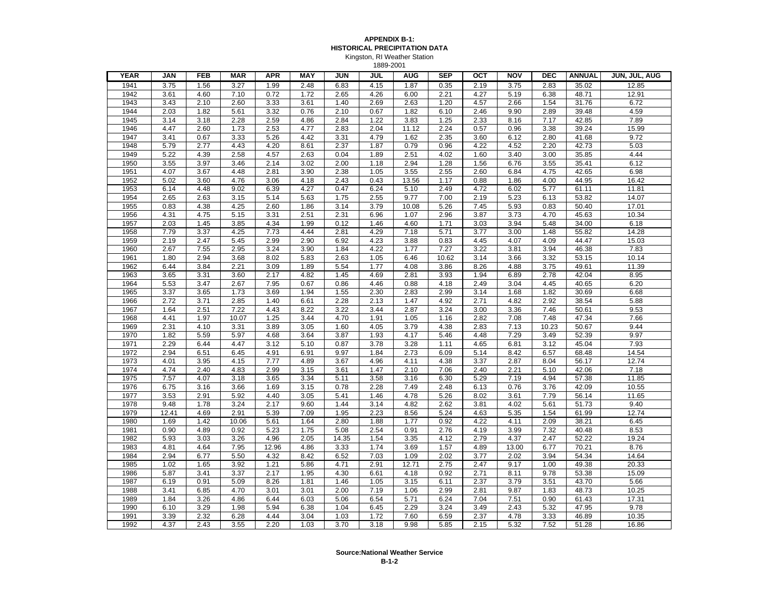#### **APPENDIX B-1: HISTORICAL PRECIPITATION DATA** Kingston, RI Weather Station

1889-2001

| <b>YEAR</b> | <b>JAN</b> | <b>FEB</b> | <b>MAR</b> | <b>APR</b> | <b>MAY</b> | JUN   | JUL  | <b>AUG</b> | <b>SEP</b> | $_{\rm ocr}$ | <b>NOV</b> | <b>DEC</b> | <b>ANNUAL</b> | JUN, JUL, AUG |
|-------------|------------|------------|------------|------------|------------|-------|------|------------|------------|--------------|------------|------------|---------------|---------------|
| 1941        | 3.75       | 1.56       | 3.27       | 1.99       | 2.48       | 6.83  | 4.15 | 1.87       | 0.35       | 2.19         | 3.75       | 2.83       | 35.02         | 12.85         |
| 1942        | 3.61       | 4.60       | 7.10       | 0.72       | 1.72       | 2.65  | 4.26 | 6.00       | 2.21       | 4.27         | 5.19       | 6.38       | 48.71         | 12.91         |
| 1943        | 3.43       | 2.10       | 2.60       | 3.33       | 3.61       | 1.40  | 2.69 | 2.63       | 1.20       | 4.57         | 2.66       | 1.54       | 31.76         | 6.72          |
| 1944        | 2.03       | 1.82       | 5.61       | 3.32       | 0.76       | 2.10  | 0.67 | 1.82       | 6.10       | 2.46         | 9.90       | 2.89       | 39.48         | 4.59          |
| 1945        | 3.14       | 3.18       | 2.28       | 2.59       | 4.86       | 2.84  | 1.22 | 3.83       | 1.25       | 2.33         | 8.16       | 7.17       | 42.85         | 7.89          |
| 1946        | 4.47       | 2.60       | 1.73       | 2.53       | 4.77       | 2.83  | 2.04 | 11.12      | 2.24       | 0.57         | 0.96       | 3.38       | 39.24         | 15.99         |
| 1947        | 3.41       | 0.67       | 3.33       | 5.26       | 4.42       | 3.31  | 4.79 | 1.62       | 2.35       | 3.60         | 6.12       | 2.80       | 41.68         | 9.72          |
| 1948        | 5.79       | 2.77       | 4.43       | 4.20       | 8.61       | 2.37  | 1.87 | 0.79       | 0.96       | 4.22         | 4.52       | 2.20       | 42.73         | 5.03          |
| 1949        | 5.22       | 4.39       | 2.58       | 4.57       | 2.63       | 0.04  | 1.89 | 2.51       | 4.02       | 1.60         | 3.40       | 3.00       | 35.85         | 4.44          |
| 1950        | 3.55       | 3.97       | 3.46       | 2.14       | 3.02       | 2.00  | 1.18 | 2.94       | 1.28       | 1.56         | 6.76       | 3.55       | 35.41         | 6.12          |
| 1951        | 4.07       | 3.67       | 4.48       | 2.81       | 3.90       | 2.38  | 1.05 | 3.55       | 2.55       | 2.60         | 6.84       | 4.75       | 42.65         | 6.98          |
| 1952        | 5.02       | 3.60       | 4.76       | 3.06       | 4.18       | 2.43  | 0.43 | 13.56      | 1.17       | 0.88         | 1.86       | 4.00       | 44.95         | 16.42         |
| 1953        | 6.14       | 4.48       | 9.02       | 6.39       | 4.27       | 0.47  | 6.24 | 5.10       | 2.49       | 4.72         | 6.02       | 5.77       | 61.11         | 11.81         |
| 1954        | 2.65       | 2.63       | 3.15       | 5.14       | 5.63       | 1.75  | 2.55 | 9.77       | 7.00       | 2.19         | 5.23       | 6.13       | 53.82         | 14.07         |
| 1955        | 0.83       | 4.38       | 4.25       | 2.60       | 1.86       | 3.14  | 3.79 | 10.08      | 5.26       | 7.45         | 5.93       | 0.83       | 50.40         | 17.01         |
| 1956        | 4.31       | 4.75       | 5.15       | 3.31       | 2.51       | 2.31  | 6.96 | 1.07       | 2.96       | 3.87         | 3.73       | 4.70       | 45.63         | 10.34         |
| 1957        | 2.03       | 1.45       | 3.85       | 4.34       | 1.99       | 0.12  | 1.46 | 4.60       | 1.71       | 3.03         | 3.94       | 5.48       | 34.00         | 6.18          |
| 1958        | 7.79       | 3.37       | 4.25       | 7.73       | 4.44       | 2.81  | 4.29 | 7.18       | 5.71       | 3.77         | 3.00       | 1.48       | 55.82         | 14.28         |
| 1959        | 2.19       | 2.47       | 5.45       | 2.99       | 2.90       | 6.92  | 4.23 | 3.88       | 0.83       | 4.45         | 4.07       | 4.09       | 44.47         | 15.03         |
| 1960        | 2.67       | 7.55       | 2.95       | 3.24       | 3.90       | 1.84  | 4.22 | 1.77       | 7.27       | 3.22         | 3.81       | 3.94       | 46.38         | 7.83          |
| 1961        | 1.80       | 2.94       | 3.68       | 8.02       | 5.83       | 2.63  | 1.05 | 6.46       | 10.62      | 3.14         | 3.66       | 3.32       | 53.15         | 10.14         |
| 1962        | 6.44       | 3.84       | 2.21       | 3.09       | 1.89       | 5.54  | 1.77 | 4.08       | 3.86       | 8.26         | 4.88       | 3.75       | 49.61         | 11.39         |
| 1963        | 3.65       | 3.31       | 3.60       | 2.17       | 4.82       | 1.45  | 4.69 | 2.81       | 3.93       | 1.94         | 6.89       | 2.78       | 42.04         | 8.95          |
| 1964        | 5.53       | 3.47       | 2.67       | 7.95       | 0.67       | 0.86  | 4.46 | 0.88       | 4.18       | 2.49         | 3.04       | 4.45       | 40.65         | 6.20          |
| 1965        | 3.37       | 3.65       | 1.73       | 3.69       | 1.94       | 1.55  | 2.30 | 2.83       | 2.99       | 3.14         | 1.68       | 1.82       | 30.69         | 6.68          |
| 1966        | 2.72       | 3.71       | 2.85       | 1.40       | 6.61       | 2.28  | 2.13 | 1.47       | 4.92       | 2.71         | 4.82       | 2.92       | 38.54         | 5.88          |
| 1967        | 1.64       | 2.51       | 7.22       | 4.43       | 8.22       | 3.22  | 3.44 | 2.87       | 3.24       | 3.00         | 3.36       | 7.46       | 50.61         | 9.53          |
| 1968        | 4.41       | 1.97       | 10.07      | 1.25       | 3.44       | 4.70  | 1.91 | 1.05       | 1.16       | 2.82         | 7.08       | 7.48       | 47.34         | 7.66          |
| 1969        | 2.31       | 4.10       | 3.31       | 3.89       | 3.05       | 1.60  | 4.05 | 3.79       | 4.38       | 2.83         | 7.13       | 10.23      | 50.67         | 9.44          |
| 1970        | 1.82       | 5.59       | 5.97       | 4.68       | 3.64       | 3.87  | 1.93 | 4.17       | 5.46       | 4.48         | 7.29       | 3.49       | 52.39         | 9.97          |
| 1971        | 2.29       | 6.44       | 4.47       | 3.12       | 5.10       | 0.87  | 3.78 | 3.28       | 1.11       | 4.65         | 6.81       | 3.12       | 45.04         | 7.93          |
| 1972        | 2.94       | 6.51       | 6.45       | 4.91       | 6.91       | 9.97  | 1.84 | 2.73       | 6.09       | 5.14         | 8.42       | 6.57       | 68.48         | 14.54         |
| 1973        | 4.01       | 3.95       | 4.15       | 7.77       | 4.89       | 3.67  | 4.96 | 4.11       | 4.38       | 3.37         | 2.87       | 8.04       | 56.17         | 12.74         |
| 1974        | 4.74       | 2.40       | 4.83       | 2.99       | 3.15       | 3.61  | 1.47 | 2.10       | 7.06       | 2.40         | 2.21       | 5.10       | 42.06         | 7.18          |
| 1975        | 7.57       | 4.07       | 3.18       | 3.65       | 3.34       | 5.11  | 3.58 | 3.16       | 6.30       | 5.29         | 7.19       | 4.94       | 57.38         | 11.85         |
| 1976        | 6.75       | 3.16       | 3.66       | 1.69       | 3.15       | 0.78  | 2.28 | 7.49       | 2.48       | 6.13         | 0.76       | 3.76       | 42.09         | 10.55         |
| 1977        | 3.53       | 2.91       | 5.92       | 4.40       | 3.05       | 5.41  | 1.46 | 4.78       | 5.26       | 8.02         | 3.61       | 7.79       | 56.14         | 11.65         |
| 1978        | 9.48       | 1.78       | 3.24       | 2.17       | 9.60       | 1.44  | 3.14 | 4.82       | 2.62       | 3.81         | 4.02       | 5.61       | 51.73         | 9.40          |
| 1979        | 12.41      | 4.69       | 2.91       | 5.39       | 7.09       | 1.95  | 2.23 | 8.56       | 5.24       | 4.63         | 5.35       | 1.54       | 61.99         | 12.74         |
| 1980        | 1.69       | 1.42       | 10.06      | 5.61       | 1.64       | 2.80  | 1.88 | 1.77       | 0.92       | 4.22         | 4.11       | 2.09       | 38.21         | 6.45          |
| 1981        | 0.90       | 4.89       | 0.92       | 5.23       | 1.75       | 5.08  | 2.54 | 0.91       | 2.76       | 4.19         | 3.99       | 7.32       | 40.48         | 8.53          |
| 1982        | 5.93       | 3.03       | 3.26       | 4.96       | 2.05       | 14.35 | 1.54 | 3.35       | 4.12       | 2.79         | 4.37       | 2.47       | 52.22         | 19.24         |
| 1983        | 4.81       | 4.64       | 7.95       | 12.96      | 4.86       | 3.33  | 1.74 | 3.69       | 1.57       | 4.89         | 13.00      | 6.77       | 70.21         | 8.76          |
| 1984        | 2.94       | 6.77       | 5.50       | 4.32       | 8.42       | 6.52  | 7.03 | 1.09       | 2.02       | 3.77         | 2.02       | 3.94       | 54.34         | 14.64         |
| 1985        | 1.02       | 1.65       | 3.92       | 1.21       | 5.86       | 4.71  | 2.91 | 12.71      | 2.75       | 2.47         | 9.17       | 1.00       | 49.38         | 20.33         |
| 1986        | 5.87       | 3.41       | 3.37       | 2.17       | 1.95       | 4.30  | 6.61 | 4.18       | 0.92       | 2.71         | 8.11       | 9.78       | 53.38         | 15.09         |
| 1987        | 6.19       | 0.91       | 5.09       | 8.26       | 1.81       | 1.46  | 1.05 | 3.15       | 6.11       | 2.37         | 3.79       | 3.51       | 43.70         | 5.66          |
| 1988        | 3.41       | 6.85       | 4.70       | 3.01       | 3.01       | 2.00  | 7.19 | 1.06       | 2.99       | 2.81         | 9.87       | 1.83       | 48.73         | 10.25         |
| 1989        | 1.84       | 3.26       | 4.86       | 6.44       | 6.03       | 5.06  | 6.54 | 5.71       | 6.24       | 7.04         | 7.51       | 0.90       | 61.43         | 17.31         |
| 1990        | 6.10       | 3.29       | 1.98       | 5.94       | 6.38       | 1.04  | 6.45 | 2.29       | 3.24       | 3.49         | 2.43       | 5.32       | 47.95         | 9.78          |
| 1991        | 3.39       | 2.32       | 6.28       | 4.44       | 3.04       | 1.03  | 1.72 | 7.60       | 6.59       | 2.37         | 4.78       | 3.33       | 46.89         | 10.35         |
| 1992        | 4.37       | 2.43       | 3.55       | 2.20       | 1.03       | 3.70  | 3.18 | 9.98       | 5.85       | 2.15         | 5.32       | 7.52       | 51.28         | 16.86         |
|             |            |            |            |            |            |       |      |            |            |              |            |            |               |               |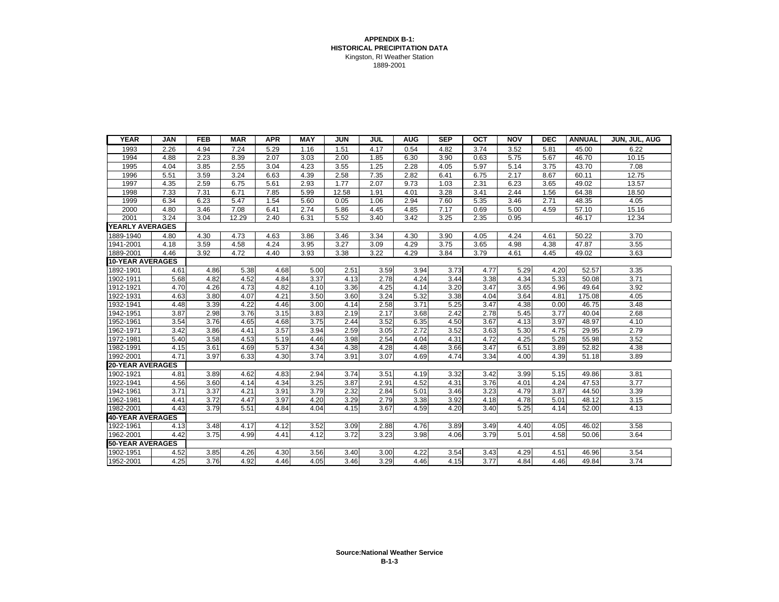#### **APPENDIX B-1: HISTORICAL PRECIPITATION DATA** Kingston, RI Weather Station 1889-2001

| <b>YEAR</b>             | <b>JAN</b> | <b>FEB</b> | <b>MAR</b> | <b>APR</b> | <b>MAY</b> | <b>JUN</b> | JUL  | <b>AUG</b> | <b>SEP</b> | $\overline{OCT}$ | <b>NOV</b> | <b>DEC</b> | <b>ANNUAL</b> | JUN, JUL, AUG |
|-------------------------|------------|------------|------------|------------|------------|------------|------|------------|------------|------------------|------------|------------|---------------|---------------|
| 1993                    | 2.26       | 4.94       | 7.24       | 5.29       | 1.16       | 1.51       | 4.17 | 0.54       | 4.82       | 3.74             | 3.52       | 5.81       | 45.00         | 6.22          |
| 1994                    | 4.88       | 2.23       | 8.39       | 2.07       | 3.03       | 2.00       | 1.85 | 6.30       | 3.90       | 0.63             | 5.75       | 5.67       | 46.70         | 10.15         |
| 1995                    | 4.04       | 3.85       | 2.55       | 3.04       | 4.23       | 3.55       | 1.25 | 2.28       | 4.05       | 5.97             | 5.14       | 3.75       | 43.70         | 7.08          |
| 1996                    | 5.51       | 3.59       | 3.24       | 6.63       | 4.39       | 2.58       | 7.35 | 2.82       | 6.41       | 6.75             | 2.17       | 8.67       | 60.11         | 12.75         |
| 1997                    | 4.35       | 2.59       | 6.75       | 5.61       | 2.93       | 1.77       | 2.07 | 9.73       | 1.03       | 2.31             | 6.23       | 3.65       | 49.02         | 13.57         |
| 1998                    | 7.33       | 7.31       | 6.71       | 7.85       | 5.99       | 12.58      | 1.91 | 4.01       | 3.28       | 3.41             | 2.44       | 1.56       | 64.38         | 18.50         |
| 1999                    | 6.34       | 6.23       | 5.47       | 1.54       | 5.60       | 0.05       | 1.06 | 2.94       | 7.60       | 5.35             | 3.46       | 2.71       | 48.35         | 4.05          |
| 2000                    | 4.80       | 3.46       | 7.08       | 6.41       | 2.74       | 5.86       | 4.45 | 4.85       | 7.17       | 0.69             | 5.00       | 4.59       | 57.10         | 15.16         |
| 2001                    | 3.24       | 3.04       | 12.29      | 2.40       | 6.31       | 5.52       | 3.40 | 3.42       | 3.25       | 2.35             | 0.95       |            | 46.17         | 12.34         |
| <b>YEARLY AVERAGES</b>  |            |            |            |            |            |            |      |            |            |                  |            |            |               |               |
| 1889-1940               | 4.80       | 4.30       | 4.73       | 4.63       | 3.86       | 3.46       | 3.34 | 4.30       | 3.90       | 4.05             | 4.24       | 4.61       | 50.22         | 3.70          |
| 1941-2001               | 4.18       | 3.59       | 4.58       | 4.24       | 3.95       | 3.27       | 3.09 | 4.29       | 3.75       | 3.65             | 4.98       | 4.38       | 47.87         | 3.55          |
| 1889-2001               | 4.46       | 3.92       | 4.72       | 4.40       | 3.93       | 3.38       | 3.22 | 4.29       | 3.84       | 3.79             | 4.61       | 4.45       | 49.02         | 3.63          |
| <b>10-YEAR AVERAGES</b> |            |            |            |            |            |            |      |            |            |                  |            |            |               |               |
| 1892-1901               | 4.61       | 4.86       | 5.38       | 4.68       | 5.00       | 2.51       | 3.59 | 3.94       | 3.73       | 4.77             | 5.29       | 4.20       | 52.57         | 3.35          |
| 1902-1911               | 5.68       | 4.82       | 4.52       | 4.84       | 3.37       | 4.13       | 2.78 | 4.24       | 3.44       | 3.38             | 4.34       | 5.33       | 50.08         | 3.71          |
| 1912-1921               | 4.70       | 4.26       | 4.73       | 4.82       | 4.10       | 3.36       | 4.25 | 4.14       | 3.20       | 3.47             | 3.65       | 4.96       | 49.64         | 3.92          |
| 1922-1931               | 4.63       | 3.80       | 4.07       | 4.21       | 3.50       | 3.60       | 3.24 | 5.32       | 3.38       | 4.04             | 3.64       | 4.81       | 175.08        | 4.05          |
| 1932-1941               | 4.48       | 3.39       | 4.22       | 4.46       | 3.00       | 4.14       | 2.58 | 3.71       | 5.25       | 3.47             | 4.38       | 0.00       | 46.75         | 3.48          |
| 1942-1951               | 3.87       | 2.98       | 3.76       | 3.15       | 3.83       | 2.19       | 2.17 | 3.68       | 2.42       | 2.78             | 5.45       | 3.77       | 40.04         | 2.68          |
| 1952-1961               | 3.54       | 3.76       | 4.65       | 4.68       | 3.75       | 2.44       | 3.52 | 6.35       | 4.50       | 3.67             | 4.13       | 3.97       | 48.97         | 4.10          |
| 1962-1971               | 3.42       | 3.86       | 4.41       | 3.57       | 3.94       | 2.59       | 3.05 | 2.72       | 3.52       | 3.63             | 5.30       | 4.75       | 29.95         | 2.79          |
| 1972-1981               | 5.40       | 3.58       | 4.53       | 5.19       | 4.46       | 3.98       | 2.54 | 4.04       | 4.31       | 4.72             | 4.25       | 5.28       | 55.98         | 3.52          |
| 1982-1991               | 4.15       | 3.61       | 4.69       | 5.37       | 4.34       | 4.38       | 4.28 | 4.48       | 3.66       | 3.47             | 6.51       | 3.89       | 52.82         | 4.38          |
| 1992-2001               | 4.71       | 3.97       | 6.33       | 4.30       | 3.74       | 3.91       | 3.07 | 4.69       | 4.74       | 3.34             | 4.00       | 4.39       | 51.18         | 3.89          |
| <b>20-YEAR AVERAGES</b> |            |            |            |            |            |            |      |            |            |                  |            |            |               |               |
| 1902-1921               | 4.81       | 3.89       | 4.62       | 4.83       | 2.94       | 3.74       | 3.51 | 4.19       | 3.32       | 3.42             | 3.99       | 5.15       | 49.86         | 3.81          |
| 1922-1941               | 4.56       | 3.60       | 4.14       | 4.34       | 3.25       | 3.87       | 2.91 | 4.52       | 4.31       | 3.76             | 4.01       | 4.24       | 47.53         | 3.77          |
| 1942-1961               | 3.71       | 3.37       | 4.21       | 3.91       | 3.79       | 2.32       | 2.84 | 5.01       | 3.46       | 3.23             | 4.79       | 3.87       | 44.50         | 3.39          |
| 1962-1981               | 4.41       | 3.72       | 4.47       | 3.97       | 4.20       | 3.29       | 2.79 | 3.38       | 3.92       | 4.18             | 4.78       | 5.01       | 48.12         | 3.15          |
| 1982-2001               | 4.43       | 3.79       | 5.51       | 4.84       | 4.04       | 4.15       | 3.67 | 4.59       | 4.20       | 3.40             | 5.25       | 4.14       | 52.00         | 4.13          |
| <b>40-YEAR AVERAGES</b> |            |            |            |            |            |            |      |            |            |                  |            |            |               |               |
| 1922-1961               | 4.13       | 3.48       | 4.17       | 4.12       | 3.52       | 3.09       | 2.88 | 4.76       | 3.89       | 3.49             | 4.40       | 4.05       | 46.02         | 3.58          |
| 1962-2001               | 4.42       | 3.75       | 4.99       | 4.41       | 4.12       | 3.72       | 3.23 | 3.98       | 4.06       | 3.79             | 5.01       | 4.58       | 50.06         | 3.64          |
| <b>50-YEAR AVERAGES</b> |            |            |            |            |            |            |      |            |            |                  |            |            |               |               |
| 1902-1951               | 4.52       | 3.85       | 4.26       | 4.30       | 3.56       | 3.40       | 3.00 | 4.22       | 3.54       | 3.43             | 4.29       | 4.51       | 46.96         | 3.54          |
| 1952-2001               | 4.25       | 3.76       | 4.92       | 4.46       | 4.05       | 3.46       | 3.29 | 4.46       | 4.15       | 3.77             | 4.84       | 4.46       | 49.84         | 3.74          |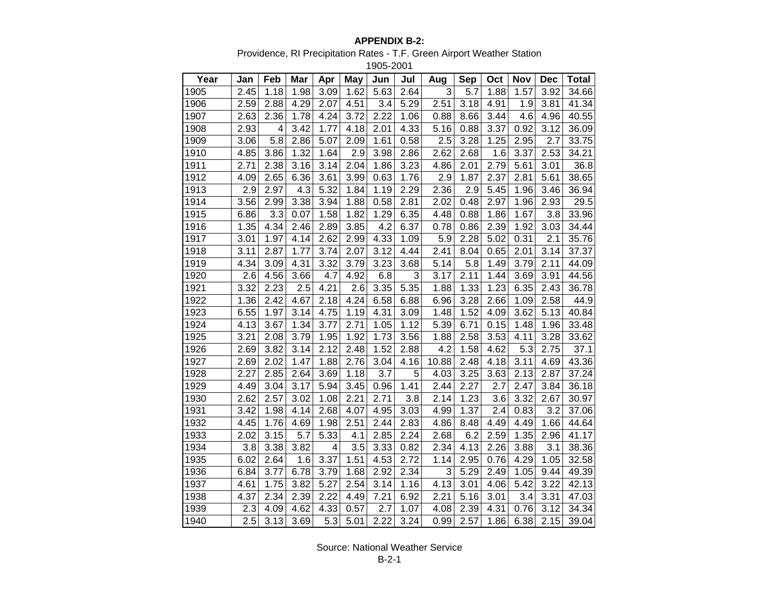#### **APPENDIX B-2:**

Providence, RI Precipitation Rates - T.F. Green Airport Weather Station

1905-2001

| Year | Jan  | Feb  | Mar  | Apr  | <b>May</b> | Jun  | Jul  | Aug   | <b>Sep</b> | Oct  | Nov  | Dec  | Total |
|------|------|------|------|------|------------|------|------|-------|------------|------|------|------|-------|
| 1905 | 2.45 | 1.18 | 1.98 | 3.09 | 1.62       | 5.63 | 2.64 | 3     | 5.7        | 1.88 | 1.57 | 3.92 | 34.66 |
| 1906 | 2.59 | 2.88 | 4.29 | 2.07 | 4.51       | 3.4  | 5.29 | 2.51  | 3.18       | 4.91 | 1.9  | 3.81 | 41.34 |
| 1907 | 2.63 | 2.36 | 1.78 | 4.24 | 3.72       | 2.22 | 1.06 | 0.88  | 8.66       | 3.44 | 4.6  | 4.96 | 40.55 |
| 1908 | 2.93 | 4    | 3.42 | 1.77 | 4.18       | 2.01 | 4.33 | 5.16  | 0.88       | 3.37 | 0.92 | 3.12 | 36.09 |
| 1909 | 3.06 | 5.8  | 2.86 | 5.07 | 2.09       | 1.61 | 0.58 | 2.5   | 3.28       | 1.25 | 2.95 | 2.7  | 33.75 |
| 1910 | 4.85 | 3.86 | 1.32 | 1.64 | 2.9        | 3.98 | 2.86 | 2.62  | 2.68       | 1.6  | 3.37 | 2.53 | 34.21 |
| 1911 | 2.71 | 2.38 | 3.16 | 3.14 | 2.04       | 1.86 | 3.23 | 4.86  | 2.01       | 2.79 | 5.61 | 3.01 | 36.8  |
| 1912 | 4.09 | 2.65 | 6.36 | 3.61 | 3.99       | 0.63 | 1.76 | 2.9   | 1.87       | 2.37 | 2.81 | 5.61 | 38.65 |
| 1913 | 2.9  | 2.97 | 4.3  | 5.32 | 1.84       | 1.19 | 2.29 | 2.36  | 2.9        | 5.45 | 1.96 | 3.46 | 36.94 |
| 1914 | 3.56 | 2.99 | 3.38 | 3.94 | 1.88       | 0.58 | 2.81 | 2.02  | 0.48       | 2.97 | 1.96 | 2.93 | 29.5  |
| 1915 | 6.86 | 3.3  | 0.07 | 1.58 | 1.82       | 1.29 | 6.35 | 4.48  | 0.88       | 1.86 | 1.67 | 3.8  | 33.96 |
| 1916 | 1.35 | 4.34 | 2.46 | 2.89 | 3.85       | 4.2  | 6.37 | 0.78  | 0.86       | 2.39 | 1.92 | 3.03 | 34.44 |
| 1917 | 3.01 | 1.97 | 4.14 | 2.62 | 2.99       | 4.33 | 1.09 | 5.9   | 2.28       | 5.02 | 0.31 | 2.1  | 35.76 |
| 1918 | 3.11 | 2.87 | 1.77 | 3.74 | 2.07       | 3.12 | 4.44 | 2.41  | 8.04       | 0.65 | 2.01 | 3.14 | 37.37 |
| 1919 | 4.34 | 3.09 | 4.31 | 3.32 | 3.79       | 3.23 | 3.68 | 5.14  | 5.8        | 1.49 | 3.79 | 2.11 | 44.09 |
| 1920 | 2.6  | 4.56 | 3.66 | 4.7  | 4.92       | 6.8  | 3    | 3.17  | 2.11       | 1.44 | 3.69 | 3.91 | 44.56 |
| 1921 | 3.32 | 2.23 | 2.5  | 4.21 | 2.6        | 3.35 | 5.35 | 1.88  | 1.33       | 1.23 | 6.35 | 2.43 | 36.78 |
| 1922 | 1.36 | 2.42 | 4.67 | 2.18 | 4.24       | 6.58 | 6.88 | 6.96  | 3.28       | 2.66 | 1.09 | 2.58 | 44.9  |
| 1923 | 6.55 | 1.97 | 3.14 | 4.75 | 1.19       | 4.31 | 3.09 | 1.48  | 1.52       | 4.09 | 3.62 | 5.13 | 40.84 |
| 1924 | 4.13 | 3.67 | 1.34 | 3.77 | 2.71       | 1.05 | 1.12 | 5.39  | 6.71       | 0.15 | 1.48 | 1.96 | 33.48 |
| 1925 | 3.21 | 2.08 | 3.79 | 1.95 | 1.92       | 1.73 | 3.56 | 1.88  | 2.58       | 3.53 | 4.11 | 3.28 | 33.62 |
| 1926 | 2.69 | 3.82 | 3.14 | 2.12 | 2.48       | 1.52 | 2.88 | 4.2   | 1.58       | 4.62 | 5.3  | 2.75 | 37.1  |
| 1927 | 2.69 | 2.02 | 1.47 | 1.88 | 2.76       | 3.04 | 4.16 | 10.88 | 2.48       | 4.18 | 3.11 | 4.69 | 43.36 |
| 1928 | 2.27 | 2.85 | 2.64 | 3.69 | 1.18       | 3.7  | 5    | 4.03  | 3.25       | 3.63 | 2.13 | 2.87 | 37.24 |
| 1929 | 4.49 | 3.04 | 3.17 | 5.94 | 3.45       | 0.96 | 1.41 | 2.44  | 2.27       | 2.7  | 2.47 | 3.84 | 36.18 |
| 1930 | 2.62 | 2.57 | 3.02 | 1.08 | 2.21       | 2.71 | 3.8  | 2.14  | 1.23       | 3.6  | 3.32 | 2.67 | 30.97 |
| 1931 | 3.42 | 1.98 | 4.14 | 2.68 | 4.07       | 4.95 | 3.03 | 4.99  | 1.37       | 2.4  | 0.83 | 3.2  | 37.06 |
| 1932 | 4.45 | 1.76 | 4.69 | 1.98 | 2.51       | 2.44 | 2.83 | 4.86  | 8.48       | 4.49 | 4.49 | 1.66 | 44.64 |
| 1933 | 2.02 | 3.15 | 5.7  | 5.33 | 4.1        | 2.85 | 2.24 | 2.68  | 6.2        | 2.59 | 1.35 | 2.96 | 41.17 |
| 1934 | 3.8  | 3.38 | 3.82 | 4    | 3.5        | 3.33 | 0.82 | 2.34  | 4.13       | 2.26 | 3.88 | 3.1  | 38.36 |
| 1935 | 6.02 | 2.64 | 1.6  | 3.37 | 1.51       | 4.53 | 2.72 | 1.14  | 2.95       | 0.76 | 4.29 | 1.05 | 32.58 |
| 1936 | 6.84 | 3.77 | 6.78 | 3.79 | 1.68       | 2.92 | 2.34 | 3     | 5.29       | 2.49 | 1.05 | 9.44 | 49.39 |
| 1937 | 4.61 | 1.75 | 3.82 | 5.27 | 2.54       | 3.14 | 1.16 | 4.13  | 3.01       | 4.06 | 5.42 | 3.22 | 42.13 |
| 1938 | 4.37 | 2.34 | 2.39 | 2.22 | 4.49       | 7.21 | 6.92 | 2.21  | 5.16       | 3.01 | 3.4  | 3.31 | 47.03 |
| 1939 | 2.3  | 4.09 | 4.62 | 4.33 | 0.57       | 2.7  | 1.07 | 4.08  | 2.39       | 4.31 | 0.76 | 3.12 | 34.34 |
| 1940 | 2.5  | 3.13 | 3.69 | 5.3  | 5.01       | 2.22 | 3.24 | 0.99  | 2.57       | 1.86 | 6.38 | 2.15 | 39.04 |

Source: National Weather Service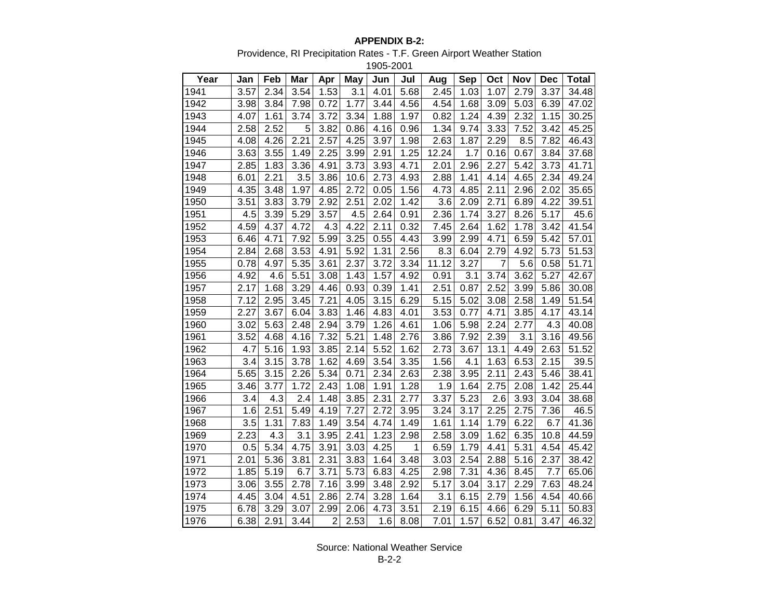#### **APPENDIX B-2:**

Providence, RI Precipitation Rates - T.F. Green Airport Weather Station

1905-2001

| Year | Jan  | Feb  | Mar  | Apr            | May  | Jun  | Jul  | Aug   | <b>Sep</b> | Oct  | Nov  | <b>Dec</b> | Total |
|------|------|------|------|----------------|------|------|------|-------|------------|------|------|------------|-------|
| 1941 | 3.57 | 2.34 | 3.54 | 1.53           | 3.1  | 4.01 | 5.68 | 2.45  | 1.03       | 1.07 | 2.79 | 3.37       | 34.48 |
| 1942 | 3.98 | 3.84 | 7.98 | 0.72           | 1.77 | 3.44 | 4.56 | 4.54  | 1.68       | 3.09 | 5.03 | 6.39       | 47.02 |
| 1943 | 4.07 | 1.61 | 3.74 | 3.72           | 3.34 | 1.88 | 1.97 | 0.82  | 1.24       | 4.39 | 2.32 | 1.15       | 30.25 |
| 1944 | 2.58 | 2.52 | 5    | 3.82           | 0.86 | 4.16 | 0.96 | 1.34  | 9.74       | 3.33 | 7.52 | 3.42       | 45.25 |
| 1945 | 4.08 | 4.26 | 2.21 | 2.57           | 4.25 | 3.97 | 1.98 | 2.63  | 1.87       | 2.29 | 8.5  | 7.82       | 46.43 |
| 1946 | 3.63 | 3.55 | 1.49 | 2.25           | 3.99 | 2.91 | 1.25 | 12.24 | 1.7        | 0.16 | 0.67 | 3.84       | 37.68 |
| 1947 | 2.85 | 1.83 | 3.36 | 4.91           | 3.73 | 3.93 | 4.71 | 2.01  | 2.96       | 2.27 | 5.42 | 3.73       | 41.71 |
| 1948 | 6.01 | 2.21 | 3.5  | 3.86           | 10.6 | 2.73 | 4.93 | 2.88  | 1.41       | 4.14 | 4.65 | 2.34       | 49.24 |
| 1949 | 4.35 | 3.48 | 1.97 | 4.85           | 2.72 | 0.05 | 1.56 | 4.73  | 4.85       | 2.11 | 2.96 | 2.02       | 35.65 |
| 1950 | 3.51 | 3.83 | 3.79 | 2.92           | 2.51 | 2.02 | 1.42 | 3.6   | 2.09       | 2.71 | 6.89 | 4.22       | 39.51 |
| 1951 | 4.5  | 3.39 | 5.29 | 3.57           | 4.5  | 2.64 | 0.91 | 2.36  | 1.74       | 3.27 | 8.26 | 5.17       | 45.6  |
| 1952 | 4.59 | 4.37 | 4.72 | 4.3            | 4.22 | 2.11 | 0.32 | 7.45  | 2.64       | 1.62 | 1.78 | 3.42       | 41.54 |
| 1953 | 6.46 | 4.71 | 7.92 | 5.99           | 3.25 | 0.55 | 4.43 | 3.99  | 2.99       | 4.71 | 6.59 | 5.42       | 57.01 |
| 1954 | 2.84 | 2.68 | 3.53 | 4.91           | 5.92 | 1.31 | 2.56 | 8.3   | 6.04       | 2.79 | 4.92 | 5.73       | 51.53 |
| 1955 | 0.78 | 4.97 | 5.35 | 3.61           | 2.37 | 3.72 | 3.34 | 11.12 | 3.27       | 7    | 5.6  | 0.58       | 51.71 |
| 1956 | 4.92 | 4.6  | 5.51 | 3.08           | 1.43 | 1.57 | 4.92 | 0.91  | 3.1        | 3.74 | 3.62 | 5.27       | 42.67 |
| 1957 | 2.17 | 1.68 | 3.29 | 4.46           | 0.93 | 0.39 | 1.41 | 2.51  | 0.87       | 2.52 | 3.99 | 5.86       | 30.08 |
| 1958 | 7.12 | 2.95 | 3.45 | 7.21           | 4.05 | 3.15 | 6.29 | 5.15  | 5.02       | 3.08 | 2.58 | 1.49       | 51.54 |
| 1959 | 2.27 | 3.67 | 6.04 | 3.83           | 1.46 | 4.83 | 4.01 | 3.53  | 0.77       | 4.71 | 3.85 | 4.17       | 43.14 |
| 1960 | 3.02 | 5.63 | 2.48 | 2.94           | 3.79 | 1.26 | 4.61 | 1.06  | 5.98       | 2.24 | 2.77 | 4.3        | 40.08 |
| 1961 | 3.52 | 4.68 | 4.16 | 7.32           | 5.21 | 1.48 | 2.76 | 3.86  | 7.92       | 2.39 | 3.1  | 3.16       | 49.56 |
| 1962 | 4.7  | 5.16 | 1.93 | 3.85           | 2.14 | 5.52 | 1.62 | 2.73  | 3.67       | 13.1 | 4.49 | 2.63       | 51.52 |
| 1963 | 3.4  | 3.15 | 3.78 | 1.62           | 4.69 | 3.54 | 3.35 | 1.56  | 4.1        | 1.63 | 6.53 | 2.15       | 39.5  |
| 1964 | 5.65 | 3.15 | 2.26 | 5.34           | 0.71 | 2.34 | 2.63 | 2.38  | 3.95       | 2.11 | 2.43 | 5.46       | 38.41 |
| 1965 | 3.46 | 3.77 | 1.72 | 2.43           | 1.08 | 1.91 | 1.28 | 1.9   | 1.64       | 2.75 | 2.08 | 1.42       | 25.44 |
| 1966 | 3.4  | 4.3  | 2.4  | 1.48           | 3.85 | 2.31 | 2.77 | 3.37  | 5.23       | 2.6  | 3.93 | 3.04       | 38.68 |
| 1967 | 1.6  | 2.51 | 5.49 | 4.19           | 7.27 | 2.72 | 3.95 | 3.24  | 3.17       | 2.25 | 2.75 | 7.36       | 46.5  |
| 1968 | 3.5  | 1.31 | 7.83 | 1.49           | 3.54 | 4.74 | 1.49 | 1.61  | 1.14       | 1.79 | 6.22 | 6.7        | 41.36 |
| 1969 | 2.23 | 4.3  | 3.1  | 3.95           | 2.41 | 1.23 | 2.98 | 2.58  | 3.09       | 1.62 | 6.35 | 10.8       | 44.59 |
| 1970 | 0.5  | 5.34 | 4.75 | 3.91           | 3.03 | 4.25 | 1    | 6.59  | 1.79       | 4.41 | 5.31 | 4.54       | 45.42 |
| 1971 | 2.01 | 5.36 | 3.81 | 2.31           | 3.83 | 1.64 | 3.48 | 3.03  | 2.54       | 2.88 | 5.16 | 2.37       | 38.42 |
| 1972 | 1.85 | 5.19 | 6.7  | 3.71           | 5.73 | 6.83 | 4.25 | 2.98  | 7.31       | 4.36 | 8.45 | 7.7        | 65.06 |
| 1973 | 3.06 | 3.55 | 2.78 | 7.16           | 3.99 | 3.48 | 2.92 | 5.17  | 3.04       | 3.17 | 2.29 | 7.63       | 48.24 |
| 1974 | 4.45 | 3.04 | 4.51 | 2.86           | 2.74 | 3.28 | 1.64 | 3.1   | 6.15       | 2.79 | 1.56 | 4.54       | 40.66 |
| 1975 | 6.78 | 3.29 | 3.07 | 2.99           | 2.06 | 4.73 | 3.51 | 2.19  | 6.15       | 4.66 | 6.29 | 5.11       | 50.83 |
| 1976 | 6.38 | 2.91 | 3.44 | $\overline{2}$ | 2.53 | 1.6  | 8.08 | 7.01  | 1.57       | 6.52 | 0.81 | 3.47       | 46.32 |

Source: National Weather Service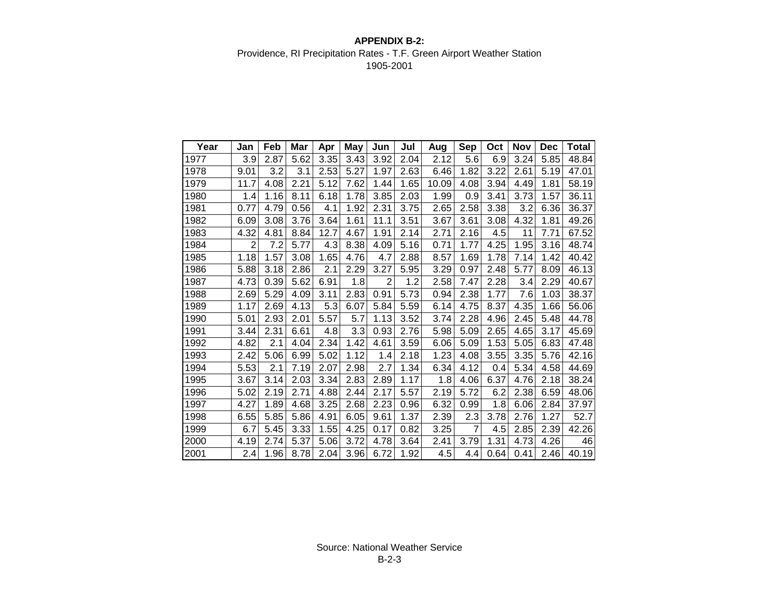#### **APPENDIX B-2:** Providence, RI Precipitation Rates - T.F. Green Airport Weather Station 1905-2001

| Year | Jan  | Feb  | Mar  | Apr  | May  | Jun            | Jul  | Aug   | Sep  | Oct  | <b>Nov</b> | <b>Dec</b> | Total |
|------|------|------|------|------|------|----------------|------|-------|------|------|------------|------------|-------|
| 1977 | 3.9  | 2.87 | 5.62 | 3.35 | 3.43 | 3.92           | 2.04 | 2.12  | 5.6  | 6.9  | 3.24       | 5.85       | 48.84 |
| 1978 | 9.01 | 3.2  | 3.1  | 2.53 | 5.27 | 1.97           | 2.63 | 6.46  | 1.82 | 3.22 | 2.61       | 5.19       | 47.01 |
| 1979 | 11.7 | 4.08 | 2.21 | 5.12 | 7.62 | 1.44           | 1.65 | 10.09 | 4.08 | 3.94 | 4.49       | 1.81       | 58.19 |
| 1980 | 1.4  | 1.16 | 8.11 | 6.18 | 1.78 | 3.85           | 2.03 | 1.99  | 0.9  | 3.41 | 3.73       | 1.57       | 36.11 |
| 1981 | 0.77 | 4.79 | 0.56 | 4.1  | 1.92 | 2.31           | 3.75 | 2.65  | 2.58 | 3.38 | 3.2        | 6.36       | 36.37 |
| 1982 | 6.09 | 3.08 | 3.76 | 3.64 | 1.61 | 11.1           | 3.51 | 3.67  | 3.61 | 3.08 | 4.32       | 1.81       | 49.26 |
| 1983 | 4.32 | 4.81 | 8.84 | 12.7 | 4.67 | 1.91           | 2.14 | 2.71  | 2.16 | 4.5  | 11         | 7.71       | 67.52 |
| 1984 | 2    | 7.2  | 5.77 | 4.3  | 8.38 | 4.09           | 5.16 | 0.71  | 1.77 | 4.25 | 1.95       | 3.16       | 48.74 |
| 1985 | 1.18 | 1.57 | 3.08 | 1.65 | 4.76 | 4.7            | 2.88 | 8.57  | 1.69 | 1.78 | 7.14       | 1.42       | 40.42 |
| 1986 | 5.88 | 3.18 | 2.86 | 2.1  | 2.29 | 3.27           | 5.95 | 3.29  | 0.97 | 2.48 | 5.77       | 8.09       | 46.13 |
| 1987 | 4.73 | 0.39 | 5.62 | 6.91 | 1.8  | $\overline{2}$ | 1.2  | 2.58  | 7.47 | 2.28 | 3.4        | 2.29       | 40.67 |
| 1988 | 2.69 | 5.29 | 4.09 | 3.11 | 2.83 | 0.91           | 5.73 | 0.94  | 2.38 | 1.77 | 7.6        | 1.03       | 38.37 |
| 1989 | 1.17 | 2.69 | 4.13 | 5.3  | 6.07 | 5.84           | 5.59 | 6.14  | 4.75 | 8.37 | 4.35       | 1.66       | 56.06 |
| 1990 | 5.01 | 2.93 | 2.01 | 5.57 | 5.7  | 1.13           | 3.52 | 3.74  | 2.28 | 4.96 | 2.45       | 5.48       | 44.78 |
| 1991 | 3.44 | 2.31 | 6.61 | 4.8  | 3.3  | 0.93           | 2.76 | 5.98  | 5.09 | 2.65 | 4.65       | 3.17       | 45.69 |
| 1992 | 4.82 | 2.1  | 4.04 | 2.34 | 1.42 | 4.61           | 3.59 | 6.06  | 5.09 | 1.53 | 5.05       | 6.83       | 47.48 |
| 1993 | 2.42 | 5.06 | 6.99 | 5.02 | 1.12 | 1.4            | 2.18 | 1.23  | 4.08 | 3.55 | 3.35       | 5.76       | 42.16 |
| 1994 | 5.53 | 2.1  | 7.19 | 2.07 | 2.98 | 2.7            | 1.34 | 6.34  | 4.12 | 0.4  | 5.34       | 4.58       | 44.69 |
| 1995 | 3.67 | 3.14 | 2.03 | 3.34 | 2.83 | 2.89           | 1.17 | 1.8   | 4.06 | 6.37 | 4.76       | 2.18       | 38.24 |
| 1996 | 5.02 | 2.19 | 2.71 | 4.88 | 2.44 | 2.17           | 5.57 | 2.19  | 5.72 | 6.2  | 2.38       | 6.59       | 48.06 |
| 1997 | 4.27 | 1.89 | 4.68 | 3.25 | 2.68 | 2.23           | 0.96 | 6.32  | 0.99 | 1.8  | 6.06       | 2.84       | 37.97 |
| 1998 | 6.55 | 5.85 | 5.86 | 4.91 | 6.05 | 9.61           | 1.37 | 2.39  | 2.3  | 3.78 | 2.76       | 1.27       | 52.7  |
| 1999 | 6.7  | 5.45 | 3.33 | 1.55 | 4.25 | 0.17           | 0.82 | 3.25  | 7    | 4.5  | 2.85       | 2.39       | 42.26 |
| 2000 | 4.19 | 2.74 | 5.37 | 5.06 | 3.72 | 4.78           | 3.64 | 2.41  | 3.79 | 1.31 | 4.73       | 4.26       | 46    |
| 2001 | 2.4  | 1.96 | 8.78 | 2.04 | 3.96 | 6.72           | 1.92 | 4.5   | 4.4  | 0.64 | 0.41       | 2.46       | 40.19 |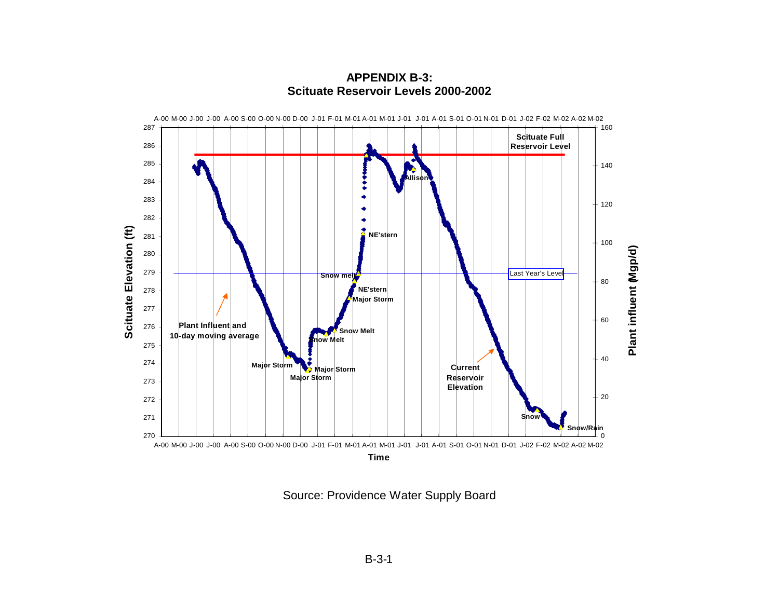

**APPENDIX B-3: Scituate Reservoir Levels 2000-2002** 

Source: Providence Water Supply Board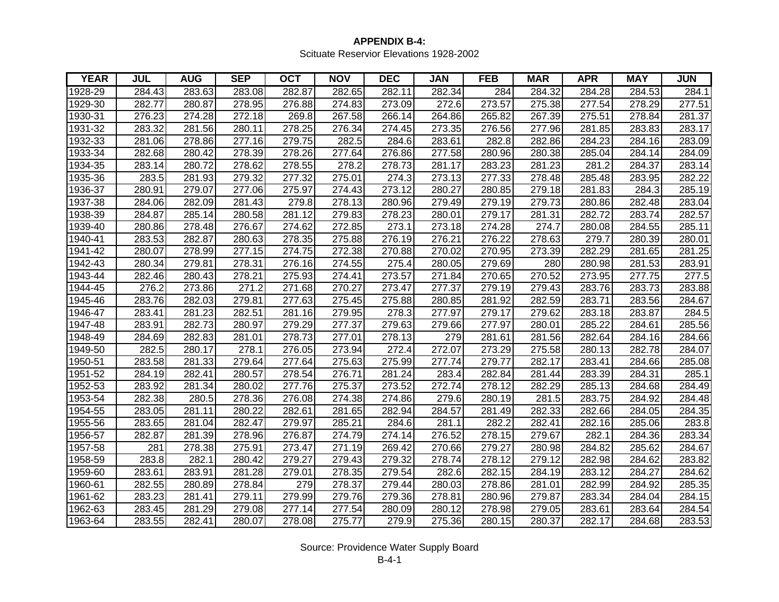#### **APPENDIX B-4:** Scituate Reservior Elevations 1928-2002

| <b>YEAR</b> | JUL    | <b>AUG</b> | <b>SEP</b> | <b>OCT</b> | <b>NOV</b> | <b>DEC</b> | <b>JAN</b> | <b>FEB</b> | <b>MAR</b> | <b>APR</b> | <b>MAY</b> | JUN    |
|-------------|--------|------------|------------|------------|------------|------------|------------|------------|------------|------------|------------|--------|
| 1928-29     | 284.43 | 283.63     | 283.08     | 282.87     | 282.65     | 282.11     | 282.34     | 284        | 284.32     | 284.28     | 284.53     | 284.1  |
| 1929-30     | 282.77 | 280.87     | 278.95     | 276.88     | 274.83     | 273.09     | 272.6      | 273.57     | 275.38     | 277.54     | 278.29     | 277.51 |
| 1930-31     | 276.23 | 274.28     | 272.18     | 269.8      | 267.58     | 266.14     | 264.86     | 265.82     | 267.39     | 275.51     | 278.84     | 281.37 |
| 1931-32     | 283.32 | 281.56     | 280.11     | 278.25     | 276.34     | 274.45     | 273.35     | 276.56     | 277.96     | 281.85     | 283.83     | 283.17 |
| 1932-33     | 281.06 | 278.86     | 277.16     | 279.75     | 282.5      | 284.6      | 283.61     | 282.8      | 282.86     | 284.23     | 284.16     | 283.09 |
| 1933-34     | 282.68 | 280.42     | 278.39     | 278.26     | 277.64     | 276.86     | 277.58     | 280.96     | 280.38     | 285.04     | 284.14     | 284.09 |
| 1934-35     | 283.14 | 280.72     | 278.62     | 278.55     | 278.2      | 278.73     | 281.17     | 283.23     | 281.23     | 281.2      | 284.37     | 283.14 |
| 1935-36     | 283.5  | 281.93     | 279.32     | 277.32     | 275.01     | 274.3      | 273.13     | 277.33     | 278.48     | 285.48     | 283.95     | 282.22 |
| 1936-37     | 280.91 | 279.07     | 277.06     | 275.97     | 274.43     | 273.12     | 280.27     | 280.85     | 279.18     | 281.83     | 284.3      | 285.19 |
| 1937-38     | 284.06 | 282.09     | 281.43     | 279.8      | 278.13     | 280.96     | 279.49     | 279.19     | 279.73     | 280.86     | 282.48     | 283.04 |
| 1938-39     | 284.87 | 285.14     | 280.58     | 281.12     | 279.83     | 278.23     | 280.01     | 279.17     | 281.31     | 282.72     | 283.74     | 282.57 |
| 1939-40     | 280.86 | 278.48     | 276.67     | 274.62     | 272.85     | 273.1      | 273.18     | 274.28     | 274.7      | 280.08     | 284.55     | 285.11 |
| 1940-41     | 283.53 | 282.87     | 280.63     | 278.35     | 275.88     | 276.19     | 276.21     | 276.22     | 278.63     | 279.7      | 280.39     | 280.01 |
| 1941-42     | 280.07 | 278.99     | 277.15     | 274.75     | 272.38     | 270.88     | 270.02     | 270.95     | 273.39     | 282.29     | 281.65     | 281.25 |
| 1942-43     | 280.34 | 279.81     | 278.31     | 276.16     | 274.55     | 275.4      | 280.05     | 279.69     | 280        | 280.98     | 281.53     | 283.91 |
| 1943-44     | 282.46 | 280.43     | 278.21     | 275.93     | 274.41     | 273.57     | 271.84     | 270.65     | 270.52     | 273.95     | 277.75     | 277.5  |
| 1944-45     | 276.2  | 273.86     | 271.2      | 271.68     | 270.27     | 273.47     | 277.37     | 279.19     | 279.43     | 283.76     | 283.73     | 283.88 |
| 1945-46     | 283.76 | 282.03     | 279.81     | 277.63     | 275.45     | 275.88     | 280.85     | 281.92     | 282.59     | 283.71     | 283.56     | 284.67 |
| 1946-47     | 283.41 | 281.23     | 282.51     | 281.16     | 279.95     | 278.3      | 277.97     | 279.17     | 279.62     | 283.18     | 283.87     | 284.5  |
| 1947-48     | 283.91 | 282.73     | 280.97     | 279.29     | 277.37     | 279.63     | 279.66     | 277.97     | 280.01     | 285.22     | 284.61     | 285.56 |
| 1948-49     | 284.69 | 282.83     | 281.01     | 278.73     | 277.01     | 278.13     | 279        | 281.61     | 281.56     | 282.64     | 284.16     | 284.66 |
| 1949-50     | 282.5  | 280.17     | 278.1      | 276.05     | 273.94     | 272.4      | 272.07     | 273.29     | 275.58     | 280.13     | 282.78     | 284.07 |
| 1950-51     | 283.58 | 281.33     | 279.64     | 277.64     | 275.63     | 275.99     | 277.74     | 279.77     | 282.17     | 283.41     | 284.66     | 285.08 |
| 1951-52     | 284.19 | 282.41     | 280.57     | 278.54     | 276.71     | 281.24     | 283.4      | 282.84     | 281.44     | 283.39     | 284.31     | 285.1  |
| 1952-53     | 283.92 | 281.34     | 280.02     | 277.76     | 275.37     | 273.52     | 272.74     | 278.12     | 282.29     | 285.13     | 284.68     | 284.49 |
| 1953-54     | 282.38 | 280.5      | 278.36     | 276.08     | 274.38     | 274.86     | 279.6      | 280.19     | 281.5      | 283.75     | 284.92     | 284.48 |
| 1954-55     | 283.05 | 281.11     | 280.22     | 282.61     | 281.65     | 282.94     | 284.57     | 281.49     | 282.33     | 282.66     | 284.05     | 284.35 |
| 1955-56     | 283.65 | 281.04     | 282.47     | 279.97     | 285.21     | 284.6      | 281.1      | 282.2      | 282.41     | 282.16     | 285.06     | 283.8  |
| 1956-57     | 282.87 | 281.39     | 278.96     | 276.87     | 274.79     | 274.14     | 276.52     | 278.15     | 279.67     | 282.1      | 284.36     | 283.34 |
| 1957-58     | 281    | 278.38     | 275.91     | 273.47     | 271.19     | 269.42     | 270.66     | 279.27     | 280.98     | 284.82     | 285.62     | 284.67 |
| 1958-59     | 283.8  | 282.1      | 280.42     | 279.27     | 279.43     | 279.32     | 278.74     | 278.12     | 279.12     | 282.98     | 284.62     | 283.82 |
| 1959-60     | 283.61 | 283.91     | 281.28     | 279.01     | 278.35     | 279.54     | 282.6      | 282.15     | 284.19     | 283.12     | 284.27     | 284.62 |
| 1960-61     | 282.55 | 280.89     | 278.84     | 279        | 278.37     | 279.44     | 280.03     | 278.86     | 281.01     | 282.99     | 284.92     | 285.35 |
| 1961-62     | 283.23 | 281.41     | 279.11     | 279.99     | 279.76     | 279.36     | 278.81     | 280.96     | 279.87     | 283.34     | 284.04     | 284.15 |
| 1962-63     | 283.45 | 281.29     | 279.08     | 277.14     | 277.54     | 280.09     | 280.12     | 278.98     | 279.05     | 283.61     | 283.64     | 284.54 |
| 1963-64     | 283.55 | 282.41     | 280.07     | 278.08     | 275.77     | 279.9      | 275.36     | 280.15     | 280.37     | 282.17     | 284.68     | 283.53 |

Source: Providence Water Supply Board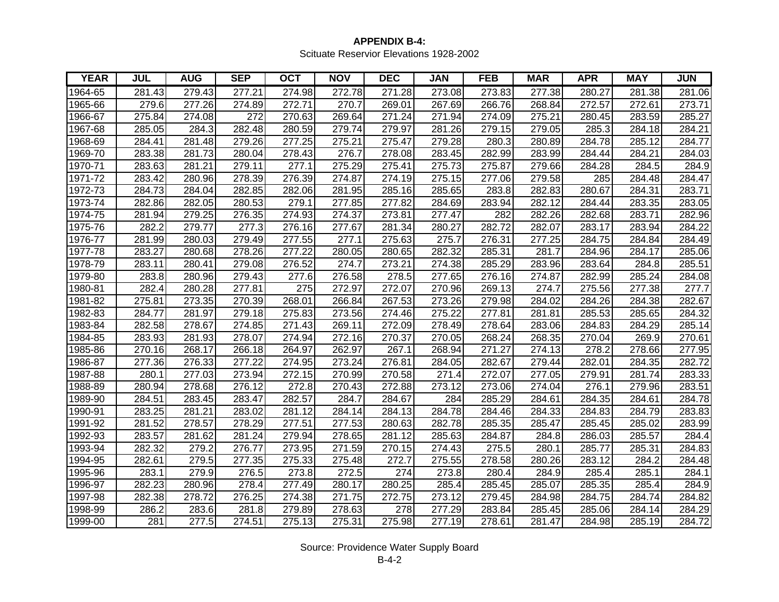#### **APPENDIX B-4:** Scituate Reservior Elevations 1928-2002

| <b>YEAR</b> | <b>JUL</b> | <b>AUG</b> | <b>SEP</b> | <b>OCT</b> | <b>NOV</b> | <b>DEC</b> | <b>JAN</b> | <b>FEB</b> | <b>MAR</b> | <b>APR</b> | <b>MAY</b> | JUN    |
|-------------|------------|------------|------------|------------|------------|------------|------------|------------|------------|------------|------------|--------|
| 1964-65     | 281.43     | 279.43     | 277.21     | 274.98     | 272.78     | 271.28     | 273.08     | 273.83     | 277.38     | 280.27     | 281.38     | 281.06 |
| 1965-66     | 279.6      | 277.26     | 274.89     | 272.71     | 270.7      | 269.01     | 267.69     | 266.76     | 268.84     | 272.57     | 272.61     | 273.71 |
| 1966-67     | 275.84     | 274.08     | 272        | 270.63     | 269.64     | 271.24     | 271.94     | 274.09     | 275.21     | 280.45     | 283.59     | 285.27 |
| 1967-68     | 285.05     | 284.3      | 282.48     | 280.59     | 279.74     | 279.97     | 281.26     | 279.15     | 279.05     | 285.3      | 284.18     | 284.21 |
| 1968-69     | 284.41     | 281.48     | 279.26     | 277.25     | 275.21     | 275.47     | 279.28     | 280.3      | 280.89     | 284.78     | 285.12     | 284.77 |
| 1969-70     | 283.38     | 281.73     | 280.04     | 278.43     | 276.7      | 278.08     | 283.45     | 282.99     | 283.99     | 284.44     | 284.21     | 284.03 |
| 1970-71     | 283.63     | 281.21     | 279.11     | 277.1      | 275.29     | 275.41     | 275.73     | 275.87     | 279.66     | 284.28     | 284.5      | 284.9  |
| 1971-72     | 283.42     | 280.96     | 278.39     | 276.39     | 274.87     | 274.19     | 275.15     | 277.06     | 279.58     | 285        | 284.48     | 284.47 |
| 1972-73     | 284.73     | 284.04     | 282.85     | 282.06     | 281.95     | 285.16     | 285.65     | 283.8      | 282.83     | 280.67     | 284.31     | 283.71 |
| 1973-74     | 282.86     | 282.05     | 280.53     | 279.1      | 277.85     | 277.82     | 284.69     | 283.94     | 282.12     | 284.44     | 283.35     | 283.05 |
| 1974-75     | 281.94     | 279.25     | 276.35     | 274.93     | 274.37     | 273.81     | 277.47     | 282        | 282.26     | 282.68     | 283.71     | 282.96 |
| 1975-76     | 282.2      | 279.77     | 277.3      | 276.16     | 277.67     | 281.34     | 280.27     | 282.72     | 282.07     | 283.17     | 283.94     | 284.22 |
| 1976-77     | 281.99     | 280.03     | 279.49     | 277.55     | 277.1      | 275.63     | 275.7      | 276.31     | 277.25     | 284.75     | 284.84     | 284.49 |
| 1977-78     | 283.27     | 280.68     | 278.26     | 277.22     | 280.05     | 280.65     | 282.32     | 285.31     | 281.7      | 284.96     | 284.17     | 285.06 |
| 1978-79     | 283.11     | 280.41     | 279.08     | 276.52     | 274.7      | 273.21     | 274.38     | 285.29     | 283.96     | 283.64     | 284.8      | 285.51 |
| 1979-80     | 283.8      | 280.96     | 279.43     | 277.6      | 276.58     | 278.5      | 277.65     | 276.16     | 274.87     | 282.99     | 285.24     | 284.08 |
| 1980-81     | 282.4      | 280.28     | 277.81     | 275        | 272.97     | 272.07     | 270.96     | 269.13     | 274.7      | 275.56     | 277.38     | 277.7  |
| 1981-82     | 275.81     | 273.35     | 270.39     | 268.01     | 266.84     | 267.53     | 273.26     | 279.98     | 284.02     | 284.26     | 284.38     | 282.67 |
| 1982-83     | 284.77     | 281.97     | 279.18     | 275.83     | 273.56     | 274.46     | 275.22     | 277.81     | 281.81     | 285.53     | 285.65     | 284.32 |
| 1983-84     | 282.58     | 278.67     | 274.85     | 271.43     | 269.11     | 272.09     | 278.49     | 278.64     | 283.06     | 284.83     | 284.29     | 285.14 |
| 1984-85     | 283.93     | 281.93     | 278.07     | 274.94     | 272.16     | 270.37     | 270.05     | 268.24     | 268.35     | 270.04     | 269.9      | 270.61 |
| 1985-86     | 270.16     | 268.17     | 266.18     | 264.97     | 262.97     | 267.1      | 268.94     | 271.27     | 274.13     | 278.2      | 278.66     | 277.95 |
| 1986-87     | 277.36     | 276.33     | 277.22     | 274.95     | 273.24     | 276.81     | 284.05     | 282.67     | 279.44     | 282.01     | 284.35     | 282.72 |
| 1987-88     | 280.1      | 277.03     | 273.94     | 272.15     | 270.99     | 270.58     | 271.4      | 272.07     | 277.05     | 279.91     | 281.74     | 283.33 |
| 1988-89     | 280.94     | 278.68     | 276.12     | 272.8      | 270.43     | 272.88     | 273.12     | 273.06     | 274.04     | 276.1      | 279.96     | 283.51 |
| 1989-90     | 284.51     | 283.45     | 283.47     | 282.57     | 284.7      | 284.67     | 284        | 285.29     | 284.61     | 284.35     | 284.61     | 284.78 |
| 1990-91     | 283.25     | 281.21     | 283.02     | 281.12     | 284.14     | 284.13     | 284.78     | 284.46     | 284.33     | 284.83     | 284.79     | 283.83 |
| 1991-92     | 281.52     | 278.57     | 278.29     | 277.51     | 277.53     | 280.63     | 282.78     | 285.35     | 285.47     | 285.45     | 285.02     | 283.99 |
| 1992-93     | 283.57     | 281.62     | 281.24     | 279.94     | 278.65     | 281.12     | 285.63     | 284.87     | 284.8      | 286.03     | 285.57     | 284.4  |
| 1993-94     | 282.32     | 279.2      | 276.77     | 273.95     | 271.59     | 270.15     | 274.43     | 275.5      | 280.1      | 285.77     | 285.31     | 284.83 |
| 1994-95     | 282.61     | 279.5      | 277.35     | 275.33     | 275.48     | 272.7      | 275.55     | 278.58     | 280.26     | 283.12     | 284.2      | 284.48 |
| 1995-96     | 283.1      | 279.9      | 276.5      | 273.8      | 272.5      | 274        | 273.8      | 280.4      | 284.9      | 285.4      | 285.1      | 284.1  |
| 1996-97     | 282.23     | 280.96     | 278.4      | 277.49     | 280.17     | 280.25     | 285.4      | 285.45     | 285.07     | 285.35     | 285.4      | 284.9  |
| 1997-98     | 282.38     | 278.72     | 276.25     | 274.38     | 271.75     | 272.75     | 273.12     | 279.45     | 284.98     | 284.75     | 284.74     | 284.82 |
| 1998-99     | 286.2      | 283.6      | 281.8      | 279.89     | 278.63     | 278        | 277.29     | 283.84     | 285.45     | 285.06     | 284.14     | 284.29 |
| 1999-00     | 281        | 277.5      | 274.51     | 275.13     | 275.31     | 275.98     | 277.19     | 278.61     | 281.47     | 284.98     | 285.19     | 284.72 |

Source: Providence Water Supply Board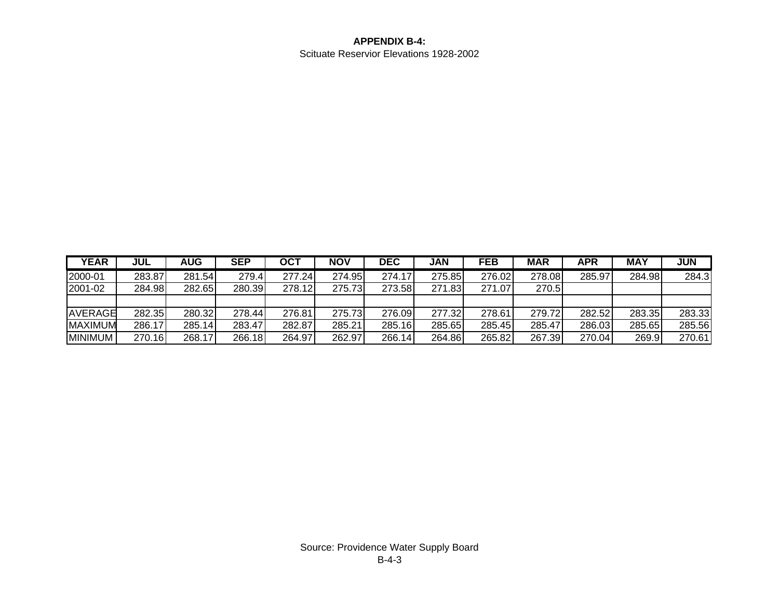#### **APPENDIX B-4:** Scituate Reservior Elevations 1928-2002

| <b>YEAR</b>    | JUL    | <b>AUG</b> | <b>SEP</b> | <b>OCT</b> | NOV    | <b>DEC</b> | JAN     | <b>FEB</b> | <b>MAR</b> | APR    | <b>MAY</b> | <b>JUN</b> |
|----------------|--------|------------|------------|------------|--------|------------|---------|------------|------------|--------|------------|------------|
| 2000-01        | 283.87 | 281.54     | 279.4      | 277.24     | 274.95 | 274.17     | 275.85  | 276.02     | 278.08     | 285.97 | 284.98     | 284.3      |
| 2001-02        | 284.98 | 282.65     | 280.39     | 278.12     | 275.73 | 273.58     | 271.83I | 271.07     | 270.5      |        |            |            |
|                |        |            |            |            |        |            |         |            |            |        |            |            |
| AVERAGE        | 282.35 | 280.32     | 278.44     | 276.81     | 275.73 | 276.09     | 277.32  | 278.61     | 279.72     | 282.52 | 283.35     | 283.33     |
| <b>MAXIMUM</b> | 286.17 | 285.14     | 283.47     | 282.87     | 285.21 | 285.16     | 285.65  | 285.45     | 285.47     | 286.03 | 285.65     | 285.56     |
| <b>MINIMUM</b> | 270.16 | 268.17     | 266.18     | 264.97     | 262.97 | 266.14     | 264.86  | 265.82     | 267.39     | 270.04 | 269.9      | 270.61     |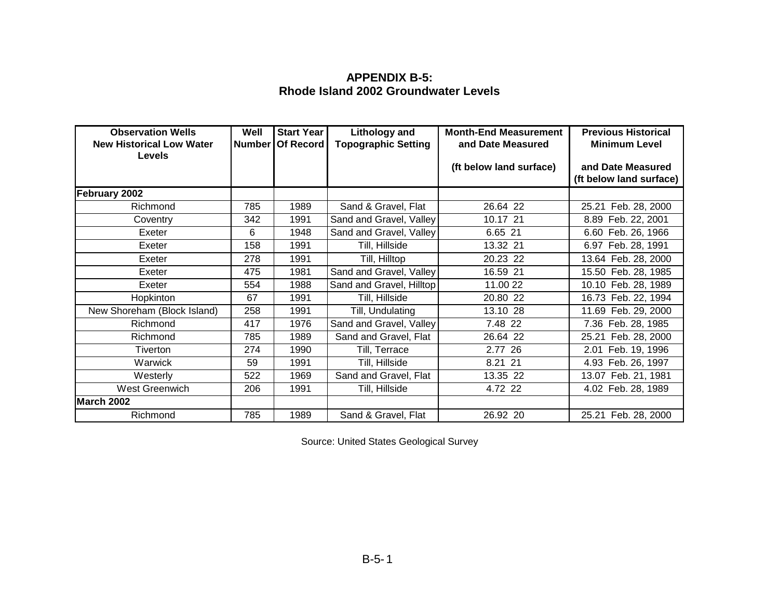#### **APPENDIX B-5: Rhode Island 2002 Groundwater Levels**

| <b>Observation Wells</b><br><b>New Historical Low Water</b> | Well | <b>Start Year</b><br>Number   Of Record | <b>Lithology and</b><br><b>Topographic Setting</b> | <b>Month-End Measurement</b><br>and Date Measured | <b>Previous Historical</b><br><b>Minimum Level</b> |
|-------------------------------------------------------------|------|-----------------------------------------|----------------------------------------------------|---------------------------------------------------|----------------------------------------------------|
| Levels                                                      |      |                                         |                                                    | (ft below land surface)                           | and Date Measured<br>(ft below land surface)       |
| February 2002                                               |      |                                         |                                                    |                                                   |                                                    |
| Richmond                                                    | 785  | 1989                                    | Sand & Gravel, Flat                                | 26.64 22                                          | 25.21 Feb. 28, 2000                                |
| Coventry                                                    | 342  | 1991                                    | Sand and Gravel, Valley                            | 10.17 21                                          | 8.89 Feb. 22, 2001                                 |
| Exeter                                                      | 6    | 1948                                    | Sand and Gravel, Valley                            | 6.65 21                                           | 6.60 Feb. 26, 1966                                 |
| Exeter                                                      | 158  | 1991                                    | Till, Hillside                                     | 13.32 21                                          | 6.97 Feb. 28, 1991                                 |
| Exeter                                                      | 278  | 1991                                    | Till, Hilltop                                      | 20.23 22                                          | 13.64 Feb. 28, 2000                                |
| Exeter                                                      | 475  | 1981                                    | Sand and Gravel, Valley                            | 16.59 21                                          | 15.50 Feb. 28, 1985                                |
| Exeter                                                      | 554  | 1988                                    | Sand and Gravel, Hilltop                           | 11.00 22                                          | 10.10 Feb. 28, 1989                                |
| Hopkinton                                                   | 67   | 1991                                    | Till, Hillside                                     | 20.80 22                                          | 16.73 Feb. 22, 1994                                |
| New Shoreham (Block Island)                                 | 258  | 1991                                    | Till, Undulating                                   | 13.10 28                                          | 11.69 Feb. 29, 2000                                |
| Richmond                                                    | 417  | 1976                                    | Sand and Gravel, Valley                            | 7.48 22                                           | 7.36 Feb. 28, 1985                                 |
| Richmond                                                    | 785  | 1989                                    | Sand and Gravel, Flat                              | 26.64 22                                          | 25.21 Feb. 28, 2000                                |
| Tiverton                                                    | 274  | 1990                                    | Till, Terrace                                      | 2.77 26                                           | 2.01 Feb. 19, 1996                                 |
| Warwick                                                     | 59   | 1991                                    | Till, Hillside                                     | 8.21 21                                           | 4.93 Feb. 26, 1997                                 |
| Westerly                                                    | 522  | 1969                                    | Sand and Gravel, Flat                              | 13.35 22                                          | 13.07 Feb. 21, 1981                                |
| West Greenwich                                              | 206  | 1991                                    | Till, Hillside                                     | 4.72 22                                           | 4.02 Feb. 28, 1989                                 |
| March 2002                                                  |      |                                         |                                                    |                                                   |                                                    |
| Richmond                                                    | 785  | 1989                                    | Sand & Gravel, Flat                                | 26.92 20                                          | 25.21 Feb. 28, 2000                                |

Source: United States Geological Survey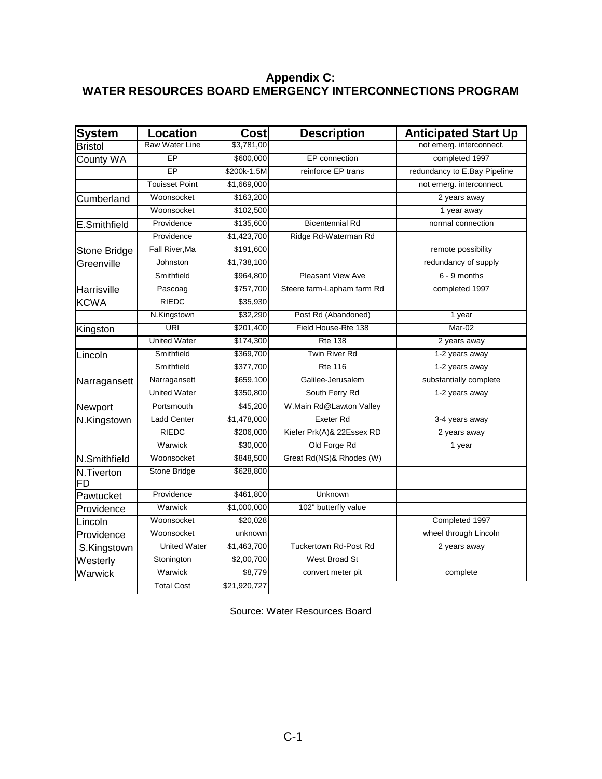#### **Appendix C: WATER RESOURCES BOARD EMERGENCY INTERCONNECTIONS PROGRAM**

| <b>System</b>           | <b>Location</b>       | <b>Cost</b>  | <b>Description</b>           | <b>Anticipated Start Up</b>  |
|-------------------------|-----------------------|--------------|------------------------------|------------------------------|
| <b>Bristol</b>          | <b>Raw Water Line</b> | \$3,781,00   |                              | not emerg. interconnect.     |
| County WA               | EP                    | \$600,000    | EP connection                | completed 1997               |
|                         | $\overline{EP}$       | \$200k-1.5M  | reinforce EP trans           | redundancy to E.Bay Pipeline |
|                         | <b>Touisset Point</b> | \$1,669,000  |                              | not emerg. interconnect.     |
| Cumberland              | Woonsocket            | \$163,200    |                              | 2 years away                 |
|                         | Woonsocket            | \$102,500    |                              | 1 year away                  |
| E.Smithfield            | Providence            | \$135,600    | <b>Bicentennial Rd</b>       | normal connection            |
|                         | Providence            | \$1,423,700  | Ridge Rd-Waterman Rd         |                              |
| Stone Bridge            | Fall River, Ma        | \$191,600    |                              | remote possibility           |
| Greenville              | Johnston              | \$1,738,100  |                              | redundancy of supply         |
|                         | Smithfield            | \$964,800    | Pleasant View Ave            | $6 - 9$ months               |
| Harrisville             | Pascoag               | \$757,700    | Steere farm-Lapham farm Rd   | completed 1997               |
| <b>KCWA</b>             | <b>RIEDC</b>          | \$35,930     |                              |                              |
|                         | N.Kingstown           | \$32,290     | Post Rd (Abandoned)          | 1 year                       |
| Kingston                | URI                   | \$201,400    | Field House-Rte 138          | Mar-02                       |
|                         | <b>United Water</b>   | \$174,300    | <b>Rte 138</b>               | 2 years away                 |
| Lincoln                 | Smithfield            | \$369,700    | <b>Twin River Rd</b>         | 1-2 years away               |
|                         | Smithfield            | \$377,700    | <b>Rte 116</b>               | 1-2 years away               |
| Narragansett            | Narragansett          | \$659,100    | Galilee-Jerusalem            | substantially complete       |
|                         | <b>United Water</b>   | \$350,800    | South Ferry Rd               | 1-2 years away               |
| Newport                 | Portsmouth            | \$45,200     | W.Main Rd@Lawton Valley      |                              |
| N.Kingstown             | <b>Ladd Center</b>    | \$1,478,000  | Exeter Rd                    | 3-4 years away               |
|                         | <b>RIEDC</b>          | \$206,000    | Kiefer Prk(A)& 22Essex RD    | 2 years away                 |
|                         | Warwick               | \$30,000     | Old Forge Rd                 | 1 year                       |
| N.Smithfield            | Woonsocket            | \$848,500    | Great Rd(NS)& Rhodes (W)     |                              |
| N.Tiverton<br><b>FD</b> | Stone Bridge          | \$628,800    |                              |                              |
| Pawtucket               | Providence            | \$461,800    | Unknown                      |                              |
| Providence              | Warwick               | \$1,000,000  | 102" butterfly value         |                              |
| Lincoln                 | Woonsocket            | \$20,028     |                              | Completed 1997               |
| Providence              | Woonsocket            | unknown      |                              | wheel through Lincoln        |
| S.Kingstown             | <b>United Water</b>   | \$1,463,700  | <b>Tuckertown Rd-Post Rd</b> | 2 years away                 |
| Westerly                | Stonington            | \$2,00,700   | West Broad St                |                              |
| Warwick                 | Warwick               | \$8,779      | convert meter pit            | complete                     |
|                         | <b>Total Cost</b>     | \$21,920,727 |                              |                              |

Source: Water Resources Board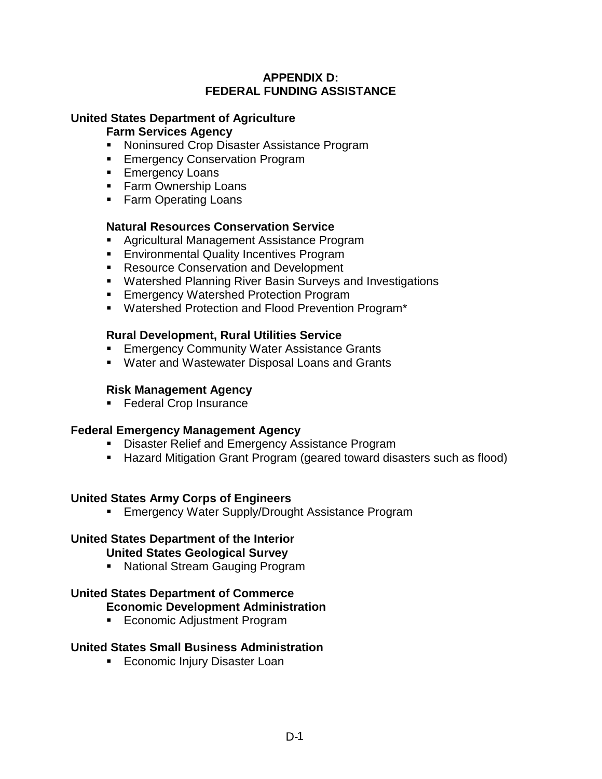### **APPENDIX D: FEDERAL FUNDING ASSISTANCE**

## **United States Department of Agriculture**

### **Farm Services Agency**

- ! Noninsured Crop Disaster Assistance Program
- **Emergency Conservation Program**
- **Emergency Loans**
- **Earm Ownership Loans**
- **EXAMP** Farm Operating Loans

## **Natural Resources Conservation Service**

- ! Agricultural Management Assistance Program
- **Environmental Quality Incentives Program**
- **EXECOURGE RESOURCE CONSERVATION And Development**
- ! Watershed Planning River Basin Surveys and Investigations
- **Emergency Watershed Protection Program**
- ! Watershed Protection and Flood Prevention Program\*

### **Rural Development, Rural Utilities Service**

- **Emergency Community Water Assistance Grants**
- ! Water and Wastewater Disposal Loans and Grants

## **Risk Management Agency**

**E** Federal Crop Insurance

## **Federal Emergency Management Agency**

- **E.** Disaster Relief and Emergency Assistance Program
- ! Hazard Mitigation Grant Program (geared toward disasters such as flood)

## **United States Army Corps of Engineers**

**Example 20 Emergency Water Supply/Drought Assistance Program** 

# **United States Department of the Interior**

#### **United States Geological Survey**

! National Stream Gauging Program

#### **United States Department of Commerce Economic Development Administration**

**Exercice Adjustment Program** 

## **United States Small Business Administration**

**Example 2** Economic Injury Disaster Loan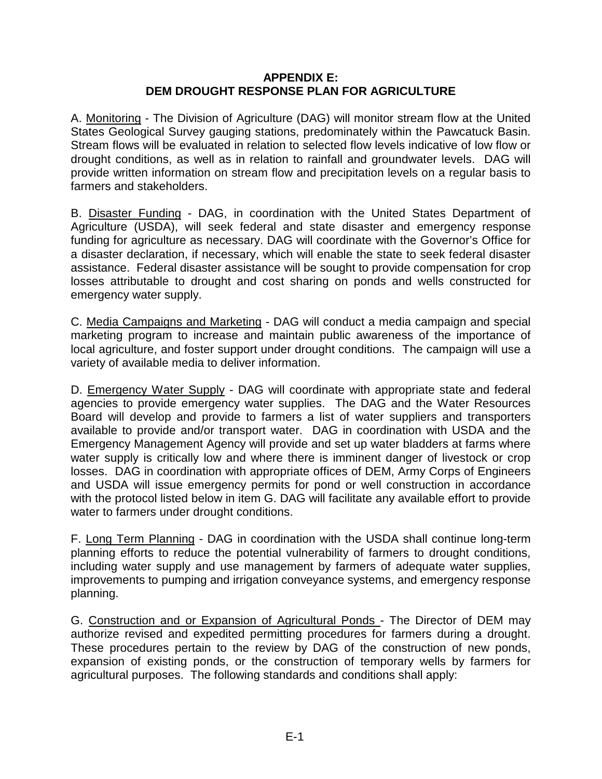#### **APPENDIX E: DEM DROUGHT RESPONSE PLAN FOR AGRICULTURE**

A. Monitoring - The Division of Agriculture (DAG) will monitor stream flow at the United States Geological Survey gauging stations, predominately within the Pawcatuck Basin. Stream flows will be evaluated in relation to selected flow levels indicative of low flow or drought conditions, as well as in relation to rainfall and groundwater levels. DAG will provide written information on stream flow and precipitation levels on a regular basis to farmers and stakeholders.

B. Disaster Funding - DAG, in coordination with the United States Department of Agriculture (USDA), will seek federal and state disaster and emergency response funding for agriculture as necessary. DAG will coordinate with the Governor's Office for a disaster declaration, if necessary, which will enable the state to seek federal disaster assistance. Federal disaster assistance will be sought to provide compensation for crop losses attributable to drought and cost sharing on ponds and wells constructed for emergency water supply.

C. Media Campaigns and Marketing - DAG will conduct a media campaign and special marketing program to increase and maintain public awareness of the importance of local agriculture, and foster support under drought conditions. The campaign will use a variety of available media to deliver information.

D. Emergency Water Supply - DAG will coordinate with appropriate state and federal agencies to provide emergency water supplies. The DAG and the Water Resources Board will develop and provide to farmers a list of water suppliers and transporters available to provide and/or transport water. DAG in coordination with USDA and the Emergency Management Agency will provide and set up water bladders at farms where water supply is critically low and where there is imminent danger of livestock or crop losses. DAG in coordination with appropriate offices of DEM, Army Corps of Engineers and USDA will issue emergency permits for pond or well construction in accordance with the protocol listed below in item G. DAG will facilitate any available effort to provide water to farmers under drought conditions.

F. Long Term Planning - DAG in coordination with the USDA shall continue long-term planning efforts to reduce the potential vulnerability of farmers to drought conditions, including water supply and use management by farmers of adequate water supplies, improvements to pumping and irrigation conveyance systems, and emergency response planning.

G. Construction and or Expansion of Agricultural Ponds - The Director of DEM may authorize revised and expedited permitting procedures for farmers during a drought. These procedures pertain to the review by DAG of the construction of new ponds, expansion of existing ponds, or the construction of temporary wells by farmers for agricultural purposes. The following standards and conditions shall apply: